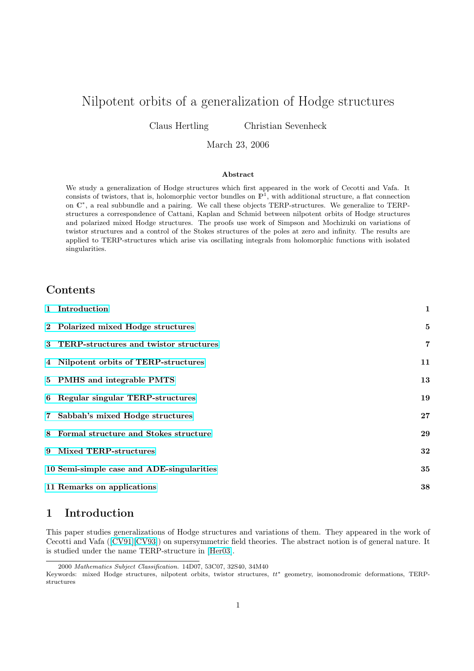# <span id="page-0-0"></span>Nilpotent orbits of a generalization of Hodge structures

Claus Hertling Christian Sevenheck

#### March 23, 2006

#### Abstract

We study a generalization of Hodge structures which first appeared in the work of Cecotti and Vafa. It consists of twistors, that is, holomorphic vector bundles on  $\mathbb{P}^1$ , with additional structure, a flat connection on  $\mathbb{C}^*$ , a real subbundle and a pairing. We call these objects TERP-structures. We generalize to TERPstructures a correspondence of Cattani, Kaplan and Schmid between nilpotent orbits of Hodge structures and polarized mixed Hodge structures. The proofs use work of Simpson and Mochizuki on variations of twistor structures and a control of the Stokes structures of the poles at zero and infinity. The results are applied to TERP-structures which arise via oscillating integrals from holomorphic functions with isolated singularities.

# Contents

|   | 1 Introduction                            | $\mathbf{1}$   |
|---|-------------------------------------------|----------------|
|   | 2 Polarized mixed Hodge structures        | 5              |
|   | 3 TERP-structures and twistor structures  | $\overline{7}$ |
|   | 4 Nilpotent orbits of TERP-structures     | 11             |
|   | 5 PMHS and integrable PMTS                | 13             |
|   | 6 Regular singular TERP-structures        | 19             |
|   | 7 Sabbah's mixed Hodge structures         | 27             |
| 8 | Formal structure and Stokes structure     | 29             |
| 9 | Mixed TERP-structures                     | 32             |
|   | 10 Semi-simple case and ADE-singularities | 35             |
|   | 11 Remarks on applications                | 38             |
|   |                                           |                |

# [1 Introduction](#page-34-0)

[This paper studies generalizatio](#page-37-0)ns of Hodge structures and variations of them. They appeared in the work of Cecotti and Vafa ([CV91][CV93]) on supersymmetric field theories. The abstract notion is of general nature. It is studied under the name TERP-structure in [Her03].

<sup>2000</sup> Mathematics Subject Classification. 14D07, 53C07, 32S40, 34M40

Keywords: mixed Hodge structures, nilpotent orbits, twistor structures, tt<sup>∗</sup> geometry, isomonodromic deformations, TERPstructures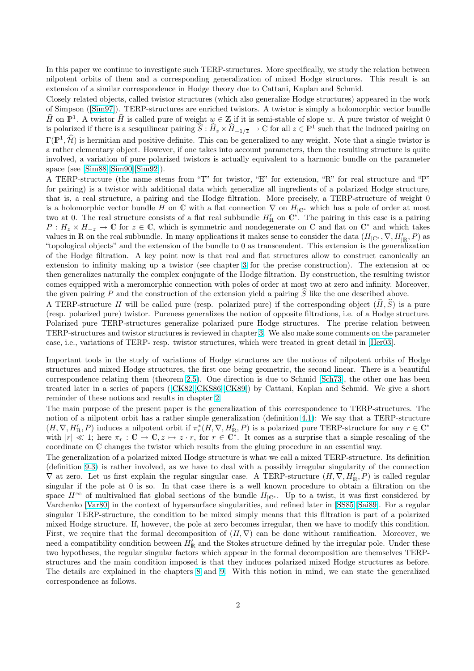In this paper we continue to investigate such TERP-structures. More specifically, we study the relation between nilpotent orbits of them and a corresponding generalization of mixed Hodge structures. This result is an extension of a similar correspondence in Hodge theory due to Cattani, Kaplan and Schmid.

Closely related objects, called twistor structures (which also generalize Hodge structures) appeared in the work of Simpson ([Sim97]). TERP-structures are enriched twistors. A twistor is simply a holomorphic vector bundle  $\widehat{H}$  on  $\mathbb{P}^1$ . A twistor  $\widehat{H}$  is called pure of weight  $w \in \mathbb{Z}$  if it is semi-stable of slope w. A pure twistor of weight 0 is polarized if there is a sesquilinear pairing  $\hat{S}$  :  $\hat{H}_z \times \hat{H}_{-1/\overline{z}} \to \mathbb{C}$  for all  $z \in \mathbb{P}^1$  such that the induced pairing on  $\Gamma(\mathbb{P}^1, \hat{\mathcal{H}})$  is hermitian and positive definite. This can be generalized to any weight. Note that a single twistor is a rather ele[mentary](#page-42-0) object. However, if one takes into account parameters, then the resulting structure is quite involved, a variation of pure polarized twistors is actually equivalent to a harmonic bundle on the parameter space (see [Sim88][Sim90][Sim92]).

A TERP-structure (the name stems from "T" for twistor, "E" for extension, "R" for real structure and "P" for pairing) is a twistor with additional data which generalize all ingredients of a polarized Hodge structure, that is, a real structure, a pairing and the Hodge filtration. More precisely, a TERP-structure of weight 0 is a holom[orphic](#page-41-0) [vector bundle](#page-42-0) H on C with a flat connection  $\nabla$  on  $H_{\mathbb{C}^*}$  which has a pole of order at most two at 0. The real structure consists of a flat real subbundle  $H'_{\mathbb{R}}$  on  $\mathbb{C}^*$ . The pairing in this case is a pairing  $P: H_z \times H_{-z} \to \mathbb{C}$  for  $z \in \mathbb{C}$ , which is symmetric and nondegenerate on  $\mathbb{C}$  and flat on  $\mathbb{C}^*$  and which takes values in R on the real subbundle. In many applications it makes sense to consider the data  $(H_{\vert\mathbb{C}^*}, \nabla, H'_{\vert\mathbb{R}}, P)$  as "topological objects" and the extension of the bundle to 0 as transcendent. This extension is the generalization of the Hodge filtration. A key point now is that real and flat structures allow to construct canonically an extension to infinity making up a twistor (see chapter 3 for the precise construction). The extension at  $\infty$ then generalizes naturally the complex conjugate of the Hodge filtration. By construction, the resulting twistor comes equipped with a meromorphic connection with poles of order at most two at zero and infinity. Moreover, the given pairing P and the construction of the extension yield a pairing  $\hat{S}$  like the one described above.

A TERP-structure H will be call[ed](#page-6-0) pure (resp. polarized pure) if the corresponding object  $(\widehat{H}, \widehat{S})$  is a pure (resp. polarized pure) twistor. Pureness generalizes the notion of opposite filtrations, i.e. of a Hodge structure. Polarized pure TERP-structures generalize polarized pure Hodge structures. The precise relation between TERP-structures and twistor structures is reviewed in chapter 3. We also make some comments on the parameter case, i.e., variations of TERP- resp. twistor structures, which were treated in great detail in [Her03].

Important tools in the study of variations of Hodge structures are the notions of nilpotent orbits of Hodge structures and mixed Hodge structures, the first one being [geo](#page-6-0)metric, the second linear. There is a beautiful correspondence relating them (theorem 2.5). One direction is due to Schmid [Sch73], the o[ther on](#page-40-0)e has been treated later in a series of papers ([CK82][CKS86][CK89]) by Cattani, Kaplan and Schmid. We give a short reminder of these notions and results in chapter 2.

The main purpose of the present paper is the generalization of this correspondence to TERP-structures. The notion of a nilpotent orbit has a rather [sim](#page-5-0)ple generalization (definition 4.1): [We say](#page-41-0) that a TERP-structure  $(H, \nabla, H'_{\mathbb{R}}, P)$  $(H, \nabla, H'_{\mathbb{R}}, P)$  $(H, \nabla, H'_{\mathbb{R}}, P)$  $(H, \nabla, H'_{\mathbb{R}}, P)$  $(H, \nabla, H'_{\mathbb{R}}, P)$  induces a nilpotent o[rbit if](#page-40-0)  $\pi_r^*(H, \nabla, H'_{\mathbb{R}}, P)$  is a polarized pure TERP-structure for any  $r \in \mathbb{C}^*$ with  $|r| \ll 1$  $|r| \ll 1$  $|r| \ll 1$ ; here  $\pi_r : \mathbb{C} \to \mathbb{C}, z \mapsto z \cdot r$ , for  $r \in \mathbb{C}^*$ . It comes as a surprise that a simple rescaling of the coordinate on C changes the twistor which results from the gluing procedure in an essential way.

The generalization of a polarized mixed Hodge structure is what we call a [mix](#page-10-0)ed TERP-structure. Its definition (definition 9.3) is rather involved, as we have to deal with a possibly irregular singularity of the connection  $\nabla$  at zero. Let us first explain the regular singular case. A TERP-structure  $(H, \nabla, H'_{\mathbb{R}}, P)$  is called regular singular if the pole at 0 is so. In that case there is a well known procedure to obtain a filtration on the space  $H^{\infty}$  of multivalued flat global sections of the bundle  $H_{|\mathbb{C}^*}$ . Up to a twist, it was first considered by Varchenko [\[Var](#page-31-0)80] in the context of hypersurface singularities, and refined later in [SS85][Sai89]. For a regular singular TERP-structure, the condition to be mixed simply means that this filtration is part of a polarized mixed Hodge structure. If, however, the pole at zero becomes irregular, then we have to modify this condition. First, we require that the formal decomposition of  $(H, \nabla)$  can be done without ramification. Moreover, we need a com[patibili](#page-42-0)ty condition between  $H'_{\mathbb{R}}$  and the Stokes structure defined by the [irregu](#page-42-0)[lar pol](#page-41-0)e. Under these two hypotheses, the regular singular factors which appear in the formal decomposition are themselves TERPstructures and the main condition imposed is that they induces polarized mixed Hodge structures as before. The details are explained in the chapters 8 and 9. With this notion in mind, we can state the generalized correspondence as follows.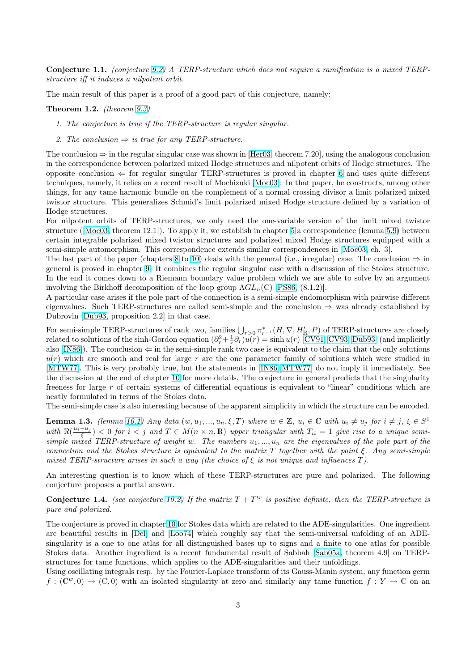<span id="page-2-0"></span>Conjecture 1.1. (conjecture 9.2) A TERP-structure which does not require a ramification is a mixed TERPstructure iff it induces a nilpotent orbit.

The main result of this paper is a proof of a good part of this conjecture, namely:

**Theorem 1.2.** (theorem  $9.3$ )

- 1. The conjecture is true if the TERP-structure is regular singular.
- 2. The conclusion  $\Rightarrow$  is true for any TERP-structure.

The conclusion  $\Rightarrow$  in the r[egul](#page-31-0)ar singular case was shown in [Her03, theorem 7.20], using the analogous conclusion in the correspondence between polarized mixed Hodge structures and nilpotent orbits of Hodge structures. The opposite conclusion  $\Leftarrow$  for regular singular TERP-structures is proved in chapter 6 and uses quite different techniques, namely, it relies on a recent result of Mochizuki [Moc03]: In that paper, he constructs, among other things, for any tame harmonic bundle on the complement [of a no](#page-40-0)rmal crossing divisor a limit polarized mixed twistor structure. This generalizes Schmid's limit polarized mixed Hodge structure defined by a variation of Hodge structures.

For nilpotent orbits of TERP-structures, we only need t[he one-v](#page-41-0)ariable version of the limit mixed twistor structure ([Moc03, theorem 12.1]). To apply it, we establish in chapter 5 a correspondence (lemma 5.9) between certain integrable polarized mixed twistor structures and polarized mixed Hodge structures equipped with a semi-simple automorphism. This correspondence extends similar correspondences in [Moc03, ch. 3].

The last part of the paper (chapters 8 to 10) deals with the general (i.e., irregular) case. The conclusion  $\Rightarrow$  in general is [proved i](#page-41-0)n chapter 9. It combines the regular singular case [wit](#page-12-0)h a discussion of the Sto[kes s](#page-17-0)tructure. In the end it comes down to a Riemann boundary value problem which we are able to solve by an argument involving the Birkhoff decomposition of the loop group  $\Lambda GL_n(\mathbb{C})$  [PS86, (8.1.2)].

A particular case arises if the pole pa[rt](#page-28-0) of [the](#page-34-0) connection is a semi-simple endomorphism with pairwise different eigenvalues. Such TERP-st[ruc](#page-31-0)tures are called semi-simple and the conclusion ⇒ was already established by Dubrovin [Dub93, proposition 2.2] in that case.

For semi-simple TERP-structures of rank two, families  $\bigcup_{r>0} \pi^*_{r^{-1}}(H, \nabla, H'_{\mathbb{R}}, P)$  $\bigcup_{r>0} \pi^*_{r^{-1}}(H, \nabla, H'_{\mathbb{R}}, P)$  $\bigcup_{r>0} \pi^*_{r^{-1}}(H, \nabla, H'_{\mathbb{R}}, P)$  of TERP-structures are closely related to solutions of the sinh-Gordon equation  $(\partial_r^2 + \frac{1}{r}\partial_r)u(r) = \sinh u(r)$  [CV91][CV93][Dub93] (and implicitly also  $[IN86]$ . The conclusion  $\Leftarrow$  in the semi-simple rank two case is equivalent to the claim that the only solutions  $u(r)$  whic[h are sm](#page-40-0)ooth and real for large r are the one parameter family of solutions which were studied in [MTW77]. This is very probably true, but the statements in [IN86][MTW77] do not imply it immediately. See the discussion at the end of chapter 10 for more details. The conjecture in [general predicts that](#page-40-0) the singularity free[ness fo](#page-41-0)r large r of certain systems of differential equations is equivalent to "linear" conditions which are neatly formulated in terms of the Stokes data.

[The semi-](#page-41-0)simple case is also interesting because of the apparen[t simplicity in w](#page-41-0)hich the structure can be encoded.

**Lemma 1.3.** (lemma 10.1) Any d[ata](#page-34-0)  $(w, u_1, ..., u_n, \xi, T)$  where  $w \in \mathbb{Z}$ ,  $u_i \in \mathbb{C}$  with  $u_i \neq u_j$  for  $i \neq j$ ,  $\xi \in S^1$ with  $\Re(\frac{u_i-u_j}{\xi})$  < 0 for  $i < j$  and  $T \in M(n \times n, \mathbb{R})$  upper triangular with  $T_{ii} = 1$  give rise to a unique semisimple mixed TERP-structure of weight w. The numbers  $u_1, ..., u_n$  are the eigenvalues of the pole part of the connection and the Stokes structure is equivalent to the matrix  $T$  together with the point  $\xi$ . Any semi-simple mixed TERP-structure [arise](#page-34-0)s in such a way (the choice of  $\xi$  is not unique and influences T).

An interesting question is to know which of these TERP-structures are pure and polarized. The following conjecture proposes a partial answer.

**Conjecture 1.4.** (see conjecture 10.2) If the matrix  $T + T^{tr}$  is positive definite, then the TERP-structure is pure and polarized.

The conjecture is proved in chapter 10 for Stokes data which are related to the ADE-singularities. One ingredient are beautiful results in [Del] and [Loo74] which roughly say that the semi-universal unfolding of an ADEsingularity is a one to one atlasf[or all](#page-35-0) distinguished bases up to signs and a finite to one atlas for possible Stokes data. Another ingredient is a recent fundamental result of Sabbah [Sab05a, theorem 4.9] on TERPstructures for tame functions, whi[ch a](#page-34-0)pplies to the ADE-singularities and their unfoldings.

Using oscillating integral[s resp](#page-40-0). by [the Fou](#page-41-0)rier-Laplace transform of its Gauss-Manin system, any function germ  $f:(\mathbb{C}^w,0)\to(\mathbb{C},0)$  with an isolated singularity at zero and similarly any tame function  $f:Y\to\mathbb{C}$  on an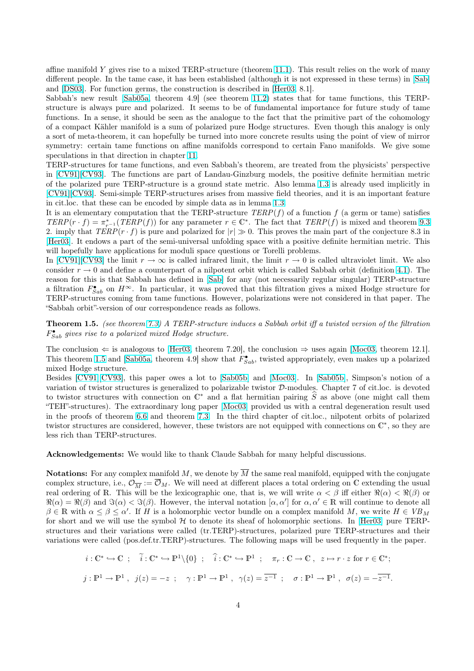affine manifold Y gives rise to a mixed TERP-structure (theorem 11.1). This result relies on the work of many different people. In the tame case, it has been established (although it is not expressed in these terms) in [Sab] and [DS03]. For function germs, the construction is described in [Her03, 8.1].

Sabbah's new result [Sab05a, theorem 4.9] (see theorem 11.2) states that for tame functions, this TERPstructure is always pure and polarized. It seems to be of funda[ment](#page-38-0)al importance for future study of tame functions. In a sense, it should be seen as the analogue to the fact that the primitive part of the cohom[ology](#page-41-0) of a [compa](#page-40-0)ct Kähler manifold is a sum of polarized pure Hodge [structu](#page-40-0)res. Even though this analogy is only a sort of meta-theore[m, it can](#page-41-0) hopefully be turned into mo[re con](#page-38-0)crete results using the point of view of mirror symmetry: certain tame functions on affine manifolds correspond to certain Fano manifolds. We give some speculations in that direction in chapter 11.

TERP-structures for tame functions, and even Sabbah's theorem, are treated from the physicists' perspective in [CV91][CV93]. The functions are part of Landau-Ginzburg models, the positive definite hermitian metric of the polarized pure TERP-structure is a ground state metric. Also lemma 1.3 is already used implicitly in [CV91][CV93]. Semi-simple TERP-struc[tur](#page-37-0)es arises from massive field theories, and it is an important feature in cit.loc. that these can be encoded by simple data as in lemma 1.3.

Iti[s an elementa](#page-40-0)ry computation that the TERP-structure  $TERP(f)$  of a function f (a germ or tame) satisfies  $TERP(r \cdot f) = \pi_{r^{-1}}^{*}(TERP(f))$  $TERP(r \cdot f) = \pi_{r^{-1}}^{*}(TERP(f))$  $TERP(r \cdot f) = \pi_{r^{-1}}^{*}(TERP(f))$  for any parameter  $r \in \mathbb{C}^{*}$ . The fact that  $TERP(f)$  is mixed and theorem 9.3 [2. imp](#page-40-0)l[y that](#page-40-0)  $TERP(r \cdot f)$  is pure and polarized for  $|r| \gg 0$ . This proves the main part of the conjecture 8.3 in [Her03]. It endows a part of the semi-universal unfolding space [with](#page-2-0) a positive definite hermitian metric. This will hopefully have applications for moduli space questions or Torelli problems.

In [CV91][CV93] the limit  $r \to \infty$  is called infrared limit, the limit  $r \to 0$  is called ultraviolet limit. We [also](#page-31-0) consider  $r \to 0$  and define a counterpart of a nilpotent orbit which is called Sabbah orbit (definition 4.1). The [reason](#page-40-0) for this is that Sabbah has defined in [Sab] for any (not necessarily regular singular) TERP-structure a filtration  $F_{Sab}^{\bullet}$  on  $H^{\infty}$ . In particular, it was proved that this filtration gives a mixed Hodge structure for TE[RP-structures](#page-40-0) coming from tame functions. However, polarizations were not considered in that paper. The "Sabbah orbit"-version of our correspondence reads as follows.

Theorem 1.5. (see theorem 7.3) A TERP-str[uctur](#page-41-0)e induces a Sabbah orbit iff a twisted version of the filtration  $F_{Sab}^{\bullet}$  gives rise to a polarized mixed Hodge structure.

The conclusion  $\Leftarrow$  is analogous to [Her03, theorem 7.20], the conclusion  $\Rightarrow$  uses again [Moc03, theorem 12.1]. This theorem 1.5 and [Sab05[a, t](#page-27-0)heorem 4.9] show that  $\tilde{F}_{Sab}^{\bullet}$ , twisted appropriately, even makes up a polarized mixed Hodge structure.

Besides [CV91][CV93], this paper owes a lot to [Sab05b] and [Moc03]. In [Sab05b], Simpson's notion of a variation of twistor structures is ge[neralize](#page-40-0)d to polarizable twistor D-modules. Chapter [7 of cit](#page-41-0).loc. is devoted to twistor structures [with con](#page-41-0)nection on  $\mathbb{C}^*$  and a flat hermitian pairing  $\hat{S}$  as above (one might call them "TEH"-structures). The extraordinary long paper [Moc03] provided us with a central degeneration result used in the p[roofs of theor](#page-40-0)em 6.6 and theorem 7.3. I[n the th](#page-41-0)ird ch[apter of](#page-41-0) cit.l[oc., nilpo](#page-41-0)tent orbits of polarized twistor structures are considered, however, these twistors are not equipped with connections on  $\mathbb{C}^*$ , so they are less rich than TERP-structures.

Acknowledgements: W[e wo](#page-20-0)uld like to th[ank](#page-27-0) Claude Sabbah for many helpful discussions.

**Notations:** For any complex manifold M, we denote by  $\overline{M}$  the same real manifold, equipped with the conjugate complex structure, i.e.,  $\mathcal{O}_{\overline{M}} := \overline{\mathcal{O}}_M$ . We will need at different places a total ordering on C extending the usual real ordering of R. This will be the lexicographic one, that is, we will write  $\alpha < \beta$  iff either  $\Re(\alpha) < \Re(\beta)$  or  $\Re(\alpha) = \Re(\beta)$  and  $\Im(\alpha) < \Im(\beta)$ . However, the interval notation  $[\alpha, \alpha']$  for  $\alpha, \alpha' \in \mathbb{R}$  will continue to denote all  $\beta \in \mathbb{R}$  with  $\alpha \leq \beta \leq \alpha'$ . If H is a holomorphic vector bundle on a complex manifold M, we write  $H \in VB_M$ for short and we will use the symbol  $H$  to denote its sheaf of holomorphic sections. In [Her03] pure TERPstructures and their variations were called (tr.TERP)-structures, polarized pure TERP-structures and their variations were called (pos.def.tr.TERP)-structures. The following maps will be used frequently in the paper.

$$
i: \mathbb{C}^* \hookrightarrow \mathbb{C} \ ; \quad \widetilde{i}: \mathbb{C}^* \hookrightarrow \mathbb{P}^1 \setminus \{0\} \ ; \quad \widehat{i}: \mathbb{C}^* \hookrightarrow \mathbb{P}^1 \ ; \quad \pi_r: \mathbb{C} \to \mathbb{C} \ , \ z \mapsto r \cdot z \text{ for } r \in \mathbb{C}^*;
$$
  

$$
j: \mathbb{P}^1 \to \mathbb{P}^1 \ , \ j(z) = -z \ ; \quad \gamma: \mathbb{P}^1 \to \mathbb{P}^1 \ , \ \gamma(z) = \overline{z^{-1}} \ ; \quad \sigma: \mathbb{P}^1 \to \mathbb{P}^1 \ , \ \sigma(z) = -\overline{z^{-1}}.
$$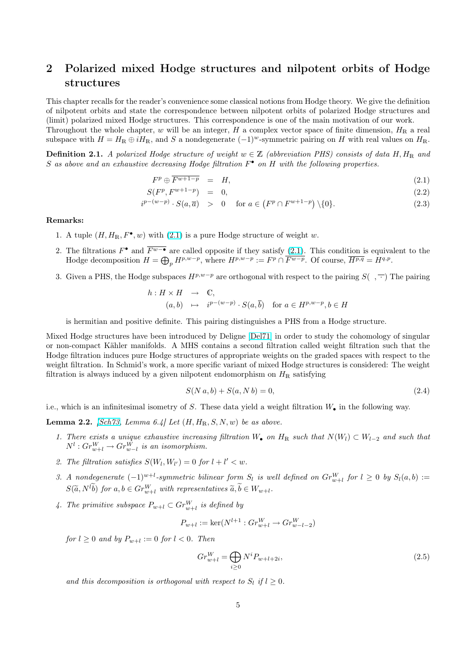# <span id="page-4-0"></span>2 Polarized mixed Hodge structures and nilpotent orbits of Hodge structures

This chapter recalls for the reader's convenience some classical notions from Hodge theory. We give the definition of nilpotent orbits and state the correspondence between nilpotent orbits of polarized Hodge structures and (limit) polarized mixed Hodge structures. This correspondence is one of the main motivation of our work. Throughout the whole chapter, w will be an integer, H a complex vector space of finite dimension,  $H_R$  a real

subspace with  $H = H_{\mathbb{R}} \oplus iH_{\mathbb{R}}$ , and S a nondegenerate  $(-1)^w$ -symmetric pairing on H with real values on  $H_{\mathbb{R}}$ .

**Definition 2.1.** A polarized Hodge structure of weight  $w \in \mathbb{Z}$  (abbreviation PHS) consists of data H, H<sub>R</sub> and S as above and an exhaustive decreasing Hodge filtration  $F^{\bullet}$  on H with the following properties.

$$
F^p \oplus \overline{F^{w+1-p}} = H, \tag{2.1}
$$

$$
S(F^p, F^{w+1-p}) = 0,
$$
\n(2.2)

$$
i^{p-(w-p)} \cdot S(a,\overline{a}) \quad > \quad 0 \quad \text{ for } a \in (F^p \cap F^{w+1-p}) \setminus \{0\}. \tag{2.3}
$$

#### Remarks:

- 1. A tuple  $(H, H_{\mathbb{R}}, F^{\bullet}, w)$  with  $(2.1)$  is a pure Hodge structure of weight w.
- 2. The filtrations  $F^{\bullet}$  and  $\overline{F^{w-\bullet}}$  are called opposite if they satisfy (2.1). This condition is equivalent to the The intrations  $F^{\dagger}$  and  $F^{\omega}$  + are called opposite if they satisfy  $(2.1)$ . This condition is equivarily Hodge decomposition  $H = \bigoplus_p H^{p,w-p}$ , where  $H^{p,w-p} := F^p \cap \overline{F^{w-p}}$ . Of course,  $\overline{H^{p,q}} = H^{q,p}$ .
- 3. Given a PHS, the Hodge subspaces  $H^{p,w-p}$  are orthogonal with respect to the pairing  $S( , \overline{\cdot} )$  The pairing

$$
h: H \times H \longrightarrow \mathbb{C},
$$
  
\n $(a, b) \mapsto i^{p-(w-p)} \cdot S(a, \overline{b})$  for  $a \in H^{p,w-p}, b \in H$ 

is hermitian and positive definite. This pairing distinguishes a PHS from a Hodge structure.

Mixed Hodge structures have been introduced by Deligne [Del71] in order to study the cohomology of singular or non-compact Kähler manifolds. A MHS contains a second filtration called weight filtration such that the Hodge filtration induces pure Hodge structures of appropriate weights on the graded spaces with respect to the weight filtration. In Schmid's work, a more specific variant of mixed Hodge structures is considered: The weight filtration is always induced by a given nilpotent endomorp[hism o](#page-40-0)n  $H_{\mathbb{R}}$  satisfying

$$
S(N a, b) + S(a, N b) = 0,\t(2.4)
$$

i.e., which is an infinitesimal isometry of S. These data yield a weight filtration  $W_{\bullet}$  in the following way.

**Lemma 2.2.** [Sch73, Lemma 6.4] Let  $(H, H_{\mathbb{R}}, S, N, w)$  be as above.

- 1. There exists a unique exhaustive increasing filtration W• on  $H_{\mathbb{R}}$  such that  $N(W_l) \subset W_{l-2}$  and such that  $N^l: Gr_{w+l}^W \to Gr_{w-l}^W$  is an isomorphism.
- 2. The filtr[ation sa](#page-41-0)tisfies  $S(W_l, W_{l'}) = 0$  for  $l + l' < w$ .
- 3. A nondegenerate  $(-1)^{w+l}$ -symmetric bilinear form  $S_l$  is well defined on  $Gr_{w+l}^W$  for  $l \geq 0$  by  $S_l(a, b) :=$  $S(\widetilde{a}, N^l \widetilde{b})$  for  $a, b \in Gr_{w+l}^W$  with representatives  $\widetilde{a}, \widetilde{b} \in W_{w+l}$ .
- 4. The primitive subspace  $P_{w+l} \subset Gr_{w+l}^W$  is defined by

$$
P_{w+l} := \ker(N^{l+1} : Gr_{w+l}^W \to Gr_{w-l-2}^W)
$$

for  $l \geq 0$  and by  $P_{w+l} := 0$  for  $l < 0$ . Then

$$
Gr_{w+l}^{W} = \bigoplus_{i \ge 0} N^i P_{w+l+2i},\tag{2.5}
$$

and this decomposition is orthogonal with respect to  $S_l$  if  $l \geq 0$ .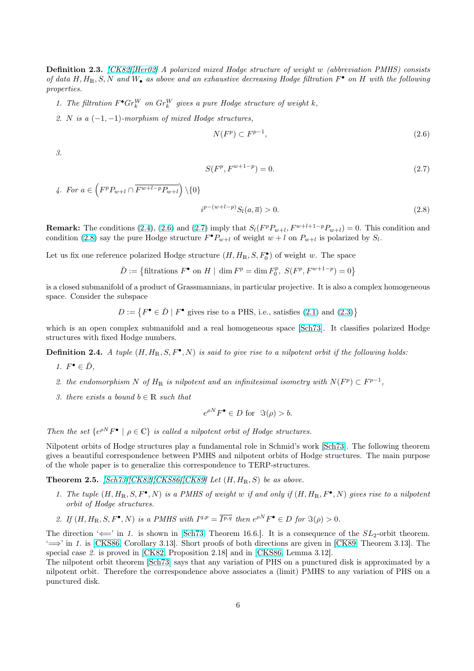<span id="page-5-0"></span>Definition 2.3. [CK82][Her02] A polarized mixed Hodge structure of weight w (abbreviation PMHS) consists of data  $H, H_{\mathbb{R}}, S, N$  and  $W_{\bullet}$  as above and an exhaustive decreasing Hodge filtration  $F^{\bullet}$  on  $H$  with the following properties.

- 1. The filtrati[on](#page-40-0)  $F^{\bullet} Gr_k^W$  $F^{\bullet} Gr_k^W$  $F^{\bullet} Gr_k^W$  on  $Gr_k^W$  gives a pure Hodge structure of weight k,
- 2. N is a  $(-1, -1)$ -morphism of mixed Hodge structures,

$$
N(F^p) \subset F^{p-1},\tag{2.6}
$$

3.

$$
S(F^p, F^{w+1-p}) = 0.\t\t(2.7)
$$

4. For  $a \in$  $\overline{a}$  $F^pP_{w+l}\cap \overline{F^{w+l-p}P_{w+l}}$ ´  $\setminus \{0\}$ 

$$
i^{p-(w+l-p)}S_l(a,\overline{a}) > 0. \t\t(2.8)
$$

**Remark:** The conditions (2.4), (2.6) and (2.7) imply that  $S_l(F^pP_{w+l}, F^{w+l+1-p}P_{w+l}) = 0$ . This condition and condition (2.8) say the pure Hodge structure  $F^{\bullet}P_{w+l}$  of weight  $w+l$  on  $P_{w+l}$  is polarized by  $S_l$ .

Let us fix one reference polarized Hodge structure  $(H, H_{\mathbb{R}}, S, F_0^{\bullet})$  of weight w. The space

 $\check{D} := \left\{ \text{filtrations } F^{\bullet} \text{ on } H \mid \dim F^p = \dim F_0^p, S(F^p, F^{w+1-p}) = 0 \right\}$  $\check{D} := \left\{ \text{filtrations } F^{\bullet} \text{ on } H \mid \dim F^p = \dim F_0^p, S(F^p, F^{w+1-p}) = 0 \right\}$  $\check{D} := \left\{ \text{filtrations } F^{\bullet} \text{ on } H \mid \dim F^p = \dim F_0^p, S(F^p, F^{w+1-p}) = 0 \right\}$ 

is a closed submanifold of a product of Grassmannians, in particular projective. It is also a complex homogeneous space. Consider the subspace

> $D := \{F^{\bullet} \in \check{D} \mid F^{\bullet} \text{ gives rise to a PHS, i.e., satisfies (2.1) and (2.3)}\}$ ª

which is an open complex submanifold and a real homogeneous space [Sch73]. It classifies polarized Hodge structures with fixed Hodge numbers.

**Definition 2.4.** A tuple  $(H, H_{\mathbb{R}}, S, F^{\bullet}, N)$  is said to give rise to a nilpote[nt o](#page-4-0)rbit if [the](#page-4-0) following holds:

- 1.  $F^{\bullet} \in \check{D}$ ,
- 2. the endomorphism N of  $H_{\mathbb{R}}$  is nilpotent and an infinitesimal isometry with  $N(F^p) \subset F^{p-1}$ ,
- 3. there exists a bound  $b \in \mathbb{R}$  such that

$$
e^{\rho N} F^{\bullet} \in D \text{ for } \Im(\rho) > b.
$$

Then the set  $\{e^{\rho N}F^{\bullet} \mid \rho \in \mathbb{C}\}$  is called a nilpotent orbit of Hodge structures.

Nilpotent orbits of Hodge structures play a fundamental role in Schmid's work [Sch73]. The following theorem gives a beautiful correspondence between PMHS and nilpotent orbits of Hodge structures. The main purpose of the whole paper is to generalize this correspondence to TERP-structures.

**Theorem 2.5.**  $[Sch73][CK82][CKS86][CK89]$  Let  $(H, H_R, S)$  be as above.

- 1. The tuple  $(H, H_{\mathbb{R}}, S, F^{\bullet}, N)$  is a PMHS of weight w if and only if  $(H, H_{\mathbb{R}}, F^{\bullet}, N)$  gives rise to a nilpotent orbit of Hodge structures.
- 2. If  $(H, H_{\mathbb{R}}, S, F^{\bullet}, N)$  $(H, H_{\mathbb{R}}, S, F^{\bullet}, N)$  $(H, H_{\mathbb{R}}, S, F^{\bullet}, N)$  [is a PMHS with](#page-40-0)  $I^{q,p} = \overline{I^{p,q}}$  then  $e^{\rho N} F^{\bullet} \in D$  for  $\Im(\rho) > 0$ .

The direction ' $\Longleftarrow$ ' in 1. is shown in [Sch73, Theorem 16.6.]. It is a consequence of the  $SL_2$ -orbit theorem.  $\iff$  in 1. is [CKS86, Corollary 3.13]. Short proofs of both directions are given in [CK89, Theorem 3.13]. The special case 2. is proved in [CK82, Proposition 2.18] and in [CKS86, Lemma 3.12].

The nilpotent orbit theorem [Sch73] says that any variation of PHS on a punctured disk is approximated by a nilpotent orbit. Therefore the corresp[ondence](#page-41-0) above associates a (limit) PMHS to any variation of PHS on a punctured dis[k.](#page-40-0)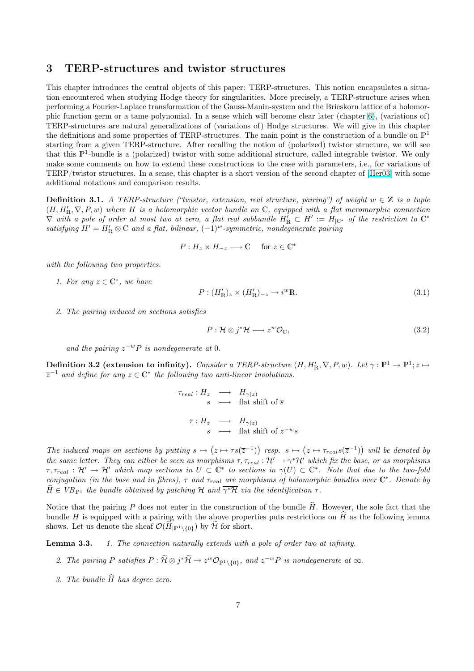### <span id="page-6-0"></span>3 TERP-structures and twistor structures

This chapter introduces the central objects of this paper: TERP-structures. This notion encapsulates a situation encountered when studying Hodge theory for singularities. More precisely, a TERP-structure arises when performing a Fourier-Laplace transformation of the Gauss-Manin-system and the Brieskorn lattice of a holomorphic function germ or a tame polynomial. In a sense which will become clear later (chapter 6), (variations of) TERP-structures are natural generalizations of (variations of) Hodge structures. We will give in this chapter the definitions and some properties of TERP-structures. The main point is the construction of a bundle on  $\mathbb{P}^1$ starting from a given TERP-structure. After recalling the notion of (polarized) twistor structure, we will see that this  $\mathbb{P}^1$ -bundle is a (polarized) twistor with some additional structure, called integrabl[e t](#page-18-0)wistor. We only make some comments on how to extend these constructions to the case with parameters, i.e., for variations of TERP/twistor structures. In a sense, this chapter is a short version of the second chapter of [Her03] with some additional notations and comparison results.

**Definition 3.1.** A TERP-structure ("twistor, extension, real structure, pairing") of weight  $w \in \mathbb{Z}$  is a tuple  $(H, H'_{\mathbb{R}}, \nabla, P, w)$  where H is a holom[orphic](#page-40-0) vector bundle on C, equipped with a flat meromorphic connection  $\nabla$  with a pole of order at most two at zero, a flat real subbundle  $H'_R \subset H' := H_{|\mathbb{C}^*}$  of the restriction to  $\mathbb{C}^*$ satisfying  $H' = H'_{\mathbb{R}} \otimes \mathbb{C}$  and a flat, bilinear,  $(-1)^w$ -symmetric, nondegenerate pairing

$$
P: H_z \times H_{-z} \longrightarrow \mathbb{C} \quad \text{ for } z \in \mathbb{C}^*
$$

with the following two properties.

1. For any  $z \in \mathbb{C}^*$ , we have

$$
P: (H'_{\mathbb{R}})_{z} \times (H'_{\mathbb{R}})_{-z} \to i^{w} \mathbb{R}.
$$
\n
$$
(3.1)
$$

2. The pairing induced on sections satisfies

$$
P: \mathcal{H} \otimes j^* \mathcal{H} \longrightarrow z^w \mathcal{O}_\mathbb{C},\tag{3.2}
$$

and the pairing  $z^{-w}P$  is nondegenerate at 0.

Definition 3.2 (extension to infinity). Consider a TERP-structure  $(H, H'_{\mathbb{R}}, \nabla, P, w)$ . Let  $\gamma : \mathbb{P}^1 \to \mathbb{P}^1$ ;  $z \mapsto$  $\overline{z}^{-1}$  and define for any  $z \in \mathbb{C}^*$  the following two anti-linear involutions.

$$
\tau_{real}: H_z \longrightarrow H_{\gamma(z)}
$$
\n
$$
s \longrightarrow \text{flat shift of } \overline{s}
$$
\n
$$
\tau: H_z \longrightarrow H_{\gamma(z)}
$$
\n
$$
s \longmapsto \text{flat shift of } \overline{z^{-w}s}
$$

The induced maps on sections by putting  $s \mapsto$ ¡  $z \mapsto \tau s(\overline{z}^{-1})$ ¢ resp.  $s \mapsto$ ¡  $z \mapsto \tau_{real} s(\overline{z}^{-1})$ ¢ will be denoted by the same letter. They can either be seen as morphisms  $\tau, \tau_{real} : \mathcal{H}' \to \overline{\gamma^* \mathcal{H}'}$  which fix the base, or as morphisms  $\tau, \tau_{real} : \mathcal{H}' \to \mathcal{H}'$  which map sections in  $U \subset \mathbb{C}^*$  to sections in  $\gamma(U) \subset \mathbb{C}^*$ . Note that due to the two-fold conjugation (in the base and in fibres),  $\tau$  and  $\tau_{real}$  are morphisms of holomorphic bundles over  $\mathbb{C}^*$ . Denote by  $\widehat{H} \in VB_{\mathbb{P}^1}$  the bundle obtained by patching H and  $\overline{\gamma^*\mathcal{H}}$  via the identification  $\tau$ .

Notice that the pairing P does not enter in the construction of the bundle  $\hat{H}$ . However, the sole fact that the bundle H is equipped with a pairing with the above properties puts restrictions on  $\hat{H}$  as the following lemma shows. Let us denote the sheaf  $\mathcal{O}(\widetilde{H}_{\mathbb{P}^1\setminus\{0\}})$  by  $\widetilde{\mathcal{H}}$  for short.

Lemma 3.3. 1. The connection naturally extends with a pole of order two at infinity.

- 2. The pairing P satisfies  $P: \widetilde{\mathcal{H}} \otimes j^* \widetilde{\mathcal{H}} \to z^w \mathcal{O}_{\mathbb{P}^1 \setminus \{0\}}$ , and  $z^{-w}P$  is nondegenerate at  $\infty$ .
- 3. The bundle  $\widehat{H}$  has degree zero.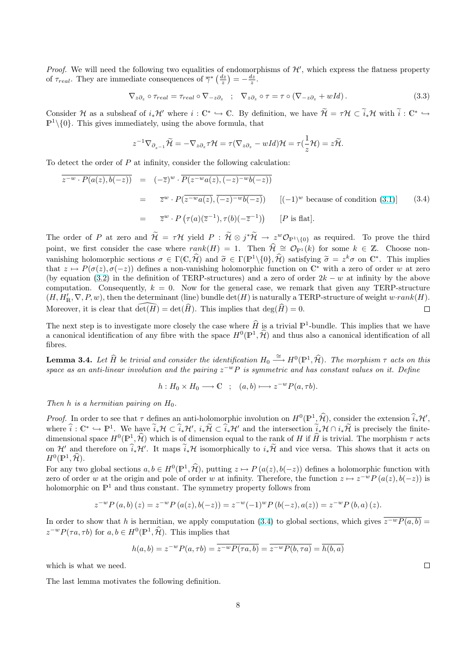<span id="page-7-0"></span>*Proof.* We will need the following two equalities of endomorphisms of  $\mathcal{H}'$ , which express the flatness property of  $\tau_{real}$ . They are immediate consequences of  $\overline{\gamma}^* \left( \frac{dz}{z} \right) = -\frac{dz}{z}$ .

$$
\nabla_{z\partial_z} \circ \tau_{real} = \tau_{real} \circ \nabla_{-z\partial_z} \quad ; \quad \nabla_{z\partial_z} \circ \tau = \tau \circ (\nabla_{-z\partial_z} + wId) \,. \tag{3.3}
$$

Consider H as a subsheaf of  $i_*\mathcal{H}'$  where  $i:\mathbb{C}^*\hookrightarrow \mathbb{C}$ . By definition, we have  $\widetilde{\mathcal{H}} = \tau\mathcal{H} \subset \widetilde{i}_*\mathcal{H}$  with  $\widetilde{i}: \mathbb{C}^*\hookrightarrow$  $\mathbb{P}^1\setminus\{0\}$ . This gives immediately, using the above formula, that

$$
z^{-1}\nabla_{\partial_{z^{-1}}}\widetilde{\mathcal{H}}=-\nabla_{z\partial_z}\tau\mathcal{H}=\tau(\nabla_{z\partial_z}-wId)\mathcal{H}=\tau(\frac{1}{z}\mathcal{H})=z\widetilde{\mathcal{H}}.
$$

To detect the order of P at infinity, consider the following calculation:

$$
\overline{z^{-w} \cdot P(a(z), b(-z))} = (-\overline{z})^w \cdot \overline{P(z^{-w}a(z), (-z)^{-w}b(-z))}
$$
\n
$$
= \overline{z}^w \cdot P(\overline{z^{-w}a(z), (-z)^{-w}b(-z)}) \qquad [(-1)^w \text{ because of condition (3.1)}]
$$
\n
$$
= \overline{z}^w \cdot P(\tau(a)(\overline{z}^{-1}), \tau(b)(-\overline{z}^{-1})) \qquad [P \text{ is flat}].
$$
\n(3.4)

The order of P at zero and  $\widetilde{\mathcal{H}} = \tau \mathcal{H}$  yield  $P : \widetilde{\mathcal{H}} \otimes j^* \widetilde{\mathcal{H}} \to z^w \mathcal{O}_{\mathbb{P}^1 \setminus \{0\}}$  as required. To p[rove](#page-6-0) the third point, we first consider the case where  $rank(H) = 1$ . Then  $\hat{\mathcal{H}} \cong \mathcal{O}_{\mathbb{P}^1} (k)$  for some  $k \in \mathbb{Z}$ . Choose nonvanishing holomorphic sections  $\sigma \in \Gamma(\mathbb{C}, \widehat{\mathcal{H}})$  and  $\widetilde{\sigma} \in \Gamma(\mathbb{P}^1 \setminus \{0\}, \widehat{\mathcal{H}})$  satisfying  $\widetilde{\sigma} = z^k \sigma$  on  $\mathbb{C}^*$ . This implies that  $z \mapsto P(\sigma(z), \sigma(-z))$  defines a non-vanishing holomorphic function on  $\mathbb{C}^*$  with a zero of order w at zero (by equation (3.2) in the definition of TERP-structures) and a zero of order  $2k - w$  at infinity by the above computation. Consequently,  $k = 0$ . Now for the general case, we remark that given any TERP-structure  $(H, H'_{\mathbb{R}}, \nabla, P, w)$ , then the determinant (line) bundle  $\det(H)$  is naturally a TERP-structure of weight  $w\cdot rank(H)$ . Moreover, it is clear that  $\widehat{\det(H)} = \det(\widehat{H})$ . This implies that  $\deg(\widehat{H}) = 0$ .  $\Box$ 

The next step is to investigate more closely the case where  $\widehat{H}$  is a trivial  $\mathbb{P}^1$ -bundle. This implies that we have a canonical identification of any fibre with the space  $H^0(\mathbb{P}^1, \hat{\mathcal{H}})$  and thus also a canonical identification of all fibres.

**Lemma 3.4.** Let  $\widehat{H}$  be trivial and consider the identification  $H_0 \stackrel{\cong}{\longrightarrow} H^0(\mathbb{P}^1, \widehat{\mathcal{H}})$ . The morphism  $\tau$  acts on this space as an anti-linear involution and the pairing  $z^{-w}P$  is symmetric and has constant values on it. Define

$$
h: H_0 \times H_0 \longrightarrow \mathbb{C} \quad ; \quad (a, b) \longmapsto z^{-w} P(a, \tau b).
$$

Then h is a hermitian pairing on  $H_0$ .

*Proof.* In order to see that  $\tau$  defines an anti-holomorphic involution on  $H^0(\mathbb{P}^1, \hat{\mathcal{H}})$ , consider the extension  $\widehat{i}_*\mathcal{H}'$ , where  $\hat{i}: \mathbb{C}^* \hookrightarrow \mathbb{P}^1$ . We have  $\tilde{i}_{*}\mathcal{H} \subset \hat{i}_{*}\mathcal{H}'$ ,  $i_{*}\tilde{\mathcal{H}} \subset \hat{i}_{*}\mathcal{H}'$  and the intersection  $\tilde{i}_{*}\mathcal{H} \cap i_{*}\tilde{\mathcal{H}}$  is precisely the finitedimensional space  $H^0(\mathbb{P}^1, \hat{\mathcal{H}})$  which is of dimension equal to the rank of H if  $\hat{H}$  is trivial. The morphism  $\tau$  acts on  $\mathcal{H}'$  and therefore on  $\widehat{i}_*\mathcal{H}'$ . It maps  $\widetilde{i}_*\mathcal{H}$  isomorphically to  $i_*\widetilde{\mathcal{H}}$  and vice versa. This shows that it acts on  $H^0(\mathbb{P}^1, \widehat{\mathcal{H}}).$ 

For any two global sections  $a, b \in H^0(\mathbb{P}^1, \hat{\mathcal{H}})$ , putting  $z \mapsto P(a(z), b(-z))$  defines a holomorphic function with zero of order w at the origin and pole of order w at infinity. Therefore, the function  $z \mapsto z^{-w} P(a(z), b(-z))$  is holomorphic on  $\mathbb{P}^1$  and thus constant. The symmetry property follows from

$$
z^{-w}P(a,b)(z) = z^{-w}P(a(z),b(-z)) = z^{-w}(-1)^wP(b(-z),a(z)) = z^{-w}P(b,a)(z).
$$

In order to show that h is hermitian, we apply computation (3.4) to global sections, which gives  $\overline{z^{-w}P(a, b)}$  =  $z^{-w}P(\tau a, \tau b)$  for  $a, b \in H^0(\mathbb{P}^1, \widehat{\mathcal{H}})$ . This implies that

$$
h(a, b) = z^{-w} P(a, \tau b) = \overline{z^{-w} P(\tau a, b)} = \overline{z^{-w} P(b, \tau a)} = \overline{h(b, a)}
$$

which is what we need.

The last lemma motivates the following definition.

 $\Box$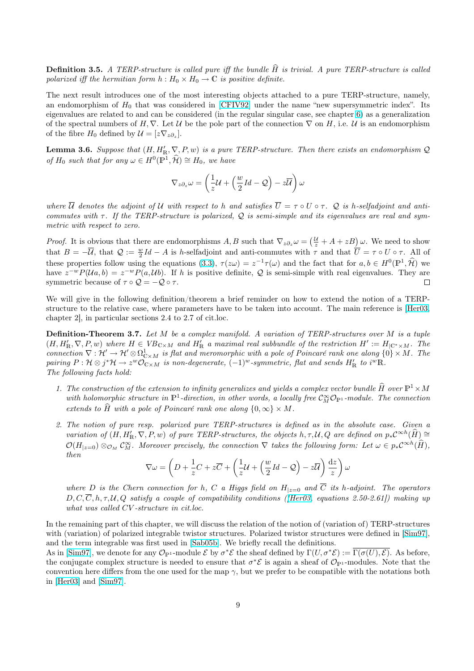**Definition 3.5.** A TERP-structure is called pure iff the bundle  $\hat{H}$  is trivial. A pure TERP-structure is called polarized iff the hermitian form  $h : H_0 \times H_0 \to \mathbb{C}$  is positive definite.

The next result introduces one of the most interesting objects attached to a pure TERP-structure, namely, an endomorphism of  $H_0$  that was considered in [CFIV92] under the name "new supersymmetric index". Its eigenvalues are related to and can be considered (in the regular singular case, see chapter 6) as a generalization of the spectral numbers of  $H, \nabla$ . Let U be the pole part of the connection  $\nabla$  on H, i.e. U is an endomorphism of the fibre  $H_0$  defined by  $\mathcal{U} = [z \nabla_{z \partial_z}]$ .

**Lemma 3.6.** Suppose that  $(H, H'_{\mathbb{R}}, \nabla, P, w)$  is a [pure TER](#page-40-0)P-structure. Then there exist[s a](#page-18-0)n endomorphism  $\mathcal{Q}$ of  $H_0$  such that for any  $\omega \in H^0(\mathbb{P}^1, \widehat{\mathcal{H}}) \cong H_0$ , we have

$$
\nabla_{z\partial_z}\omega = \left(\frac{1}{z}\mathcal{U} + \left(\frac{w}{2}\mathit{Id} - \mathcal{Q}\right) - z\overline{\mathcal{U}}\right)\omega
$$

where  $\overline{U}$  denotes the adjoint of U with respect to h and satisfies  $\overline{U} = \tau \circ U \circ \tau$ . Q is h-selfadjoint and anticommutes with  $\tau$ . If the TERP-structure is polarized, Q is semi-simple and its eigenvalues are real and symmetric with respect to zero.

 $\left(\frac{\mathcal{U}}{z} + A + zB\right)\omega$ . We need to show *Proof.* It is obvious that there are endomorphisms  $A, B$  such that  $\nabla_z \partial_z \omega =$ that  $B = -\overline{\mathcal{U}}$ , that  $\mathcal{Q} := \frac{w}{2}Id - A$  is h-selfadjoint and anti-commutes with  $\tau$  and that  $\overline{U} = \tau \circ U \circ \tau$ . All of these properties follow using the equations (3.3),  $\tau(z\omega) = z^{-1}\tau(\omega)$  and the fact that for  $a, b \in H^0(\mathbb{P}^1, \widehat{\mathcal{H}})$  we have  $z^{-w}P(\mathcal{U}a, b) = z^{-w}P(a, \mathcal{U}b)$ . If h is positive definite, Q is semi-simple with real eigenvalues. They are symmetric because of  $\tau \circ \mathcal{Q} = -\mathcal{Q} \circ \tau$ .  $\Box$ 

We will give in the following definition/the[orem](#page-7-0) a brief reminder on how to extend the notion of a TERPstructure to the relative case, where parameters have to be taken into account. The main reference is [Her03, chapter 2], in particular sections 2.4 to 2.7 of cit.loc.

**Definition-Theorem 3.7.** Let M be a complex manifold. A variation of TERP-structures over M is a tuple  $(H, H'_{\mathbb{R}}, \nabla, P, w)$  where  $H \in VB_{\mathbb{C}\times M}$  and  $H'_{\mathbb{R}}$  a maximal real subbundle of the restriction  $H' := H_{|\mathbb{C}^*\times M}$ [. The](#page-40-0) connection  $\nabla : \mathcal{H}' \to \mathcal{H}' \otimes \Omega_{C \times M}^1$  is flat and meromorphic with a pole of Poincaré rank one along  $\{0\} \times M$ . The pairing  $P: \mathcal{H} \otimes j^* \mathcal{H} \to z^w \mathcal{O}_{\mathbb{C}\times M}$  is non-degenerate,  $(-1)^w$ -symmetric, flat and sends  $H'_{\mathbb{R}}$  to  $i^w \mathbb{R}$ . The following facts hold:

- 1. The construction of the extension to infinity generalizes and yields a complex vector bundle  $\widehat{H}$  over  $\mathbb{P}^1\times M$ with holomorphic structure in  $\mathbb{P}^1$ -direction, in other words, a locally free  $\mathcal{C}_M^{\infty} \mathcal{O}_{\mathbb{P}^1}$ -module. The connection extends to H with a pole of Poincaré rank one along  ${0, \infty} \times M$ .
- 2. The notion of pure resp. polarized pure TERP-structures is defined as in the absolute case. Given a variation of  $(H, H'_{\mathbb{R}}, \nabla, P, w)$  of pure TERP-structures, the objects  $h, \tau, \mathcal{U}, Q$  are defined on  $p_*\mathcal{C}^{\infty h}(\widehat{H}) \cong$  $\mathcal{O}(H_{|z=0}) \otimes_{\mathcal{O}_M} C_M^{\infty}$ . Moreover precisely, the connection  $\nabla$  takes the following form: Let  $\omega \in p_* C^{\infty h}(\widehat{H})$ , then  $\overline{a}$  $\overline{a}$  $\mathbf{r}$  $\mathbf{r}$

$$
\nabla \omega = \left( D + \frac{1}{z}C + z\overline{C} + \left( \frac{1}{z}\mathcal{U} + \left( \frac{w}{2}Id - \mathcal{Q} \right) - z\overline{\mathcal{U}} \right) \frac{dz}{z} \right) \omega
$$

where D is the Chern connection for h, C a Higgs field on  $H_{|z=0}$  and  $\overline{C}$  its h-adjoint. The operators  $D, C, \overline{C}, h, \tau, \mathcal{U}, Q$  satisfy a couple of compatibility conditions (*Hero3*, equations 2.50-2.61) making up what was called CV -structure in cit.loc.

In the remaining part of this chapter, we will discuss the relation of the notion of (variation of) TERP-structures with (variation) of polarized integrable t[wistor s](#page-40-0)tructures. Polarized twistor structures were defined in [Sim97], and the term integrable was first used in [Sab05b]. We briefly recall the definitions.

As in [Sim97], we denote for any  $\mathcal{O}_{\mathbb{P}^1}$ -module  $\mathcal{E}$  by  $\sigma^*\mathcal{E}$  the sheaf defined by  $\Gamma(U, \sigma^*\mathcal{E}) := \overline{\Gamma(\sigma(U), \mathcal{E})}$ . As before, the conjugate complex structure is needed to ensure that  $\sigma^*\mathcal{E}$  is again a sheaf of  $\mathcal{O}_{\mathbb{P}^1}$ -modules. Note that the convention here differs from the one used for the map  $\gamma$ , but we prefer to be compatible with the notatio[ns both](#page-42-0) in [Her03] and [Sim97].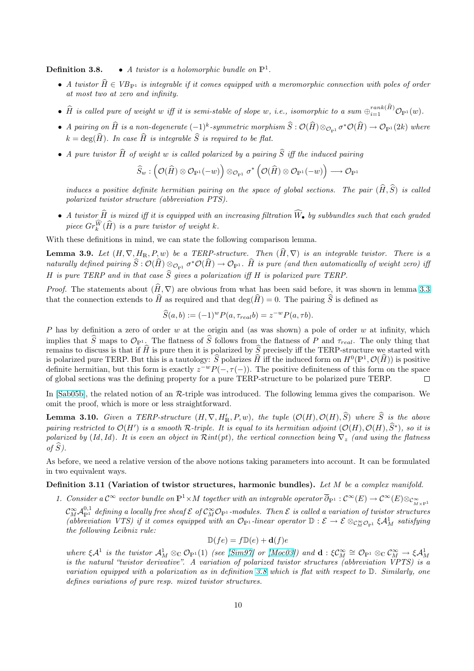<span id="page-9-0"></span>**Definition 3.8.** • A twistor is a holomorphic bundle on  $\mathbb{P}^1$ .

- A twistor  $\hat{H} \in VB_{\mathbb{P}^1}$  is integrable if it comes equipped with a meromorphic connection with poles of order at most two at zero and infinity.
- $\widehat{H}$  is called pure of weight w iff it is semi-stable of slope w, i.e., isomorphic to a sum  $\oplus_{i=1}^{rank(\widehat{H})} \mathcal{O}_{\mathbb{P}^1}(w)$ .
- A pairing on  $\widehat{H}$  is a non-degenerate  $(-1)^k$ -symmetric morphism  $\widehat{S}:\mathcal{O}(\widehat{H})\otimes_{\mathcal{O}_{\mathbb{P}^1}}\sigma^*\mathcal{O}(\widehat{H})\to \mathcal{O}_{\mathbb{P}^1}(2k)$  where  $k = \deg(\widehat{H})$ . In case  $\widehat{H}$  is integrable  $\widehat{S}$  is required to be flat.
- A pure twistor  $\widehat{H}$  of weight w is called polarized by a pairing  $\widehat{S}$  iff the induced pairing

$$
\widehat{S}_w : \left(\mathcal{O}(\widehat{H}) \otimes \mathcal{O}_{\mathbb{P}^1}(-w)\right) \otimes_{\mathcal{O}_{\mathbb{P}^1}} \sigma^* \left(\mathcal{O}(\widehat{H}) \otimes \mathcal{O}_{\mathbb{P}^1}(-w)\right) \longrightarrow \mathcal{O}_{\mathbb{P}^1}
$$

induces a positive definite hermitian pairing on the space of global sections. The pair  $(\widehat{H}, \widehat{S})$  is called polarized twistor structure (abbreviation PTS).

• A twistor  $\widehat{H}$  is mixed iff it is equipped with an increasing filtration  $\widehat{W}_{\bullet}$  by subbundles such that each graded piece  $Gr_k^{\widehat{W}}(\widehat{H})$  is a pure twistor of weight k.

With these definitions in mind, we can state the following comparison lemma.

**Lemma 3.9.** Let  $(H, \nabla, H_{\mathbb{R}}, P, w)$  be a TERP-structure. Then  $(H, \nabla)$  is an integrable twistor. There is a naturally defined pairing  $\widehat S:\mathcal O(\widehat H)\otimes_{\mathcal O_{\mathbb P^1}} \sigma^*\mathcal O(\widehat H)\to \mathcal O_{\mathbb P^1}.$   $\widehat H$  is pure (and then automatically of weight zero) iff H is pure TERP and in that case  $\widehat{S}$  gives a polarization iff H is polarized pure TERP.

*Proof.* The statements about  $(\hat{H}, \nabla)$  are obvious from what has been said before, it was shown in lemma 3.3 that the connection extends to  $\widehat{H}$  as required and that  $\deg(\widehat{H}) = 0$ . The pairing  $\widehat{S}$  is defined as

$$
\widehat{S}(a,b) := (-1)^w P(a, \tau_{real}b) = z^{-w} P(a, \tau b).
$$

P has by definition a zero of order w at the origin and (as was shown) a pole of order w at infinity, w[hich](#page-6-0) implies that  $\widehat{S}$  maps to  $\mathcal{O}_{\mathbb{P}^1}$ . The flatness of  $\widehat{S}$  follows from the flatness of P and  $\tau_{real}$ . The only thing that remains to discuss is that if  $\hat{H}$  is pure then it is polarized by  $\hat{S}$  precisely iff the TERP-structure we started with is polarized pure TERP. But this is a tautology:  $\hat{S}$  polarizes  $\hat{H}$  iff the induced form on  $H^0(\mathbb{P}^1, \mathcal{O}(\hat{H}))$  is positive definite hermitian, but this form is exactly  $z^{-w}P(-, \tau(-))$ . The positive definiteness of this form on the space of global sections was the defining property for a pure TERP-structure to be polarized pure TERP.  $\Box$ 

In [Sab05b], the related notion of an R-triple was introduced. The following lemma gives the comparison. We omit the proof, which is more or less straightforward.

**Lemma 3.10.** Given a TERP-structure  $(H, \nabla, H'_{\mathbb{R}}, P, w)$ , the tuple  $(\mathcal{O}(H), \mathcal{O}(H), \widehat{S})$  where  $\widehat{S}$  is the above pairing restricted to  $\mathcal{O}(H')$  is a smooth R-triple. It is equal to its hermitian adjoint  $(\mathcal{O}(H), \mathcal{O}(H), \widehat{S}^*)$ , so it is pol[arized by](#page-41-0) (Id, Id). It is even an object in  $Rint(pt)$ , the vertical connection being  $\nabla_z$  (and using the flatness of  $\widehat{S}$ ).

As before, we need a relative version of the above notions taking parameters into account. It can be formulated in two equivalent ways.

Definition 3.11 (Variation of twistor structures, harmonic bundles). Let  $M$  be a complex manifold.

1. Consider a  $\mathcal{C}^\infty$  vector bundle on  $\mathbb{P}^1\times M$  together with an integrable operator  $\overline{\partial}_{\mathbb{P}^1}:\mathcal{C}^\infty(E)\to \mathcal{C}^\infty(E)\otimes_{\mathcal{C}^\infty_{M\times\mathbb{P}^1}}\mathcal{C}$ 

 $\mathcal{C}_M^\infty \mathcal{A}^{0,1}_{\mathbb{P}^1}$  defining a locally free sheaf  $\mathcal{E}$  of  $\mathcal{C}_M^\infty \mathcal{O}_{\mathbb{P}^1}$ -modules. Then  $\mathcal{E}$  is called a variation of twistor structures (abbreviation VTS) if it comes equipped with an  $\mathcal{O}_{\mathbb{P}^1}$ -linear operator  $\mathbb{D}: \mathcal{E} \to \mathcal{E} \otimes_{\mathcal{C}_{M}^{\infty} \mathcal{O}_{\mathbb{P}^1}} \xi \mathcal{A}_{M}^{1}$  satisfying the following Leibniz rule:

$$
\mathbb{D}(fe) = f\mathbb{D}(e) + \mathbf{d}(f)e
$$

where  $\xi \mathcal{A}^1$  is the twistor  $\mathcal{A}_M^1 \otimes_{\mathbb{C}} \mathcal{O}_{\mathbb{P}^1}(1)$  (see [Sim97] or [Moc03]) and  $\mathbf{d} : \xi \mathcal{C}_M^{\infty} \cong \mathcal{O}_{\mathbb{P}^1} \otimes_{\mathbb{C}} \mathcal{C}_M^{\infty} \to \xi \mathcal{A}_M^1$ is the natural "twistor derivative". A variation of polarized twistor structures (abbreviation VPTS) is a variation equipped with a polarization as in definition 3.8 which is flat with respect to D. Similarly, one defines variations of pure resp. mixed twistor structures.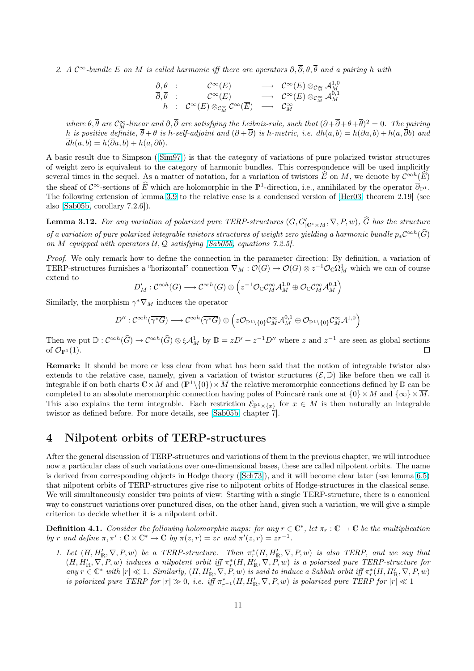<span id="page-10-0"></span>2. A  $\mathcal{C}^{\infty}$ -bundle E on M is called harmonic iff there are operators  $\partial, \overline{\partial}, \theta, \overline{\theta}$  and a pairing h with

$$
\begin{array}{ccc}\n\frac{\partial}{\partial}, \theta & : & \mathcal{C}^{\infty}(E) & \longrightarrow & \mathcal{C}^{\infty}(E) \otimes_{\mathcal{C}_M^{\infty}} \mathcal{A}_M^{1,0} \\
\frac{\partial}{\partial}, \overline{\theta} & : & \mathcal{C}^{\infty}(E) \otimes_{\mathcal{C}_M^{\infty}} \mathcal{C}^{\infty}(E) & \longrightarrow & \mathcal{C}^{\infty}(E) \otimes_{\mathcal{C}_M^{\infty}} \mathcal{A}_M^{0,1} \\
h & : & \mathcal{C}^{\infty}(E) \otimes_{\mathcal{C}_M^{\infty}} \mathcal{C}^{\infty}(\overline{E}) & \longrightarrow & \mathcal{C}_M^{\infty}\n\end{array}
$$

where  $\theta, \overline{\theta}$  are  $\mathcal{C}_M^{\infty}$ -linear and  $\partial, \overline{\partial}$  are satisfying the Leibniz-rule, such that  $(\partial + \overline{\partial} + \theta + \overline{\theta})^2 = 0$ . The pairing h is positive definite,  $\overline{\theta} + \theta$  is h-self-adjoint and  $(\partial + \overline{\partial})$  is h-metric, i.e.  $dh(a, b) = h(\partial a, b) + h(a, \overline{\partial} b)$  and  $dh(a, b) = h(\partial a, b) + h(a, \partial b).$ 

A basic result due to Simpson ([Sim97]) is that the category of variations of pure polarized twistor structures of weight zero is equivalent to the category of harmonic bundles. This correspondence will be used implicitly several times in the sequel. As a matter of notation, for a variation of twistors  $\widehat{E}$  on M, we denote by  $\mathcal{C}^{\infty h}(\widehat{E})$ the sheaf of  $\mathcal{C}^{\infty}$ -sections of  $\widehat{E}$  which are holomorphic in the  $\mathbb{P}^1$ -direction, i.e., annihilated by the operator  $\overline{\partial}_{\mathbb{P}^1}$ . The following extension of lemma [3.9](#page-42-0) to the relative case is a condensed version of [Her03, theorem 2.19] (see also [Sab05b, corollary 7.2.6]).

**Lemma 3.12.** For any variation of polarized pure TERP-structures  $(G, G'_{|\mathbb{C}^*\times M}, \nabla, P, w)$ ,  $\widehat{G}$  has the structure of a variation of pure polarized inte[grab](#page-9-0)le twistors structures of weight zero yielding a h[armoni](#page-40-0)c bundle  $p_*\mathcal{C}^{\infty h}(\widehat{G})$ on M [equipp](#page-41-0)ed with operators  $U, Q$  satisfying  $|Sab05b|$ , equations 7.2.5].

Proof. We only remark how to define the connection in the parameter direction: By definition, a variation of TERP-structures furnishes a "horizontal" connection  $\nabla_M : \mathcal{O}(G) \to \mathcal{O}(G) \otimes z^{-1} \mathcal{O}_\mathbb{C} \Omega^1_M$  which we can of course extend to  $\overline{a}$ ´

$$
D'_M: \mathcal{C}^{\infty h}(G) \longrightarrow \mathcal{C}^{\infty h}(G) \otimes \left( z^{-1} \mathcal{O}_{\mathbb{C}} \mathcal{C}_M^{\infty} \mathcal{A}_M^{1,0} \oplus \mathcal{O}_{\mathbb{C}} \mathcal{C}_M^{\infty} \mathcal{A}_M^{0,1} \right)
$$

Similarly, the morphism  $\gamma^* \nabla_M$  induces the operator

$$
D'':\mathcal{C}^{\infty h}(\overline{\gamma^*G})\longrightarrow \mathcal{C}^{\infty h}(\overline{\gamma^*G})\otimes \left(z\mathcal{O}_{\mathbb{P}^1\backslash \{0\}}\mathcal{C}_M^\infty\mathcal{A}_M^{0,1}\oplus \mathcal{O}_{\mathbb{P}^1\backslash \{0\}}\mathcal{C}_M^\infty\mathcal{A}^{1,0}\right)
$$

Then we put  $\mathbb{D}: C^{\infty h}(\widehat{G}) \to C^{\infty h}(\widehat{G}) \otimes \xi A_M^1$  by  $\mathbb{D} = zD' + z^{-1}D''$  where z and  $z^{-1}$  are seen as global sections of  $\mathcal{O}_{\mathbb{P}^1}(1)$ .  $\Box$ 

Remark: It should be more or less clear from what has been said that the notion of integrable twistor also extends to the relative case, namely, given a variation of twistor structures  $(\mathcal{E}, \mathbb{D})$  like before then we call it integrable if on both charts  $\mathbb{C}\times M$  and  $(\mathbb{P}^1\setminus\{0\})\times\overline{M}$  the relative meromorphic connections defined by  $\mathbb D$  can be completed to an absolute meromorphic connection having poles of Poincaré rank one at  $\{0\} \times M$  and  $\{\infty\} \times \overline{M}$ . This also explains the term integrable. Each restriction  $\mathcal{E}_{\mathbb{P}^1\times\{x\}}$  for  $x \in M$  is then naturally an integrable twistor as defined before. For more details, see [Sab05b, chapter 7].

# 4 Nilpotent orbits of TERP-structures

After the general discussion of TERP-structures [and vari](#page-41-0)ations of them in the previous chapter, we will introduce now a particular class of such variations over one-dimensional bases, these are called nilpotent orbits. The name is derived from corresponding objects in Hodge theory ([Sch73]), and it will become clear later (see lemma 6.5) that nilpotent orbits of TERP-structures give rise to nilpotent orbits of Hodge-structures in the classical sense. We will simultaneously consider two points of view: Starting with a single TERP-structure, there is a canonical way to construct variations over punctured discs, on the other hand, given such a variation, we will give a simple criterion to decide whether it is a nilpotent orbit.

**Definition 4.1.** Consider the following holomorphic maps: for any  $r \in \mathbb{C}^*$ , let  $\pi_r : \mathbb{C} \to \mathbb{C}$  be the multiplication by r and define  $\pi, \pi': \mathbb{C} \times \mathbb{C}^* \to \mathbb{C}$  by  $\pi(z, r) = zr$  and  $\pi'(z, r) = zr^{-1}$ .

1. Let  $(H, H'_{\mathbb{R}}, \nabla, P, w)$  be a TERP-structure. Then  $\pi_r^*(H, H'_{\mathbb{R}}, \nabla, P, w)$  is also TERP, and we say that  $(H, H'_{\mathbb{R}}, \nabla, P, w)$  induces a nilpotent orbit iff  $\pi_r^*(H, H'_{\mathbb{R}}, \nabla, P, w)$  is a polarized pure TERP-structure for  $\text{any } r \in \mathbb{C}^* \text{ with } |r| \ll 1. \text{ Similarly, } (H, H'_{\mathbb{R}}, \nabla, P, w) \text{ is said to induce a Sabbah orbit iff } \pi_r^*(H, H'_{\mathbb{R}}, \nabla, P, w)$ is polarized pure TERP for  $|r| \gg 0$ , i.e. iff  $\pi_{r-1}^*(H, H_R', \nabla, P, w)$  is polarized pure TERP for  $|r| \ll 1$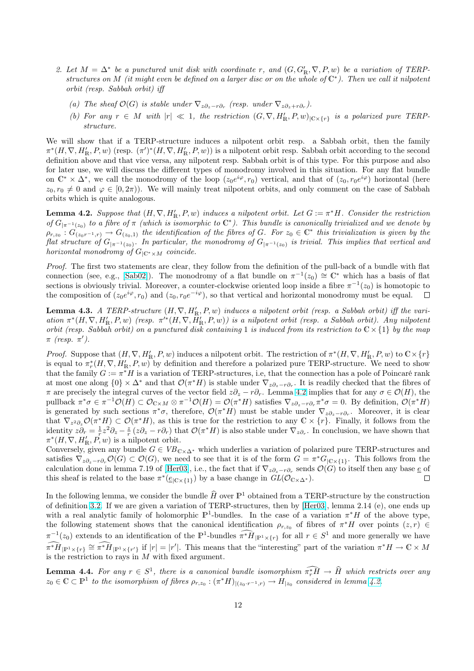- <span id="page-11-0"></span>2. Let  $M = \Delta^*$  be a punctured unit disk with coordinate r, and  $(G, G'_R, \nabla, P, w)$  be a variation of TERPstructures on M (it might even be defined on a larger disc or on the whole of  $\mathbb{C}^*$ ). Then we call it nilpotent orbit (resp. Sabbah orbit) iff
	- (a) The sheaf  $\mathcal{O}(G)$  is stable under  $\nabla_{z\partial_z r\partial_r}$  (resp. under  $\nabla_{z\partial_z + r\partial_r}$ ).
	- (b) For any  $r \in M$  with  $|r| \ll 1$ , the restriction  $(G, \nabla, H'_{\mathbb{R}}, P, w)_{|\mathbb{C} \times \{r\}}$  is a polarized pure TERPstructure.

We will show that if a TERP-structure induces a nilpotent orbit resp. a Sabbah orbit, then the family  $\pi^*(H, \nabla, H'_{\mathbb{R}}, P, w)$  (resp.  $(\pi')^*(H, \nabla, H'_{\mathbb{R}}, P, w)$ ) is a nilpotent orbit resp. Sabbah orbit according to the second definition above and that vice versa, any nilpotent resp. Sabbah orbit is of this type. For this purpose and also for later use, we will discuss the different types of monodromy involved in this situation. For any flat bundle on  $\mathbb{C}^* \times \Delta^*$ , we call the monodromy of the loop  $(z_0e^{i\varphi}, r_0)$  vertical, and that of  $(z_0, r_0e^{i\varphi})$  horizontal (here  $z_0, r_0 \neq 0$  and  $\varphi \in [0, 2\pi)$ . We will mainly treat nilpotent orbits, and only comment on the case of Sabbah orbits which is quite analogous.

**Lemma 4.2.** Suppose that  $(H, \nabla, H'_{\mathbb{R}}, P, w)$  induces a nilpotent orbit. Let  $G := \pi^*H$ . Consider the restriction of  $G_{|\pi^{-1}(z_0)}$  to a fibre of  $\pi$  (which is isomorphic to  $\mathbb{C}^*$ ). This bundle is canonically trivialized and we denote by  $\rho_{r,z_0}: G_{(z_0r^{-1},r)} \to G_{(z_0,1)}$  the identification of the fibres of G. For  $z_0 \in \mathbb{C}^*$  this trivialization is given by the flat structure of  $G_{|\pi^{-1}(z_0)}$ . In particular, the monodromy of  $G_{|\pi^{-1}(z_0)}$  is trivial. This implies that vertical and horizontal monodromy of  $G_{|\mathbb{C}^*\times M}$  coincide.

Proof. The first two statements are clear, they follow from the definition of the pull-back of a bundle with flat connection (see, e.g., [Sab02]). The monodromy of a flat bundle on  $\pi^{-1}(z_0) \cong \mathbb{C}^*$  which has a basis of flat sections is obviously trivial. Moreover, a counter-clockwise oriented loop inside a fibre  $\pi^{-1}(z_0)$  is homotopic to the composition of  $(z_0e^{i\varphi}, r_0)$  and  $(z_0, r_0e^{-i\varphi})$ , so that vertical and horizontal monodromy must be equal.  $\Box$ 

**Lemma 4.3.** A TER[P-struc](#page-41-0)ture  $(H, \nabla, H'_R, P, w)$  induces a nilpotent orbit (resp. a Sabbah orbit) iff the variation  $\pi^*(H, \nabla, H'_{\mathbb{R}}, P, w)$  (resp.  $\pi'^*(H, \nabla, H'_{\mathbb{R}}, P, w)$ ) is a nilpotent orbit (resp. a Sabbah orbit). Any nilpotent orbit (resp. Sabbah orbit) on a punctured disk containing 1 is induced from its restriction to  $\mathbb{C}\times\{1\}$  by the map  $\pi$  (resp.  $\pi'$ ).

*Proof.* Suppose that  $(H, \nabla, H'_{\mathbb{R}}, P, w)$  induces a nilpotent orbit. The restriction of  $\pi^*(H, \nabla, H'_{\mathbb{R}}, P, w)$  to  $\mathbb{C} \times \{r\}$ is equal to  $\pi_r^*(H, \nabla, H'_{\mathbb{R}}, P, w)$  by definition and therefore a polarized pure TERP-structure. We need to show that the family  $G := \pi^*H$  is a variation of TERP-structures, i.e, that the connection has a pole of Poincaré rank at most one along  $\{0\} \times \Delta^*$  and that  $\mathcal{O}(\pi^* H)$  is stable under  $\nabla_{z\partial_z - r\partial_r}$ . It is readily checked that the fibres of  $\pi$  are precisely the integral curves of the vector field  $z\partial_z - r\partial_r$ . Lemma 4.2 implies that for any  $\sigma \in \mathcal{O}(H)$ , the pullback  $\pi^*\sigma \in \pi^{-1}\mathcal{O}(H) \subset \mathcal{O}_{\mathbb{C}\times M} \otimes \pi^{-1}\mathcal{O}(H) = \mathcal{O}(\pi^*H)$  satisfies  $\nabla_{z\partial_z - r\partial_r} \pi^*\sigma = 0$ . By definition,  $\mathcal{O}(\pi^*H)$ is generated by such sections  $\pi^*\sigma$ , therefore,  $\mathcal{O}(\pi^*H)$  must be stable under  $\nabla_z \partial_z - r \partial_r$ . Moreover, it is clear that  $\nabla_{z^2\partial_z}\mathcal{O}(\pi^*H)\subset \mathcal{O}(\pi^*H)$ , as this is true for the restriction to any  $\mathbb{C}\times\{r\}$ . Finally, it follows from the identity  $z\partial_r = \frac{1}{r}z^2\partial_z - \frac{z}{r}(z\partial_z - r\partial_r)$  that  $\mathcal{O}(\pi^*H)$  is also stable under  $\nabla_z\partial_r$ . In conclusion, we have shown that  $\pi^*(H, \nabla, H'_{\mathbb{R}}, P, w)$  is a nilpotent orbit.

Conversely, given any bundle  $G \in VB_{\mathbb{C}\times\Delta^*}$  which underlies a variation of polarized pure TERP-structures and satisfies  $\nabla_{z\partial_z - r\partial_r} \mathcal{O}(G) \subset \mathcal{O}(G)$ , we need to see that it is of the form  $G = \pi^* G_{|\mathbb{C} \times \{1\}}$ . This follows from the calculation done in lemma 7.19 of [Her03], i.e., the fact that if  $\nabla_{z\partial_z - r\partial_r}$  sends  $\mathcal{O}(G)$  to itself then any base  $\underline{e}$  of this sheaf is related to the base  $\pi^*(\underline{e}_{|C \times \{1\}})$  by a base change in  $GL(\mathcal{O}_{C \times \Delta^*})$ .  $\Box$ 

In the following lemma, we consider the bundle  $\widehat{H}$  over  $\mathbb{P}^1$  obtained from a TERP-structure by the construction of definition 3.2. If we are given a [variati](#page-40-0)on of TERP-structures, then by [Her03], lemma 2.14 (e), one ends up with a real analytic family of holomorphic  $\mathbb{P}^1$ -bundles. In the case of a variation  $\pi^*H$  of the above type, the following statement shows that the canonical identification  $\rho_{r,z_0}$  of fibres of  $\pi^*H$  over points  $(z,r) \in$  $\pi^{-1}(z_0)$  extends to an identification of the  $\mathbb{P}^1$ -bundles  $\widehat{\pi^*H}_{|\mathbb{P}^1\times\{r\}}$  for all  $r\in S^1$  and more generally we have  $\widehat{\pi^*H}_{|\mathbb{P}^1\times\{r\}} \cong \widehat{\pi^*H}_{|\mathbb{P}^1\times\{r'\}}$  if  $|r| = |r'|$ . This means that the "interesting" [part of](#page-40-0) the variation  $\pi^*H \to \mathbb{C}\times M$ is the restriction to rays in  $M$  with fixed argument.

**Lemma 4.4.** For any  $r \in S^1$ , there is a canonical bundle isomorphism  $\widehat{\pi_r H} \to \widehat{H}$  which restricts over any  $z_0 \in \mathbb{C} \subset \mathbb{P}^1$  to the isomorphism of fibres  $\rho_{r,z_0} : (\pi^* H)_{|(z_0 \cdot r^{-1}, r)} \to H_{|z_0}$  considered in lemma 4.2.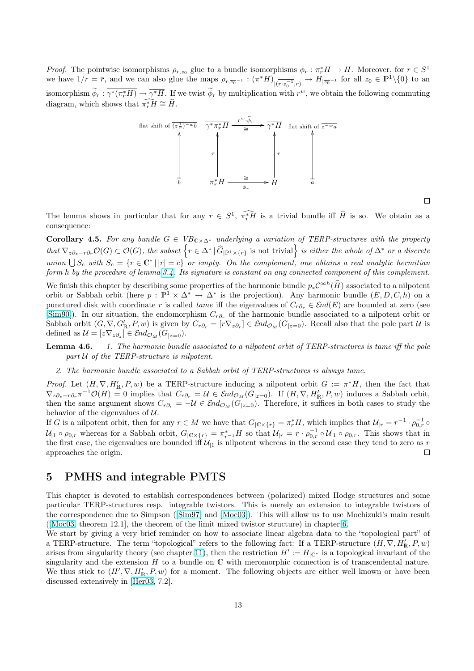<span id="page-12-0"></span>*Proof.* The pointwise isomorphisms  $\rho_{r,z_0}$  glue to a bundle isomorphisms  $\phi_r : \pi_r^* H \to H$ . Moreover, for  $r \in S^1$ we have  $1/r = \overline{r}$ , and we can also glue the maps  $\rho_{r,\overline{z_0}^{-1}} : (\pi^* H)_{|\overline{(r \cdot z_0^{-1}},r)} \to H_{|\overline{z_0}^{-1}}$  for all  $z_0 \in \mathbb{P}^1 \setminus \{0\}$  to an isomorphism  $\widetilde{\phi}_r : \overline{\gamma^*(\pi_r^*H)} \to \overline{\gamma^*H}$ . If we twist  $\widetilde{\phi}_r$  by multiplication with  $r^w$ , we obtain the following commuting diagram, which shows that  $\widehat{\pi_r^*H} \cong \widehat{H}$ .



 $\Box$ 

The lemma shows in particular that for any  $r \in S^1$ ,  $\widehat{\pi_r^*H}$  is a trivial bundle iff  $\widehat{H}$  is so. We obtain as a consequence:

Corollary 4.5. For any bundle  $G \in VB_{C \times \Delta^*}$  underlying a variation of TERP-structures with the property **Corollary 4.5.** For any bunate  $G \in VB_{C \times \Delta^*}$  underlying a variation of TERP-structures with the property that  $\nabla_{z\partial_z - r\partial_r} \mathcal{O}(G) \subset \mathcal{O}(G)$ , the subset  $\{r \in \Delta^* | \hat{G}_{|\mathbb{P}^1 \times \{r\}} \}$  is not trivial  $\}$  is eit union  $\bigcup S_c$  with  $S_c = \{r \in \mathbb{C}^* | |r| = c\}$  or empty. On the complement, one obtains a real analytic hermitian form h by the procedure of lemma 3.4. Its signature is constant on any connected component of this complement.

We finish this chapter by describing some properties of the harmonic bundle  $p_*\mathcal{C}^{\infty h}(\widehat{H})$  associated to a nilpotent orbit or Sabbah orbit (here  $p : \mathbb{P}^1 \times \Delta^* \to \Delta^*$  is the projection). Any harmonic bundle  $(E, D, C, h)$  on a punctured disk with coordinate r is called *tame* iff the eigenvalues of  $C_{r\partial_r} \in \mathcal{E}nd(E)$  are bounded at zero (see [Sim90]). In our situation, the e[ndom](#page-7-0)orphism  $C_{r\partial_r}$  of the harmonic bundle associated to a nilpotent orbit or Sabbah orbit  $(G, \nabla, G'_{\mathbb{R}}, P, w)$  is given by  $C_{r\partial_r} = [r\nabla_{z\partial_r}] \in \mathcal{E}nd_{\mathcal{O}_M}(G_{|z=0})$ . Recall also that the pole part  $\mathcal U$  is defined as  $\mathcal{U} = [z \nabla_z \partial_z] \in \mathcal{E} nd_{\mathcal{O}_M}(G_{|z=0}).$ 

**Lemma 4.6.** 1. The harmonic bundle associated to a nilpotent orbit of TERP-structures is tame iff the pole [pa](#page-42-0)rt  $U$  of the TERP-structure is nilpotent.

2. The harmonic bundle associated to a Sabbah orbit of TERP-structures is always tame.

*Proof.* Let  $(H, \nabla, H'_{\mathbb{R}}, P, w)$  be a TERP-structure inducing a nilpotent orbit  $G := \pi^*H$ , then the fact that  $\nabla_{z\partial_z-r\partial_r}\pi^{-1}\mathcal{O}(H)=0$  implies that  $C_{r\partial_r}=\mathcal{U}\in \mathcal{E}nd_{\mathcal{O}_M}(G_{|z=0})$ . If  $(H,\nabla,H'_{\mathbb{R}},P,w)$  induces a Sabbah orbit, then the same argument shows  $C_{r\partial_r} = -\mathcal{U} \in \mathcal{E}nd_{\mathcal{O}_M}(G_{|z=0})$ . Therefore, it suffices in both cases to study the behavior of the eigenvalues of  $U$ .

If G is a nilpotent orbit, then for any  $r \in M$  we have that  $G_{\vert \mathbb{C} \times \{r\}} = \pi_r^* H$ , which implies that  $\mathcal{U}_{\vert r} = r^{-1} \cdot \rho_{0,r}^{-1} \circ$  $\mathcal{U}_{|1} \circ \rho_{0,r}$  whereas for a Sabbah orbit,  $G_{|\mathbb{C}\times\{r\}} = \pi_{r-1}^*H$  so that  $\mathcal{U}_{|r} = r \cdot \rho_{0,r}^{-1} \circ \mathcal{U}_{|1} \circ \rho_{0,r}$ . This shows that in the first case, the eigenvalues are bounded iff  $\mathcal{U}_{1}$  is nilpotent whereas in the second case they tend to zero as r approaches the origin.  $\Box$ 

### 5 PMHS and integrable PMTS

This chapter is devoted to establish correspondences between (polarized) mixed Hodge structures and some particular TERP-structures resp. integrable twistors. This is merely an extension to integrable twistors of the correspondence due to Simpson ([Sim97] and [Moc03]). This will allow us to use Mochizuki's main result ([Moc03, theorem 12.1], the theorem of the limit mixed twistor structure) in chapter 6.

We start by giving a very brief reminder on how to associate linear algebra data to the "topological part" of a TERP-structure. The term "topological" refers to the following fact: If a TERP-structure  $(H, \nabla, H'_{\mathbb{R}}, P, w)$ arises from singularity theory (see ch[apter](#page-42-0) 11), th[en the re](#page-41-0)striction  $H' := H_{\vert \mathbb{C}^*}$  is a topological invariant of the s[ingulari](#page-41-0)ty and the extension  $H$  to a bundle on  $\mathbb C$  with meromorphic connection is [of](#page-18-0) transcendental nature. We thus stick to  $(H', \nabla, H'_{\mathbb{R}}, P, w)$  for a moment. The following objects are either well known or have been discussed extensively in [Her03, 7.2].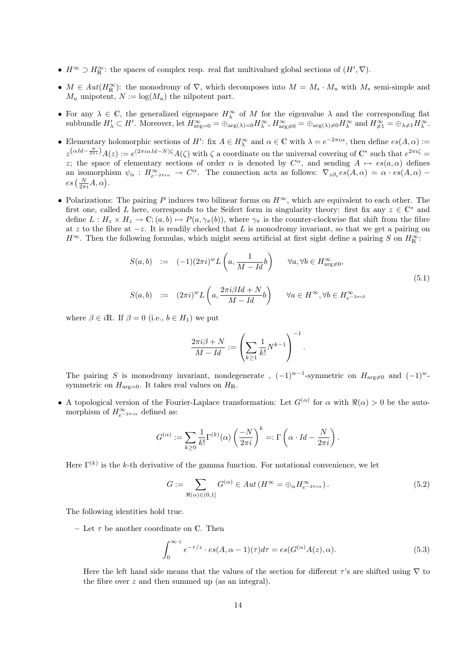- $H^{\infty} \supset H^{\infty}_{\mathbb{R}}$ : the spaces of complex resp. real flat multivalued global sections of  $(H', \nabla)$ .
- $M \in Aut(H_{\mathbb{R}}^{\infty})$ : the monodromy of  $\nabla$ , which decomposes into  $M = M_s \cdot M_u$  with  $M_s$  semi-simple and  $M_u$  unipotent,  $N := \log(M_u)$  the nilpotent part.
- For any  $\lambda \in \mathbb{C}$ , the generalized eigenspace  $H_{\lambda}^{\infty}$  of M for the eigenvalue  $\lambda$  and the corresponding flat subbundle  $H'_{\lambda} \subset H'$ . Moreover, let  $H^{\infty}_{\arg=0} = \bigoplus_{\arg(\lambda)=0} H^{\infty}_{\lambda}$ ,  $H^{\infty}_{\arg\neq 0} = \bigoplus_{\arg(\lambda)\neq 0} H^{\infty}_{\lambda}$  and  $H^{\infty}_{\neq 1} = \bigoplus_{\lambda\neq 1} H^{\infty}_{\lambda}$ .
- Elementary holomorphic sections of H': fix  $A \in H_{\lambda}^{\infty}$  and  $\alpha \in \mathbb{C}$  with  $\lambda = e^{-2\pi i \alpha}$ , then define  $es(A, \alpha) :=$  $z^{(\alpha Id - \frac{N}{2\pi i})} A(z) := e^{(2\pi i \alpha Id - N)\zeta} A(\zeta)$  with  $\zeta$  a coordinate on the universal covering of  $\mathbb{C}^*$  such that  $e^{2\pi i \zeta} =$ z; the space of elementary sections of order  $\alpha$  is denoted by  $C^{\alpha}$ , and sending  $A \mapsto es(a, \alpha)$  defines an isomorphism  $\psi_{\alpha}: H_{e^{-2\pi i \alpha}}^{\infty} \to C^{\alpha}$ . The connection acts as follows:  $\nabla_{z\partial_z} es(A,\alpha) = \alpha \cdot es(A,\alpha)$ an isomorphi $es\left(\frac{N}{2\pi i}A,\alpha\right).$
- Polarizations: The pairing P induces two bilinear forms on  $H^{\infty}$ , which are equivalent to each other. The first one, called L here, corresponds to the Seifert form in singularity theory: first fix any  $z \in \mathbb{C}^*$  and define  $L: H_z \times H_z \to \mathbb{C}$ ;  $(a, b) \mapsto P(a, \gamma_\pi(b))$ , where  $\gamma_\pi$  is the counter-clockwise flat shift from the fibre at z to the fibre at  $-z$ . It is readily checked that L is monodromy invariant, so that we get a pairing on  $H^{\infty}$ . Then the following formulas, which might seem artificial at first sight define a pairing S on  $H^{\infty}_{\mathbb{R}}$ :

$$
S(a,b) := (-1)(2\pi i)^{w} L\left(a, \frac{1}{M - Id}b\right) \quad \forall a, \forall b \in H_{\arg\neq 0}^{\infty},
$$
  

$$
S(a,b) := (2\pi i)^{w} L\left(a, \frac{2\pi i \beta Id + N}{M - Id}b\right) \quad \forall a \in H^{\infty}, \forall b \in H_{e^{-2\pi i \beta}}^{\infty}
$$
 (5.1)

where  $\beta \in i\mathbb{R}$ . If  $\beta = 0$  (i.e.,  $b \in H_1$ ) we put

$$
\frac{2\pi i\beta+N}{M-Id}:=\left(\sum_{k\geq 1}\frac{1}{k!}N^{k-1}\right)^{-1}.
$$

The pairing S is monodromy invariant, nondegenerate,  $(-1)^{w-1}$ -symmetric on  $H_{\text{arg}\neq0}$  and  $(-1)^w$ symmetric on  $H_{\text{arg}=0}$ . It takes real values on  $H_{\text{R}}$ .

• A topological version of the Fourier-Laplace transformation: Let  $G^{(\alpha)}$  for  $\alpha$  with  $\Re(\alpha) > 0$  be the automorphism of  $H_{e^{-2\pi i\alpha}}^{\infty}$  defined as:

$$
G^{(\alpha)} := \sum_{k \geq 0} \frac{1}{k!} \Gamma^{(k)}(\alpha) \left(\frac{-N}{2\pi i}\right)^k =: \Gamma\left(\alpha \cdot Id - \frac{N}{2\pi i}\right).
$$

Here  $\Gamma^{(k)}$  is the k-th derivative of the gamma function. For notational convenience, we let

$$
G := \sum_{\Re(\alpha) \in (0,1]} G^{(\alpha)} \in Aut(H^{\infty} = \bigoplus_{\alpha} H_{e^{-2\pi i \alpha}}^{\infty}).
$$
\n(5.2)

The following identities hold true.

– Let  $\tau$  be another coordinate on C. Then

$$
\int_0^{\infty \cdot z} e^{-\tau/z} \cdot es(A, \alpha - 1)(\tau) d\tau = es(G^{(\alpha)}A(z), \alpha).
$$
 (5.3)

Here the left hand side means that the values of the section for different  $\tau$ 's are shifted using  $\nabla$  to the fibre over z and then summed up (as an integral).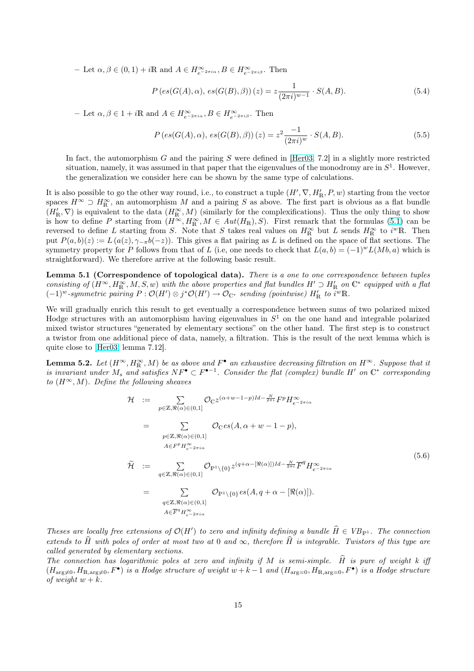<span id="page-14-0"></span>- Let  $\alpha, \beta \in (0, 1) + i\mathbb{R}$  and  $A \in H_{e^{-2\pi i \alpha}}^{\infty}, B \in H_{e^{-2\pi i \beta}}^{\infty}$ . Then

$$
P\left(es(G(A),\alpha), es(G(B),\beta)\right)(z) = z \frac{1}{(2\pi i)^{w-1}} \cdot S(A,B). \tag{5.4}
$$

- Let  $\alpha, \beta \in 1 + i\mathbb{R}$  and  $A \in H_{e^{-2\pi i \alpha}}^{\infty}, B \in H_{e^{-2\pi i \beta}}^{\infty}$ . Then

$$
P\left(es(G(A),\alpha), es(G(B),\beta)\right)(z) = z^2 \frac{-1}{(2\pi i)^w} \cdot S(A,B). \tag{5.5}
$$

In fact, the automorphism G and the pairing S were defined in [Her03, 7.2] in a slightly more restricted situation, namely, it was assumed in that paper that the eigenvalues of the monodromy are in  $S<sup>1</sup>$ . However, the generalization we consider here can be shown by the same type of calculations.

It is also possible to go the other way round, i.e., to construct a tuple  $(H', \nabla, H'_{\mathbb{R}}, P, w)$  starting from the vector spaces  $H^{\infty} \supset H^{\infty}_{\mathbb{R}}$ , an automorphism M and a pairing S as above. [The firs](#page-40-0)t part is obvious as a flat bundle  $(H'_{\mathbb{R}}, \nabla)$  is equivalent to the data  $(H_{\mathbb{R}}^{\infty}, M)$  (similarly for the complexifications). Thus the only thing to show is how to define P starting from  $(H^{\infty}, H^{\infty}_{\mathbb{R}}, M \in Aut(H_{\mathbb{R}}), S)$ . First remark that the formulas (5.1) can be reversed to define L starting from S. Note that S takes real values on  $H_{\mathbb{R}}^{\infty}$  but L sends  $H_{\mathbb{R}}^{\infty}$  to  $i^w\mathbb{R}$ . Then put  $P(a, b)(z) := L(a(z), \gamma_{-\pi}b(-z))$ . This gives a flat pairing as L is defined on the space of flat sections. The symmetry property for P follows from that of L (i.e, one needs to check that  $L(a, b) = (-1)^w L(Mb, a)$  which is straightforward). We therefore arrive at the following basic result.

Lemma 5.1 (Correspondence of topological data). There is a one to one correspondence between tuples consisting of  $(H^{\infty}, H^{\infty}_{\mathbb{R}}, M, S, w)$  with the above properties and flat bundles  $H' \supset H'_{\mathbb{R}}$  on  $\mathbb{C}^*$  equipped with a flat  $(-1)^w$ -symmetric pairing  $P: \mathcal{O}(H') \otimes j^* \mathcal{O}(H') \to \mathcal{O}_{\mathbb{C}^*}$  sending (pointwise)  $H'_{\mathbb{R}}$  to  $i^w \mathbb{R}$ .

We will gradually enrich this result to get eventually a correspondence between sums of two polarized mixed Hodge structures with an automorphism having eigenvalues in  $S<sup>1</sup>$  on the one hand and integrable polarized mixed twistor structures "generated by elementary sections" on the other hand. The first step is to construct a twistor from one additional piece of data, namely, a filtration. This is the result of the next lemma which is quite close to [Her03, lemma 7.12].

**Lemma 5.2.** Let  $(H^{\infty}, H^{\infty}_{\mathbb{R}}, M)$  be as above and  $F^{\bullet}$  an exhaustive decreasing filtration on  $H^{\infty}$ . Suppose that it is invariant under  $M_s$  and satisfies  $NF^{\bullet} \subset F^{\bullet-1}$ . Consider the flat (complex) bundle H' on  $\mathbb{C}^*$  corresponding to  $(H^{\infty}, M)$ . [Define](#page-40-0) the following sheaves

$$
\mathcal{H} := \sum_{p \in \mathbb{Z}, \Re(\alpha) \in (0,1]} \mathcal{O}_{\mathbb{C}} z^{(\alpha+w-1-p)Id - \frac{N}{2\pi i}} F^p H_{e^{-2\pi i \alpha}}^{\infty}
$$
\n
$$
= \sum_{p \in \mathbb{Z}, \Re(\alpha) \in (0,1]} \mathcal{O}_{\mathbb{C}} es(A, \alpha+w-1-p),
$$
\n
$$
\mathcal{H} := \sum_{q \in \mathbb{Z}, \Re(\alpha) \in (0,1]} \mathcal{O}_{\mathbb{P}^1 \setminus \{0\}} z^{(q+\alpha-[\Re(\alpha)])Id - \frac{N}{2\pi i}} \overline{F}^q H_{e^{-2\pi i \alpha}}^{\infty}
$$
\n
$$
= \sum_{q \in \mathbb{Z}, \Re(\alpha) \in (0,1]} \mathcal{O}_{\mathbb{P}^1 \setminus \{0\}} es(A, q+\alpha-[\Re(\alpha)]).
$$
\n
$$
\mathcal{H} \in \mathbb{F}^q H_{e^{-2\pi i \alpha}}^{\infty}
$$
\n
$$
\mathcal{H} \in \mathbb{F}^q H_{e^{-2\pi i \alpha}}^{\infty}
$$
\n
$$
(5.6)
$$

Theses are locally free extensions of  $\mathcal{O}(H')$  to zero and infinity defining a bundle  $\hat{H} \in VB_{\mathbb{P}^1}$ . The connection extends to  $\widehat{H}$  with poles of order at most two at 0 and  $\infty$ , therefore  $\widehat{H}$  is integrable. Twistors of this type are called generated by elementary sections.

The connection has logarithmic poles at zero and infinity if M is semi-simple.  $\hat{H}$  is pure of weight k iff  $(H_{\text{arg}\neq 0}, H_{\mathbb{R}, \text{arg}\neq 0}, F^{\bullet})$  is a Hodge structure of weight  $w + k - 1$  and  $(H_{\text{arg}=0}, H_{\mathbb{R}, \text{arg}= 0}, F^{\bullet})$  is a Hodge structure of weight  $w + k$ .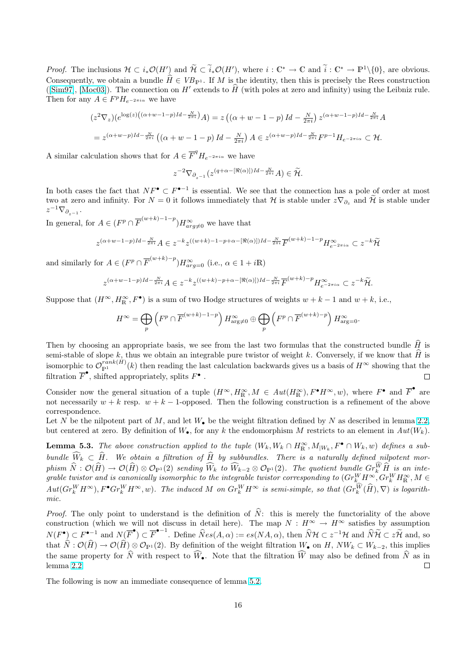<span id="page-15-0"></span>*Proof.* The inclusions  $\mathcal{H} \subset i_*\mathcal{O}(H')$  and  $\widetilde{\mathcal{H}} \subset \widetilde{i}_*\mathcal{O}(H')$ , where  $i: \mathbb{C}^* \to \mathbb{C}$  and  $\widetilde{i}: \mathbb{C}^* \to \mathbb{P}^1 \setminus \{0\}$ , are obvious. Consequently, we obtain a bundle  $\widehat{H} \in VB_{\mathbb{P}^1}$ . If M is the identity, then this is precisely the Rees construction ( $[\text{Sim97}]$ ,  $[\text{Moc03}]$ ). The connection on H' extends to  $\hat{H}$  (with poles at zero and infinity) using the Leibniz rule. Then for any  $A \in F^p H_{e^{-2\pi i \alpha}}$  we have

$$
(z^2 \nabla_z)(e^{\log(z)\left((\alpha+w-1-p)Id-\frac{N}{2\pi i}\right)}A) = z\left((\alpha+w-1-p)Id-\frac{N}{2\pi i}\right)z^{(\alpha+w-1-p)Id-\frac{N}{2\pi i}}A
$$
  
=  $z^{(\alpha+w-p)Id-\frac{N}{2\pi i}}\left((\alpha+w-1-p)Id-\frac{N}{2\pi i}\right)A \in z^{(\alpha+w-p)Id-\frac{N}{2\pi i}}F^{p-1}H_{e^{-2\pi i\alpha}} \subset \mathcal{H}.$ 

A similar calculation shows that for  $A \in \overline{F}^q H_{e^{-2\pi i \alpha}}$  we have

$$
z^{-2}\nabla_{\partial_{z^{-1}}}(z^{(q+\alpha-[\Re(\alpha)])Id-\frac{N}{2\pi i}}A)\in\widetilde{\mathcal{H}}.
$$

In both cases the fact that  $NF^{\bullet} \subset F^{\bullet-1}$  is essential. We see that the connection has a pole of order at most two at zero and infinity. For  $N=0$  it follows immediately that H is stable under  $z\nabla_{\partial_z}$  and  $\widetilde{\mathcal{H}}$  is stable under  $z^{-1}\nabla_{\partial_{z^{-1}}}$ .

In general, for  $A \in (F^p \cap \overline{F}^{(w+k)-1-p})H^{\infty}_{arg \neq 0}$  we have that

$$
z^{(\alpha+w-1-p)Id-\frac{N}{2\pi i}}A\in z^{-k}z^{((w+k)-1-p+\alpha-[\Re(\alpha)])Id-\frac{N}{2\pi i}}\overline{F}^{(w+k)-1-p}H_{e^{-2\pi i\alpha}}^{\infty}\subset z^{-k}\widetilde{{\mathcal H}}
$$

and similarly for  $A \in (F^p \cap \overline{F}^{(w+k)-p})H_{arg=0}^{\infty}$  (i.e.,  $\alpha \in 1 + i\mathbb{R}$ )

$$
z^{(\alpha+w-1-p)Id-\frac{N}{2\pi i}}A\in z^{-k}z^{((w+k)-p+\alpha-[\Re(\alpha)])Id-\frac{N}{2\pi i}}\overline{F}^{(w+k)-p}H_{e^{-2\pi i\alpha}}^{\infty}\subset z^{-k}\widetilde{\mathcal{H}}.
$$

Suppose that  $(H^{\infty}, H^{\infty}_{R}, F^{\bullet})$  is a sum of two Hodge structures of weights  $w + k - 1$  and  $w + k$ , i.e.,

$$
H^{\infty} = \bigoplus_{p} \left( F^{p} \cap \overline{F}^{(w+k)-1-p} \right) H^{\infty}_{\arg \neq 0} \oplus \bigoplus_{p} \left( F^{p} \cap \overline{F}^{(w+k)-p} \right) H^{\infty}_{\arg = 0}.
$$

Then by choosing an appropriate basis, we see from the last two formulas that the constructed bundle  $\hat{H}$  is semi-stable of slope  $k$ , thus we obtain an integrable pure twistor of weight k. Conversely, if we know that  $\hat{H}$  is isomorphic to  $\mathcal{O}_{\mathbb{P}^1}^{rank(H)}(k)$  then reading the last calculation backwards gives us a basis of  $H^\infty$  showing that the filtration  $\overline{F}^{\bullet}$ , shifted appropriately, splits  $F^{\bullet}$ .  $\Box$ 

Consider now the general situation of a tuple  $(H^{\infty}, H^{\infty}_{R}, M \in Aut(H^{\infty}_{R}), F^{\bullet}H^{\infty}, w)$ , where  $F^{\bullet}$  and  $\overline{F}^{\bullet}$  are not necessarily  $w + k$  resp.  $w + k - 1$ -opposed. Then the following construction is a refinement of the above correspondence.

Let N be the nilpotent part of M, and let  $W_{\bullet}$  be the weight filtration defined by N as described in lemma 2.2, but centered at zero. By definition of  $W_{\bullet}$ , for any k the endomorphism M restricts to an element in  $Aut(W_k)$ .

**Lemma 5.3.** The above construction applied to the tuple  $(W_k, W_k \cap H_k^{\infty}, M_{|W_k}, F^{\bullet} \cap W_k, w)$  defines a subbundle  $\widehat{W}_k \subset \widehat{H}$ . We obtain a filtration of  $\widehat{H}$  by subbundles. There is a naturally defined nilpotent [mor-](#page-4-0) $\hat{D}$  ism  $\widehat{N}:\mathcal{O}(\widehat{H})\to \mathcal{O}(\widehat{H})\otimes \mathcal{O}_{\mathbb{P}^1}(2)$  sending  $\widehat{W}_k$  to  $\widehat{W}_{k-2}\otimes \mathcal{O}_{\mathbb{P}^1}(2)$ . The quotient bundle  $Gr_k^{\widehat{W}}\widehat{H}$  is an integrable twistor and is canonically isomorphic to the integrable twistor corresponding to  $(Gr_k^WH^\infty,Gr_k^WH^\infty_R,M\in$  $Aut(Gr_{k}^{W} H^{\infty}), F^{\bullet} Gr_{k}^{W} H^{\infty}, w)$ . The induced M on  $Gr_{k}^{W} H^{\infty}$  is semi-simple, so that  $(Gr_{k}^{\widehat{W}}(\widehat{H}), \nabla)$  is logarithmic.

*Proof.* The only point to understand is the definition of  $\hat{N}$ : this is merely the functoriality of the above construction (which we will not discuss in detail here). The map  $N : H^{\infty} \to H^{\infty}$  satisfies by assumption  $N(F^{\bullet}) \subset F^{\bullet-1}$  and  $N(\overline{F}^{\bullet}) \subset \overline{F}^{\bullet-1}$ . Define  $\widehat{N}es(A,\alpha) := es(NA,\alpha)$ , then  $\widehat{N}H \subset z^{-1}\mathcal{H}$  and  $\widehat{N}\widetilde{H} \subset z\widetilde{\mathcal{H}}$  and, so that  $\hat{N}: \mathcal{O}(\hat{H}) \to \mathcal{O}(\hat{H}) \otimes \mathcal{O}_{\mathbb{P}^1}(2)$ . By definition of the weight filtration  $W_{\bullet}$  on  $H, NW_k \subset W_{k-2}$ , this implies the same property for  $\hat{N}$  with respect to  $\widehat{W}_{\bullet}$ . Note that the filtration  $\widehat{W}$  may also be defined from  $\hat{N}$  as in lemma 2.2.  $\Box$ 

The following is now an immediate consequence of lemma 5.2.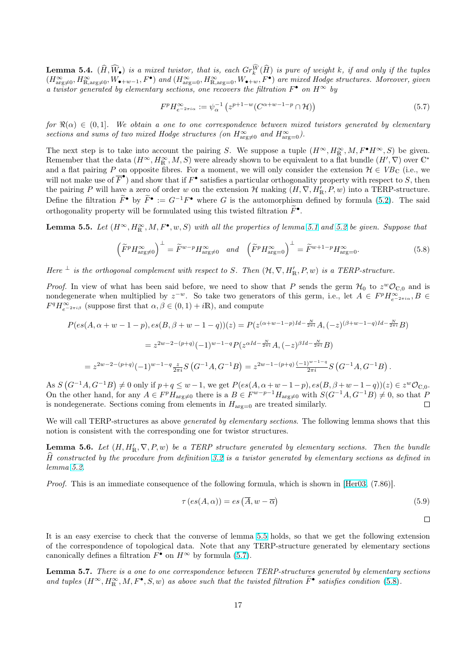<span id="page-16-0"></span>**Lemma 5.4.**  $(\widehat{H},\widehat{W}_{\bullet})$  is a mixed twistor, that is, each  $Gr_{k}^{\widehat{W}}(\widehat{H})$  is pure of weight k, if and only if the tuples  $(H^{\infty}_{\arg\neq 0}, H^{\infty}_{\mathbb{R}, \arg\neq 0}, W_{\bullet+w-1}, F^{\bullet})$  and  $(H^{\infty}_{\arg= 0}, H^{\infty}_{\mathbb{R}, \arg= 0}, W_{\bullet+w}, F^{\bullet})$  are mixed Hodge structures. Moreover, given a twistor generated by elementary sections, one recovers the filtration  $F^{\bullet}$  on  $H^{\infty}$  by

$$
F^p H_{e^{-2\pi i\alpha}}^{\infty} := \psi_{\alpha}^{-1} \left( z^{p+1-w} (C^{\alpha+w-1-p} \cap \mathcal{H}) \right)
$$
\n
$$
(5.7)
$$

for  $\Re(\alpha) \in (0,1]$ . We obtain a one to one correspondence between mixed twistors generated by elementary sections and sums of two mixed Hodge structures (on  $H^{\infty}_{\text{arg}\neq 0}$  and  $H^{\infty}_{\text{arg}=0}$ ).

The next step is to take into account the pairing S. We suppose a tuple  $(H^{\infty}, H^{\infty}_{R}, M, F^{\bullet}H^{\infty}, S)$  be given. Remember that the data  $(H^{\infty}, H^{\infty}_{\mathbb{R}}, M, S)$  were already shown to be equivalent to a flat bundle  $(H', \nabla)$  over  $\mathbb{C}^*$ and a flat pairing P on opposite fibres. For a moment, we will only consider the extension  $\mathcal{H} \in VB_{\mathbb{C}}$  (i.e., we will not make use of  $\overline{F}^{\bullet}$ ) and show that if  $F^{\bullet}$  satisfies a particular orthogonality property with respect to S, then the pairing P will have a zero of order w on the extension  $\mathcal{H}$  making  $(H, \nabla, H'_{\mathbb{R}}, P, w)$  into a TERP-structure. Define the filtration  $\widetilde{F}^{\bullet}$  by  $\widetilde{F}^{\bullet} := G^{-1}F^{\bullet}$  where G is the automorphism defined by formula (5.2). The said orthogonality property will be formulated using this twisted filtration  $\widetilde{F}^{\bullet}$ .

**Lemma 5.5.** Let  $(H^{\infty}, H^{\infty}_{\mathbb{R}}, M, F^{\bullet}, w, S)$  with all the properties of lemma 5.1 and 5.2 be given. Suppose that

$$
\left(\widetilde{F}^p H^{\infty}_{\text{arg}\neq 0}\right)^{\perp} = \widetilde{F}^{w-p} H^{\infty}_{\text{arg}\neq 0} \quad \text{and} \quad \left(\widetilde{F}^p H^{\infty}_{\text{arg}=0}\right)^{\perp} = \widetilde{F}^{w+1-p} H^{\infty}_{\text{arg}=0}.
$$
\n(5.8)

Here  $\perp$  is the orthogonal complement with respect to S. Then  $(\mathcal{H}, \nabla, H'_{\mathbb{R}}, P, w)$  $(\mathcal{H}, \nabla, H'_{\mathbb{R}}, P, w)$  $(\mathcal{H}, \nabla, H'_{\mathbb{R}}, P, w)$  is a [TE](#page-14-0)RP-structure.

*Proof.* In view of what has been said before, we need to show that P sends the germ  $H_0$  to  $z^w \mathcal{O}_{\mathbb{C},0}$  and is nondegenerate when multiplied by  $z^{-w}$ . So take two generators of this germ, i.e., let  $A \in F^p H_{e^{-2\pi i\alpha}}^{\infty}, B \in$  $F^q H_{e^{-2\pi i\beta}}^{\infty}$  (suppose first that  $\alpha, \beta \in (0, 1) + i\mathbb{R}$ ), and compute

$$
P(es(A, \alpha + w - 1 - p), es(B, \beta + w - 1 - q))(z) = P(z^{(\alpha + w - 1 - p)Id - \frac{N}{2\pi i}} A, (-z)^{(\beta + w - 1 - q)Id - \frac{N}{2\pi i}} B)
$$
  
=  $z^{2w-2-(p+q)}(-1)^{w-1-q} P(z^{\alpha Id - \frac{N}{2\pi i}} A, (-z)^{\beta Id - \frac{N}{2\pi i}} B)$   
=  $z^{2w-2-(p+q)}(-1)^{w-1-q} \frac{z}{2\pi i} S(G^{-1}A, G^{-1}B) = z^{2w-1-(p+q)} \frac{(-1)^{w-1-q}}{2\pi i} S(G^{-1}A, G^{-1}B).$ 

 $(G^{-1}A, G^{-1}B)$  $\neq 0$  only if  $p+q \leq w-1$ , we get  $P(es(A, \alpha+w-1-p), es(B, \beta+w-1-q))(z) \in z^w\mathcal{O}_{\mathbb{C},0}$ . As S On the other hand, for any  $A \in F^p H_{\text{arg}\neq 0}$  there is a  $B \in F^{w-p-1}H_{\text{arg}\neq 0}$  with  $S(G^{-1}A, G^{-1}B) \neq 0$ , so that P is nondegenerate. Sections coming from elements in  $H_{\text{arg}=0}$  are treated similarly.  $\Box$ 

We will call TERP-structures as above *generated by elementary sections*. The following lemma shows that this notion is consistent with the corresponding one for twistor structures.

**Lemma 5.6.** Let  $(H, H'_{\mathbb{R}}, \nabla, P, w)$  be a TERP structure generated by elementary sections. Then the bundle H constructed by the procedure from definition 3.2 is a twistor generated by elementary sections as defined in lemma 5.2.

Proof. This is an immediate consequence of the following formula, which is shown in [Her03, (7.86)].

$$
\tau\left(es(A,\alpha)\right) = es\left(\overline{A},w-\overline{\alpha}\right)
$$
\n(5.9)

 $\Box$ 

It is an easy exercise to check that the converse of lemma 5.5 holds, so that we get the following extension of the correspondence of topological data. Note that any TERP-structure generated by elementary sections canonically defines a filtration  $F^{\bullet}$  on  $H^{\infty}$  by formula (5.7).

Lemma 5.7. There is a one to one correspondence between TERP-structures generated by elementary sections and tuples  $(H^{\infty}, H^{\infty}_{\mathbb{R}}, M, F^{\bullet}, S, w)$  as above such that the twisted filtration  $\tilde{F}^{\bullet}$  satisfies condition (5.8).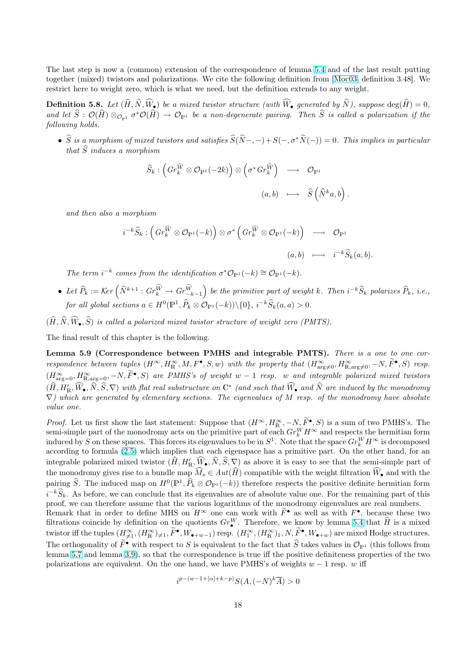<span id="page-17-0"></span>The last step is now a (common) extension of the correspondence of lemma 5.4 and of the last result putting together (mixed) twistors and polarizations. We cite the following definition from [Moc03, definition 3.48]. We restrict here to weight zero, which is what we need, but the definition extends to any weight.

**Definition 5.8.** Let  $(\widehat{H}, \widehat{N}, \widehat{W}_{\bullet})$  be a mixed twistor structure (with  $\widehat{W}_{\bullet}$  gene[rated](#page-15-0) by  $\widehat{N}$ ), suppose deg( $\widehat{H}$ ) = 0, and let  $\widehat{S}:\mathcal O(\widehat{H})\otimes_{\mathcal O_{\mathbb P^1}} \sigma^*\mathcal O(\widehat{H})\to \mathcal O_{\mathbb P^1}$  be a non-degenerate pairing. Then  $\widehat{S}$  i[s called](#page-41-0) a polarization if the following holds.

•  $\hat{S}$  is a morphism of mixed twistors and satisfies  $\hat{S}(\hat{N}-, -)+S(-, \sigma^*\hat{N}(-)) = 0$ . This implies in particular that  $\widehat{S}$  induces a morphism

$$
\widehat{S}_k : \left( Gr_k^{\widehat{W}} \otimes \mathcal{O}_{\mathbb{P}^1}(-2k) \right) \otimes \left( \sigma^* Gr_k^{\widehat{W}} \right) \longrightarrow \mathcal{O}_{\mathbb{P}^1}
$$
\n
$$
(a, b) \longmapsto \widehat{S} \left( \widehat{N}^k a, b \right)
$$

.

and then also a morphism

$$
i^{-k}\widehat{S}_k: \left(Gr_k^{\widehat{W}} \otimes \mathcal{O}_{\mathbb{P}^1}(-k)\right) \otimes \sigma^* \left(Gr_k^{\widehat{W}} \otimes \mathcal{O}_{\mathbb{P}^1}(-k)\right) \longrightarrow \mathcal{O}_{\mathbb{P}^1}
$$

$$
(a, b) \longmapsto i^{-k}\widehat{S}_k(a, b).
$$

The term  $i^{-k}$  comes from the identification  $\sigma^* \mathcal{O}_{\mathbb{P}^1}(-k) \cong \mathcal{O}_{\mathbb{P}^1}(-k)$ .

- Let  $\widehat{P}_k := \text{Ker} \left( \widehat{N}^{k+1} : Gr_k^{\widehat{W}} \to Gr_{-k-1}^{\widehat{W}} \right)$ ´ be the primitive part of weight k. Then  $i^{-k}\widehat{S}_k$  polarizes  $\widehat{P}_k$ , i.e., for all global sections  $a \in H^0(\mathbb{P}^1, \widehat{P}_k \otimes \mathcal{O}_{\mathbb{P}^1}(-k)) \setminus \{0\}, i^{-k} \widehat{S}_k(a, a) > 0.$
- $(\widehat{H}, \widehat{N}, \widehat{W}_{\bullet}, \widehat{S})$  is called a polarized mixed twistor structure of weight zero (PMTS).

The final result of this chapter is the following.

Lemma 5.9 (Correspondence between PMHS and integrable PMTS). There is a one to one correspondence between tuples  $(H^{\infty}, H^{\infty}_{\mathbb{R}}, M, F^{\bullet}, S, w)$  with the property that  $(H^{\infty}_{\text{arg}\neq 0}, H^{\infty}_{\mathbb{R}, \text{arg}\neq 0}, -N, \widetilde{F}^{\bullet}, S)$  resp.  $(H^{\infty}_{\text{arg}=0}, H^{\infty}_{\text{R,arg}=0}, -N, \tilde{F}^{\bullet}, S)$  are PMHS's of weight w – 1 resp. w and integrable polarized mixed twistors  $(\widehat{H},H_{\mathbb R}',\widehat{W}_\bullet,\widehat{N},\widehat{S},\nabla)$  with flat real substructure on  $\mathbb C^*$  (and such that  $\widehat{W}_\bullet$  and  $\widehat{N}$  are induced by the monodromy  $\nabla$ ) which are generated by elementary sections. The eigenvalues of M resp. of the monodromy have absolute value one.

*Proof.* Let us first show the last statement: Suppose that  $(H^{\infty}, H^{\infty}_{R}, -N, \widetilde{F}^{\bullet}, S)$  is a sum of two PMHS's. The semi-simple part of the monodromy acts on the primitive part of each  $Gr_k^W H^\infty$  and respects the hermitian form induced by S on these spaces. This forces its eigenvalues to be in  $S^1$ . Note that the space  $Gr_k^WH^\infty$  is decomposed according to formula (2.5) which implies that each eigenspace has a primitive part. On the other hand, for an integrable polarized mixed twistor  $(\widehat{H}, H'_{\mathbb{R}}, \widehat{W}_{\bullet}, \widehat{N}, \widehat{S}, \nabla)$  as above it is easy to see that the semi-simple part of the monodromy gives rise to a bundle map  $\widehat{M}_s \in Aut(\widehat{H})$  compatible with the weight filtration  $\widehat{W}_\bullet$  and with the pairing  $\widehat{S}$ . The induced map on  $H^0(\mathbb{P}^1, \widehat{P}_k \otimes \mathcal{O}_{\mathbb{P}^1}(-k))$  therefore respects the positive definite hermitian form  $i^{-k}\widehat{S}_k$ . As before, we [can](#page-4-0) conclude that its eigenvalues are of absolute value one. For the remaining part of this proof, we can therefore assume that the various logarithms of the monodromy eigenvalues are real numbers. Remark that in order to define MHS on  $H^{\infty}$  one can work with  $\widetilde{F}^{\bullet}$  as well as with  $F^{\bullet}$ , because these two filtrations coincide by definition on the quotients  $Gr^W_{\bullet}$ . Therefore, we know by lemma 5.4 that  $\hat{H}$  is a mixed twistor iff the tuples  $(H_{\neq 1}^{\infty},(H_{\mathbb{R}}^{\infty})_{\neq 1},\widetilde{F}^{\bullet},W_{\bullet+w-1})$  resp.  $(H_1^{\infty},(H_{\mathbb{R}}^{\infty})_1,N,\widetilde{F}^{\bullet},W_{\bullet+w})$  are mixed Hodge structures.

The orthogonality of  $\tilde{F}^{\bullet}$  with respect to S is equivalent to the fact that  $\hat{S}$  takes values in  $\mathcal{O}_{\mathbb{P}^1}$  (this follows from lemma 5.7 and lemma 3.9), so that the correspondence is true iff the positive definiteness properties of the two polarizations are equivalent. On the one hand, we have PMHS's of weights  $w - 1$  resp. w [iff](#page-15-0)

$$
i^{p-(w-1+[\alpha]+k-p)}S(A,(-N)^k\overline{A}) > 0
$$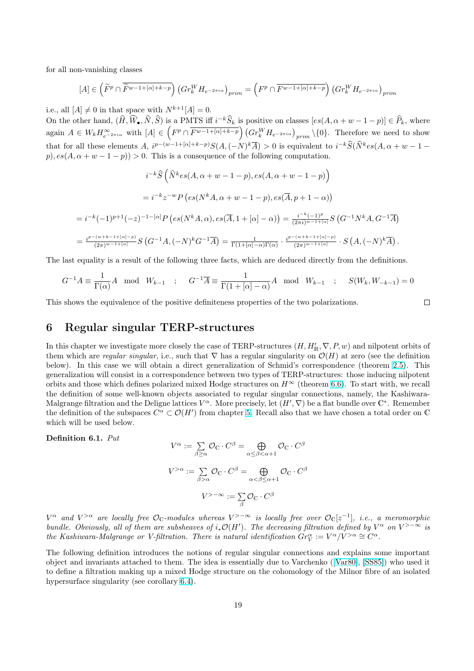<span id="page-18-0"></span>for all non-vanishing classes

$$
[A] \in \left(\widetilde{F}^p \cap \overline{\widetilde{F}^{w-1+[\alpha]+k-p}}\right) \left(Gr_k^W H_{e^{-2\pi i \alpha}}\right)_{prim} = \left(F^p \cap \overline{F^{w-1+[\alpha]+k-p}}\right) \left(Gr_k^W H_{e^{-2\pi i \alpha}}\right)_{prim}
$$

i.e., all  $[A] \neq 0$  in that space with  $N^{k+1}[A] = 0$ .

On the other hand,  $(\widehat{H}, \widehat{W}_{\bullet}, \widehat{N}, \widehat{S})$  is a PMTS iff  $i^{-k}\widehat{S}_k$  is positive on classes  $[es(A, \alpha + w - 1 - p)] \in \widehat{P}_k$ , where again  $A \in W_k H_{e^{-2\pi i\alpha}}^{\infty}$  with  $[A] \in \left(F^p \cap \overline{F^{w-1+[\alpha]+k-p}}\right) \left(Gr_k^W H_{e^{-2\pi i\alpha}}\right)_{prim} \setminus \{0\}.$  Therefore we need to show that for all these elements A,  $i^{p-(w-1+[\alpha]+k-p)}S(A, (-N)^k\overline{A}) > 0$  is equivalent to  $i^{-k}\widehat{S}(\widehat{N}^k e s(A, \alpha+w-1-\alpha))$ p),  $es(A, \alpha + w - 1 - p) > 0$ . This is a consequence of the following computation.

$$
i^{-k}\hat{S}\left(\hat{N}^{k}es(A, \alpha+w-1-p), es(A, \alpha+w-1-p)\right)
$$
  

$$
=i^{-k}z^{-w}P\left(es(N^{k}A, \alpha+w-1-p), es(\overline{A}, p+1-\alpha)\right)
$$
  

$$
=i^{-k}(-1)^{p+1}(-z)^{-1-[{\alpha}]}P\left(es(N^{k}A, \alpha), es(\overline{A}, 1+[\alpha]-\alpha)\right)=\frac{i^{-k}(-1)^{p}}{(2\pi i)^{w-1+[\alpha]}}S\left(G^{-1}N^{k}A, G^{-1}\overline{A}\right)
$$
  

$$
=\frac{i^{p-(w+k-1+[\alpha]-p)}}{(2\pi)^{w-1+[\alpha]}}S\left(G^{-1}A, (-N)^{k}G^{-1}\overline{A}\right)=\frac{1}{\Gamma(1+[\alpha]-\alpha)\Gamma(\alpha)}\cdot\frac{i^{p-(w+k-1+[\alpha]-p)}}{(2\pi)^{w-1+[\alpha]}}\cdot S\left(A, (-N)^{k}\overline{A}\right).
$$

The last equality is a result of the following three facts, which are deduced directly from the definitions.

$$
G^{-1}A \equiv \frac{1}{\Gamma(\alpha)}A \mod W_{k-1} \quad ; \quad G^{-1}\overline{A} \equiv \frac{1}{\Gamma(1+[\alpha]-\alpha)}A \mod W_{k-1} \quad ; \quad S(W_k, W_{-k-1}) = 0
$$

This shows the equivalence of the positive definiteness properties of the two polarizations.

#### $\Box$

### 6 Regular singular TERP-structures

In this chapter we investigate more closely the case of TERP-structures  $(H, H'_{\mathbb{R}}, \nabla, P, w)$  and nilpotent orbits of them which are regular singular, i.e., such that  $\nabla$  has a regular singularity on  $\mathcal{O}(H)$  at zero (see the definition below). In this case we will obtain a direct generalization of Schmid's correspondence (theorem 2.5). This generalization will consist in a correspondence between two types of TERP-structures: those inducing nilpotent orbits and those which defines polarized mixed Hodge structures on  $H^{\infty}$  (theorem 6.6). To start with, we recall the definition of some well-known objects associated to regular singular connections, namely, the Kashiwara-Malgrange filtration and the Deligne lattices  $V^{\alpha}$ . More precisely, let  $(H', \nabla)$  be a flat bundle over  $\mathbb{C}^*$ . [Rem](#page-5-0)ember the definition of the subspaces  $C^{\alpha} \subset \mathcal{O}(H')$  from chapter 5. Recall also that we have chosen a total order on C which will be used below.

Definition 6.1. Put

$$
V^{\alpha} := \sum_{\beta \ge \alpha} \mathcal{O}_{\mathbb{C}} \cdot C^{\beta} = \bigoplus_{\alpha \le \beta < \alpha + 1} \mathcal{O}_{\mathbb{C}} \cdot C^{\beta}
$$
\n
$$
V^{> \alpha} := \sum_{\beta > \alpha} \mathcal{O}_{\mathbb{C}} \cdot C^{\beta} = \bigoplus_{\alpha < \beta \le \alpha + 1} \mathcal{O}_{\mathbb{C}} \cdot C^{\beta}
$$
\n
$$
V^{> - \infty} := \sum_{\beta} \mathcal{O}_{\mathbb{C}} \cdot C^{\beta}
$$

 $V^\alpha$  and  $V^{>\alpha}$  are locally free  $\mathcal{O}_{\mathbb{C}}$ -modules whereas  $V^{>-\infty}$  is locally free over  $\mathcal{O}_{\mathbb{C}}[z^{-1}],$  i.e., a meromorphic bundle. Obviously, all of them are subsheaves of  $i_*\mathcal{O}(H')$ . The decreasing filtration defined by  $V^{\alpha}$  on  $V^{>-\infty}$  is the Kashiwara-Malgrange or V-filtration. There is natural identification  $\overline{Gr}_{V}^{\alpha} := V^{\alpha}/V^{>\alpha} \cong \overline{C^{\alpha}}$ .

The following definition introduces the notions of regular singular connections and explains some important object and invariants attached to them. The idea is essentially due to Varchenko ([Var80], [SS85]) who used it to define a filtration making up a mixed Hodge structure on the cohomology of the Milnor fibre of an isolated hypersurface singularity (see corollary 6.4).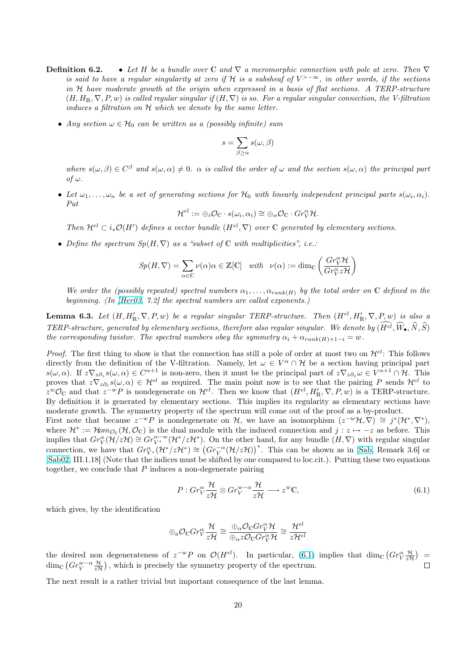- <span id="page-19-0"></span>**Definition 6.2.** • Let H be a bundle over C and  $\nabla$  a meromorphic connection with pole at zero. Then  $\nabla$ is said to have a regular singularity at zero if H is a subsheaf of  $V^{>-\infty}$ , in other words, if the sections in H have moderate growth at the origin when expressed in a basis of flat sections. A TERP-structure  $(H, H_{\mathbb{R}}, \nabla, P, w)$  is called regular singular if  $(H, \nabla)$  is so. For a regular singular connection, the V-filtration induces a filtration on H which we denote by the same letter.
	- Any section  $\omega \in \mathcal{H}_0$  can be written as a (possibly infinite) sum

$$
s = \sum_{\beta \ge \alpha} s(\omega, \beta)
$$

where  $s(\omega,\beta) \in C^{\beta}$  and  $s(\omega,\alpha) \neq 0$ .  $\alpha$  is called the order of  $\omega$  and the section  $s(\omega,\alpha)$  the principal part of ω.

• Let  $\omega_1,\ldots,\omega_n$  be a set of generating sections for  $\mathcal{H}_0$  with linearly independent principal parts  $s(\omega_i,\alpha_i)$ . Put

$$
\mathcal{H}^{el} := \oplus_i \mathcal{O}_{\mathbb{C}} \cdot s(\omega_i, \alpha_i) \cong \oplus_{\alpha} \mathcal{O}_{\mathbb{C}} \cdot Gr_V^{\alpha} \mathcal{H}.
$$

Then  $\mathcal{H}^{el} \subset i_*\mathcal{O}(H')$  defines a vector bundle  $(H^{el}, \nabla)$  over C generated by elementary sections.

• Define the spectrum  $Sp(H, \nabla)$  as a "subset of  $\mathbb C$  with multiplicities", i.e.:

$$
Sp(H, \nabla) = \sum_{\alpha \in \mathbb{C}} \nu(\alpha)\alpha \in \mathbb{Z}[\mathbb{C}] \quad with \quad \nu(\alpha) := \dim_{\mathbb{C}} \left( \frac{Gr_{V}^{\alpha} \mathcal{H}}{Gr_{V}^{\alpha} z \mathcal{H}} \right)
$$

We order the (possibly repeated) spectral numbers  $\alpha_1, \ldots, \alpha_{rank(H)}$  by the total order on C defined in the beginning. (In [Her03, 7.2] the spectral numbers are called exponents.)

**Lemma 6.3.** Let  $(H, H'_{\mathbb{R}}, \nabla, P, w)$  be a regular singular TERP-structure. Then  $(H^{el}, H'_{\mathbb{R}}, \nabla, P, w)$  is also a TERP-structure, generated by elementary sections, therefore also regular singular. We denote by  $(\widehat{H^{el}}, \widehat{W}_{\bullet}, \widehat{N}, \widehat{S})$ the corresponding tw[istor. T](#page-40-0)he spectral numbers obey the symmetry  $\alpha_i + \alpha_{rank(H)+1-i} = w$ .

*Proof.* The first thing to show is that the connection has still a pole of order at most two on  $\mathcal{H}^{el}$ : This follows directly from the definition of the V-filtration. Namely, let  $\omega \in V^{\alpha} \cap \mathcal{H}$  be a section having principal part  $s(\omega,\alpha)$ . If  $z\nabla_z\partial_z s(\omega,\alpha) \in C^{\alpha+1}$  is non-zero, then it must be the principal part of  $z\nabla_z\partial_z\omega \in V^{\alpha+1}\cap\mathcal{H}$ . This proves that  $z\nabla_z\partial_z s(\omega,\alpha) \in \mathcal{H}^{el}$  as required. The main point now is to see that the pairing P sends  $\mathcal{H}^{el}$  to  $z^w \mathcal{O}_\mathbb{C}$  and that  $z^{-w} P$  is nondegenerate on  $\mathcal{H}^{el}$ . Then we know that  $(H^{el}, H'_{\mathbb{R}}, \nabla, P, w)$  is a TERP-structure. By definition it is generated by elementary sections. This implies its regularity as elementary sections have moderate growth. The symmetry property of the spectrum will come out of the proof as a by-product.

First note that because  $z^{-w}P$  is nondegenerate on H, we have an isomorphism  $(z^{-w}A, \nabla) \cong j^*(\mathcal{H}^*, \nabla^*),$ where  $\mathcal{H}^* := \mathcal{H}om_{\mathcal{O}_\mathbb{C}}(\mathcal{H}, \mathcal{O}_\mathbb{C})$  is the dual module with the induced connection and  $j : z \mapsto -z$  as before. This implies that  $Gr_V^{\alpha}(\mathcal{H}/z\mathcal{H}) \cong Gr_{V^*}^{\alpha-w}(\mathcal{H}^*/z\mathcal{H}^*)$ . On the other hand, for any bundle  $(H, \nabla)$  with regular singular the strate  $Gr_V(t) \geq t$  =  $Gr_{V^*}(t^*/zH^*)$   $\cong (Gr_V^{-\alpha}(\mathcal{H}/zH))^*$ . This can be shown as in [Sab, Remark 3.6] or [Sab02, III.1.18] (Note that the indices must be shifted by one compared to loc.cit.). Putting these two equations together, we conclude that  $P$  induces a non-degenerate pairing

$$
P: Gr_V^{\alpha} \frac{\mathcal{H}}{z\mathcal{H}} \otimes Gr_V^{w-\alpha} \frac{\mathcal{H}}{z\mathcal{H}} \longrightarrow z^w \mathbb{C},\tag{6.1}
$$

which gives, by the identification

$$
\oplus_a \mathcal{O}_{\mathbb{C}}Gr_{V}^{\alpha} \frac{\mathcal{H}}{z\mathcal{H}} \cong \frac{\oplus_{\alpha} \mathcal{O}_{\mathbb{C}}Gr_{V}^{\alpha}\mathcal{H}}{\oplus_{\alpha} z\mathcal{O}_{\mathbb{C}}Gr_{V}^{\alpha}\mathcal{H}} \cong \frac{\mathcal{H}^{el}}{z\mathcal{H}^{el}}
$$

the desired non degenerateness of  $z^{-w}P$  on  $\mathcal{O}(H^{el})$ . In particular, (6.1) implies that dim<sub>C</sub>  $(Gr_{V}^{\alpha} \frac{\mathcal{H}}{z\mathcal{H}})$ ¢ esired non degenerateness of  $z^{-w}P$  on  $\mathcal{O}(H^{el})$ . In particular, (6.1) implies that  $\dim_{\mathbb{C}}(Gr^{\alpha}_{V}\frac{\mathcal{H}}{z\mathcal{H}})$  $\dim_{\mathbb{C}}\left(Gr_{V}^{w-\alpha}\frac{\mathcal{H}}{z\mathcal{H}}\right)$ , which is precisely the symmetry property of the spectrum.  $\Box$ 

The next result is a rather trivial but important consequence of the last lemma.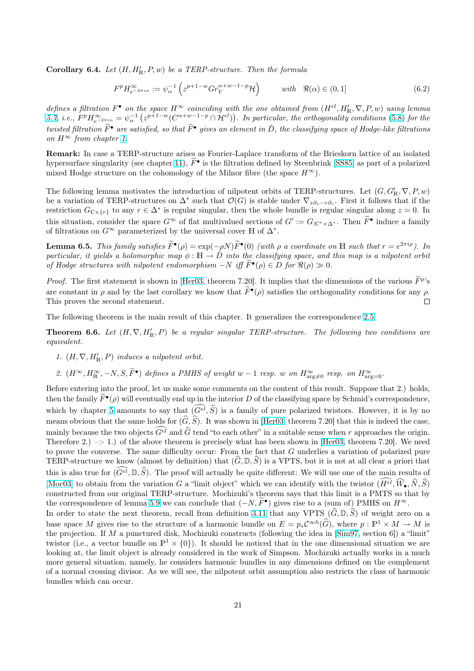<span id="page-20-0"></span>**Corollary 6.4.** Let  $(H, H'_{R}, P, w)$  be a TERP-structure. Then the formula

$$
F^p H_{e^{-2\pi i\alpha}}^{\infty} := \psi_{\alpha}^{-1} \left( z^{p+1-w} Gr_V^{\alpha+w-1-p} \mathcal{H} \right) \qquad \text{with} \quad \Re(\alpha) \in (0,1] \tag{6.2}
$$

defines a filtration  $F^{\bullet}$  on the space  $H^{\infty}$  coinciding with the one obtained from  $(H^{el}, H'_{\mathbb{R}}, \nabla, P, w)$  using lemma 5.7, *i.e.*,  $F^p H_{e^{-2\pi i \alpha}}^{\infty} = \psi_{\alpha}^{-1}$  $\frac{n}{2}$  $e$  space  $H^{\infty}$  connectaing with<br>  $z^{p+1-w}(C^{\alpha+w-1-p}\cap\mathcal{H}^{el}))$ . In particular, the orthogonality conditions (5.8) for the twisted filtration  $\widetilde{F}^{\bullet}$  are satisfied, so that  $\widetilde{F}^{\bullet}$  gives an element in  $\check{D}$ , the classifying space of Hodge-like filtrations on  $H^{\infty}$  from chapter 1.

[Rem](#page-16-0)ark: In case a TERP-structure arises as Fourier-Laplace transform of the Brieskorn lattice of [an](#page-16-0) isolated hypersurface singularity (see chapter 11),  $\tilde{F}^{\bullet}$  is the filtration defined by Steenbrink [SS85] as part of a polarized mixed Hodge structu[re](#page-0-0) on the cohomology of the Milnor fibre (the space  $H^{\infty}$ ).

The following lemma motivates the introduction of nilpotent orbits of TERP-structures. Let  $(G, G'_{\mathbb{R}}, \nabla, P, w)$ be a variation of TERP-structures on  $\Delta^*$  such that  $\mathcal{O}(G)$  is stable under  $\nabla_{z\partial_z - r\partial_r}$ [. Firs](#page-42-0)t it follows that if the restriction  $G_{\mathbb{C}\times\{r\}}$  to any  $r \in \Delta^*$  is regular singular, then the whole bundle is regular singular along  $z = 0$ . In this situation, consider the space  $G^{\infty}$  of flat multivalued sections of  $G' := G_{|\mathbb{C}^*\times\Delta^*}$ . Then  $\widetilde{F}^{\bullet}$  induce a family of filtrations on  $G^{\infty}$  parameterized by the universal cover H of  $\Delta^*$ .

**Lemma 6.5.** This family satisfies  $\widetilde{F}^{\bullet}(\rho) = \exp(-\rho N)\widetilde{F}^{\bullet}(0)$  (with  $\rho$  a coordinate on H such that  $r = e^{2\pi i \rho}$ ). In particular, it yields a holomorphic map  $\phi : \mathbb{H} \to D$  into the classifying space, and this map is a nilpotent orbit of Hodge structures with nilpotent endomorphism  $-N$  iff  $\widetilde{F}^{\bullet}(\rho) \in D$  for  $\Re(\rho) \gg 0$ .

*Proof.* The first statement is shown in [Her03, theorem 7.20]. It implies that the dimensions of the various  $\widetilde{F}^p$ 's are constant in  $\rho$  and by the last corollary we know that  $\widetilde{F}^{\bullet}(\rho)$  satisfies the orthogonality conditions for any  $\rho$ . This proves the second statement.  $\Box$ 

The following theorem is the main res[ult of th](#page-40-0)is chapter. It generalizes the correspondence 2.5.

**Theorem 6.6.** Let  $(H, \nabla, H'_{\mathbb{R}}, P)$  be a regular singular TERP-structure. The following two conditions are equivalent.

- 1.  $(H, \nabla, H'_{\mathbb{R}}, P)$  induces a nilpotent orbit.
- 2.  $(H^{\infty}, H^{\infty}_{\mathbb{R}}, -N, S, \widetilde{F}^{\bullet})$  defines a PMHS of weight  $w-1$  resp. w on  $H^{\infty}_{\text{arg}\neq 0}$  resp. on  $H^{\infty}_{\text{arg}=0}$ .

Before entering into the proof, let us make some comments on the content of this result. Suppose that 2.) holds, then the family  $\widetilde{F}^{\bullet}(\rho)$  will eventually end up in the interior D of the classifying space by Schmid's correspondence, which by chapter 5 amounts to say that  $(\widehat{G^{el}}, \widehat{S})$  is a family of pure polarized twistors. However, it is by no means obvious that the same holds for  $(\widehat{G}, \widehat{S})$ . It was shown in [Her03, theorem 7.20] that this is indeed the case, mainly because the two objects  $\widehat{G}^{el}$  and  $\widehat{G}$  tend "to each other" in a suitable sense when r approaches the origin. Therefore 2.)  $\rightarrow$  1.) of the above theorem is precisely what has been shown in [Her03, theorem 7.20]. We need to prove the conv[ers](#page-12-0)e. The same difficulty occur: From the fact that G underlies a variation of polarized pure TERP-structure we know (almost by definition) that  $(\widehat{G}, \mathbb{D}, \widehat{S})$  [is a V](#page-40-0)PTS, but it is not at all clear a priori that this is also true for  $(\widehat{G^{el}}, \mathbb{D}, \widehat{S})$ . The proof will actually be quite different: We will use one of the main results of [Moc03] to obtain from the variation G a "limit object" which we can identify [with the](#page-40-0) twistor  $(\widehat{H^{el}}, \widehat{W}_{\bullet}, \widehat{N}, \widehat{S})$ constructed from our original TERP-structure. Mochizuki's theorem says that this limit is a PMTS so that by the correspondence of lemma 5.9 we can conclude that  $(-N, \widetilde{F}^{\bullet})$  gives rise to a (sum of) PMHS on  $H^{\infty}$ . In order to state the next theorem, recall from definition 3.11 that any VPTS  $(\widehat{G}, \mathbb{D}, \widehat{S})$  of weight zero on a

[base spa](#page-41-0)ce M gives rise to the structure of a harmonic bundle on  $E = p_* C^{\infty h}(\widehat{G})$ , where  $p : \mathbb{P}^1 \times M \to M$  is the projection. If M a punctured disk, Mochizuki constructs (following the idea in  $[\text{Sim97}, \text{ section 6}]$ ) a "limit" twistor (i.e., a vector bundle [on](#page-17-0)  $\mathbb{P}^1 \times \{0\}$ ). It should be noticed that in the one dimensional situation we are looking at, the limit object is already considered in the wo[rk of](#page-9-0) Simpson. Mochizuki actually works in a much more general situation, namely, he considers harmonic bundles in any dimensions defined on the complement of a normal crossing divisor. As we will see, the nilpotent orbit assumption also res[tricts th](#page-42-0)e class of harmonic bundles which can occur.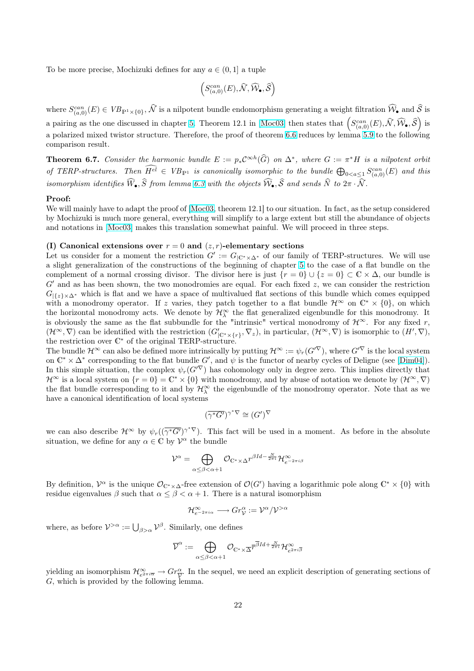<span id="page-21-0"></span>To be more precise, Mochizuki defines for any  $a \in (0,1]$  a tuple

$$
\left(S^{can}_{(a,0)}(E),\widehat{\mathcal{N}},\widehat{\mathcal{W}}_\bullet,\widehat{\mathcal{S}}\right)
$$

where  $S_{(a,0)}^{can}(E) \in VB_{\mathbb{P}^1\times\{0\}},\hat{\mathcal{N}}$  is a nilpotent bundle endomorphism generating a weight filtration  $\widehat{\mathcal{W}}_{\bullet}$  and  $\widehat{\mathcal{S}}$  is a pairing as the one discussed in chapter 5. Theorem 12.1 in [Moc03] then states that  $\left(S_{(a,0)}^{can}(E), \hat{N}, \hat{W}_{\bullet}, \hat{S}\right)$  is a polarized mixed twistor structure. Therefore, the proof of theorem 6.6 reduces by lemma 5.9 to the following comparison result.

**Theorem 6.7.** Consider the harmonic [bu](#page-12-0)ndle  $E := p_* C^{\infty h}(\widehat{G})$  [on](#page-41-0)  $\Delta^*$ , where  $G := \pi^* H$  is a nilpotent orbit of TERP-structures. Then  $\overline{H^{el}} \in V_{B_{\rm P1}}$  is canonically isomorphic [to t](#page-20-0)he bundle  $\bigoplus_{0 < a \leq 1} S_{(a,0)}^{can}(E)$  $\bigoplus_{0 < a \leq 1} S_{(a,0)}^{can}(E)$  $\bigoplus_{0 < a \leq 1} S_{(a,0)}^{can}(E)$  and this isomorphism identifies  $\widehat{W}_{\bullet}$ ,  $\widehat{S}$  from lemma 6.3 with the objects  $\widehat{W}_{\bullet}$ ,  $\widehat{S}$  and sends  $\widehat{N}$  to  $2\pi \cdot \widehat{N}$ .

#### Proof:

We will mainly have to adapt the proof of [Moc03, theorem 12.1] to our situation. In fact, as the setup considered by Mochizuki is much more general, everything will simplify to a large extent but still the abundance of objects and notations in [Moc03] makes this trans[latio](#page-19-0)n somewhat painful. We will proceed in three steps.

#### (I) Canonical extensions over  $r = 0$  [and](#page-41-0)  $(z, r)$ -elementary sections

Let us consider for a moment the restriction  $G' := G_{\vert \mathbb{C}^* \times \Delta^*}$  of our family of TERP-structures. We will use a slight generaliz[ation of](#page-41-0) the constructions of the beginning of chapter 5 to the case of a flat bundle on the complement of a normal crossing divisor. The divisor here is just  $\{r = 0\} \cup \{z = 0\} \subset \mathbb{C} \times \Delta$ , our bundle is  $G'$  and as has been shown, the two monodromies are equal. For each fixed  $z$ , we can consider the restriction  $G_{\{\{z\}\times\Delta^*}$  which is flat and we have a space of multivalued flat sections of this bundle which comes equipped with a monodromy operator. If z varies, they patch together to a fla[t b](#page-12-0)undle  $\mathcal{H}^{\infty}$  on  $\mathbb{C}^* \times \{0\}$ , on which the horizontal monodromy acts. We denote by  $\mathcal{H}_{\lambda}^{\infty}$  the flat generalized eigenbundle for this monodromy. It is obviously the same as the flat subbundle for the "intrinsic" vertical monodromy of  $\mathcal{H}^{\infty}$ . For any fixed r,  $(\mathcal{H}^{\infty}, \nabla)$  can be identified with the restriction  $(G'_{|\mathbb{C}^*\times\{r\}}, \nabla_z)$ , in particular,  $(\mathcal{H}^{\infty}, \nabla)$  is isomorphic to  $(H', \nabla)$ , the restriction over  $\mathbb{C}^*$  of the original TERP-structure.

The bundle  $\mathcal{H}^{\infty}$  can also be defined more intrinsically by putting  $\mathcal{H}^{\infty} := \psi_r(G'^\nabla)$ , where  $G'^\nabla$  is the local system on  $\mathbb{C}^* \times \Delta^*$  corresponding to the flat bundle G', and  $\psi$  is the functor of nearby cycles of Deligne (see [Dim04]). In this simple situation, the complex  $\psi_r(G^{\prime \nabla})$  has cohomology only in degree zero. This implies directly that  $\mathcal{H}^{\infty}$  is a local system on  $\{r=0\}=\mathbb{C}^*\times\{0\}$  with monodromy, and by abuse of notation we denote by  $(\mathcal{H}^{\infty},\nabla)$ the flat bundle corresponding to it and by  $\mathcal{H}_{\lambda}^{\infty}$  the eigenbundle of the monodromy operator. Note that as we have a canonical identification of local systems

$$
(\overline{\gamma^*G'})^{\gamma^*\nabla}\cong (G')^\nabla
$$

we can also describe  $\mathcal{H}^{\infty}$  by  $\psi_r((\overline{\gamma^*G'})^{\gamma^*\nabla})$ . This fact will be used in a moment. As before in the absolute situation, we define for any  $\alpha \in \mathbb{C}$  by  $\mathcal{V}^{\alpha}$  the bundle

$$
\mathcal{V}^{\alpha} = \bigoplus_{\alpha \leq \beta < \alpha + 1} \mathcal{O}_{\mathbb{C}^* \times \Delta} r^{\beta Id - \frac{N}{2\pi i}} \mathcal{H}^{\infty}_{e^{-2\pi i \beta}}
$$

By definition,  $\mathcal{V}^{\alpha}$  is the unique  $\mathcal{O}_{\mathbb{C}^*\times\Delta}$ -free extension of  $\mathcal{O}(G')$  having a logarithmic pole along  $\mathbb{C}^*\times\{0\}$  with residue eigenvalues  $\beta$  such that  $\alpha \leq \beta < \alpha + 1$ . There is a natural isomorphism

$$
\mathcal{H}^{\infty}_{e^{-2\pi i \alpha}} \longrightarrow Gr_{\mathcal{V}}^{\alpha}:=\mathcal{V}^{\alpha}/\mathcal{V}^{>\alpha}
$$

where, as before  $V^{>\alpha} := \bigcup_{\beta > \alpha} V^{\beta}$ . Similarly, one defines

$$
\overline{\mathcal{V}}^{\alpha} := \bigoplus_{\alpha \leq \beta < \alpha+1} \mathcal{O}_{\mathbb{C}^* \times \overline{\Delta}} \overline{r}^{\overline{\beta} Id + \frac{N}{2\pi i}} \mathcal{H}^{\infty}_{e^{2\pi i \overline{\beta}}}
$$

yielding an isomorphism  $\mathcal{H}_{e^{2\pi i\overline{\alpha}}}^{\infty} \to Gr_{\overline{\mathcal{V}}}^{\alpha}$ . In the sequel, we need an explicit description of generating sections of G, which is provided by the following lemma.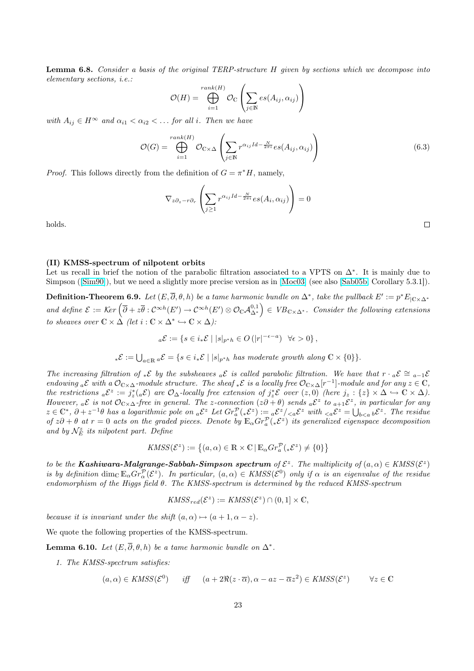<span id="page-22-0"></span>Lemma 6.8. Consider a basis of the original TERP-structure H given by sections which we decompose into elementary sections, i.e.:  $\overline{\phantom{a}}$  $\mathbf{r}$ 

$$
\mathcal{O}(H) = \bigoplus_{i=1}^{rank(H)} \mathcal{O}_{\mathbb{C}}\left(\sum_{j \in \mathbb{N}} es(A_{ij}, \alpha_{ij})\right)
$$

with  $A_{ij} \in H^{\infty}$  and  $\alpha_{i1} < \alpha_{i2} < \dots$  for all i. Then we have

$$
\mathcal{O}(G) = \bigoplus_{i=1}^{rank(H)} \mathcal{O}_{\mathbb{C}\times\Delta} \left( \sum_{j\in\mathbb{N}} r^{\alpha_{ij}Id - \frac{N}{2\pi i}} es(A_{ij}, \alpha_{ij}) \right)
$$
(6.3)

*Proof.* This follows directly from the definition of  $G = \pi^* H$ , namely,

$$
\nabla_{z\partial_z - r\partial_r} \left( \sum_{j \ge 1} r^{\alpha_{ij}Id - \frac{N}{2\pi i}} e s(A_i, \alpha_{ij}) \right) = 0
$$

holds.

#### (II) KMSS-spectrum of nilpotent orbits

Let us recall in brief the notion of the parabolic filtration associated to a VPTS on  $\Delta^*$ . It is mainly due to Simpson ([Sim90]), but we need a slightly more precise version as in [Moc03] (see also [Sab05b, Corollary 5.3.1]).

**Definition-Theorem 6.9.** Let  $(E, \overline{\partial}, \theta, h)$  be a tame harmonic bundle on  $\Delta^*$ , take the pullback  $E' := p^* E_{|\mathbb{C} \times \Delta^*}$ **Definition-Theorem 6.5.** Let  $(E, 0, 0, h)$  be a tame narmonic vanale on  $\Delta$ , take the patioack  $E := p E_{C \times \Delta^*}$ <br>and define  $\mathcal{E} := \text{Ker}(\overline{\partial} + z\overline{\theta}: C^{\infty h}(E') \to C^{\infty h}(E') \otimes \mathcal{O}_C \mathcal{A}_{\Delta^*}^{0,1}) \in VB_{C \times \Delta^*}.$  Consider t to sheaves [over](#page-42-0)  $\mathbb{C} \times \Delta$  (let  $i : \mathbb{C} \times \Delta^* \hookrightarrow \mathbb{C} \times \Delta$ ):

$$
{}_{a}\mathcal{E} := \{ s \in i_*\mathcal{E} \mid |s|_{p^*h} \in O(|r|^{-\epsilon-a}) \quad \forall \epsilon > 0 \},
$$

 ${}_{*}\mathcal{E} := \bigcup_{a \in \mathbb{R}} {}_{a}\mathcal{E} = \{s \in i_{*}\mathcal{E} \mid |s|_{p^{*}h} \text{ has moderate growth along } \mathbb{C} \times \{0\} \}.$ 

The increasing filtration of \* $\mathcal{E}$  by the subsheaves  ${}_{a}\mathcal{E}$  is called parabolic filtration. We have that  $r \cdot {}_{a}\mathcal{E} \cong {}_{a-1}\mathcal{E}$ endowing <sub>a</sub> $\mathcal E$  with a  $\mathcal O_{\mathbb C\times\Delta}$ -module structure. The sheaf  ${}_*\mathcal E$  is a locally free  $\mathcal O_{\mathbb C\times\Delta}[r^{-1}]$ -module and for any  $z\in\mathbb C$ , the restrictions  ${}_{a}\mathcal{E}^{z} := j_{z}^{*}({}_{a}\mathcal{E})$  are  $\mathcal{O}_{\Delta}$ -locally free extension of  $j_{z}^{*}\mathcal{E}$  over  $(z,0)$  (here  $j_{z} : \{z\} \times \Delta \hookrightarrow \mathbb{C} \times \Delta$ ). However,  ${}_{a}\mathcal{E}$  is not  $\mathcal{O}_{\mathbb{C}\times\Delta}$ -free in general. The z-connection  $(z\partial+\theta)$  sends  ${}_{a}\mathcal{E}^{z}$  to  ${}_{a+1}\mathcal{E}^{z}$ , in particular for any  $z \in \mathbb{C}^*, \partial + z^{-1}\theta$  has a logarithmic pole on  ${}_{a}\mathcal{E}^{z}$  Let  $Gr_{a}^{\mathcal{P}}({}_{*}\mathcal{E}^{z}) := {}_{a}\mathcal{E}^{z}/{}_{ with  ${}_{. The residue$$ of  $z\partial + \theta$  at  $r = 0$  acts on the graded pieces. Denote by  $\mathbb{E}_{\alpha} Gr^{\mathcal{P}}_{a}(*\mathcal{E}^{z})$  its generalized eigenspace decomposition and by  $\mathcal{N}_{E}^{z}$  its nilpotent part. Define

$$
KMSS(\mathcal{E}^z) := \left\{ (a, \alpha) \in \mathbb{R} \times \mathbb{C} \, | \, \mathbb{E}_{\alpha} Gr_a^{\mathcal{P}}({}_*\mathcal{E}^z) \neq \{0\} \right\}
$$

to be the **Kashiwara-Malgrange-Sabbah-Simpson spectrum** of  $\mathcal{E}^z$ . The multiplicity of  $(a, \alpha) \in KASS(\mathcal{E}^z)$ is by definition  $\dim_{\mathbb{C}} \mathbb{E}_{\alpha} Gr_{\alpha}^{\mathcal{P}}(\mathcal{E}^z)$ . In particular,  $(a, \alpha) \in KASS(\mathcal{E}^0)$  only if  $\alpha$  is an eigenvalue of the residue endomorphism of the Higgs field θ. The KMSS-spectrum is determined by the reduced KMSS-spectrum

$$
KMSS_{red}(\mathcal{E}^z) := KMSS(\mathcal{E}^z) \cap (0,1] \times \mathbb{C},
$$

because it is invariant under the shift  $(a, \alpha) \mapsto (a + 1, \alpha - z)$ .

We quote the following properties of the KMSS-spectrum.

**Lemma 6.10.** Let  $(E, \overline{\partial}, \theta, h)$  be a tame harmonic bundle on  $\Delta^*$ .

1. The KMSS-spectrum satisfies:

$$
(a, \alpha) \in KMSS(\mathcal{E}^0) \qquad \text{iff} \qquad (a + 2\Re(z \cdot \overline{\alpha}), \alpha - az - \overline{\alpha}z^2) \in KMSS(\mathcal{E}^z) \qquad \forall z \in \mathbb{C}
$$

 $\Box$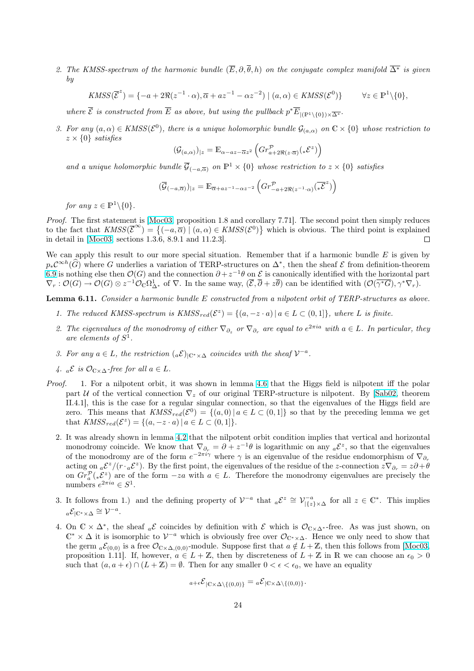<span id="page-23-0"></span>2. The KMSS-spectrum of the harmonic bundle  $(\overline{E}, \partial, \overline{\theta}, h)$  on the conjugate complex manifold  $\overline{\Delta^*}$  is given by

$$
KMSS(\overline{\mathcal{E}}^z) = \{-a + 2\Re(z^{-1} \cdot \alpha), \overline{\alpha} + az^{-1} - \alpha z^{-2}) \mid (a, \alpha) \in KMSS(\mathcal{E}^0) \} \qquad \forall z \in \mathbb{P}^1 \setminus \{0\},
$$

where  $\overline{\mathcal{E}}$  is constructed from  $\overline{E}$  as above, but using the pullback  $p^* \overline{E}_{|(\mathbb{P}^1 \setminus \{0\}) \times \overline{\Delta^*}}$ .

3. For any  $(a, \alpha) \in KASS(\mathcal{E}^0)$ , there is a unique holomorphic bundle  $\mathcal{G}_{(a,\alpha)}$  on  $\mathbb{C} \times \{0\}$  whose restriction to  $z \times \{0\}$  satisfies  $\overline{a}$ ´

$$
(\mathcal{G}_{(a,\alpha)})_{|z} = \mathbb{E}_{\alpha - az - \overline{\alpha}z^2} \left( Gr^{\mathcal{P}}_{a+2\Re(z\cdot\overline{\alpha})}(*\mathcal{E}^z) \right)
$$

and a unique holomorphic bundle  $\overline{\mathcal{G}}_{(-a,\overline{\alpha})}$  on  $\mathbb{P}^1 \times \{0\}$  whose restriction to  $z \times \{0\}$  satisfies

$$
(\overline{\mathcal{G}}_{(-a,\overline{\alpha})})_{|z} = \mathbb{E}_{\overline{\alpha}+az^{-1}-\alpha z^{-2}} \left( Gr^{\mathcal{P}}_{-a+2\Re(z^{-1}\cdot\alpha)}(\overline{z^z}) \right)
$$

for any  $z \in \mathbb{P}^1 \backslash \{0\}.$ 

*Proof.* The first statement is [Moc03, proposition 1.8 and corollary 7.71]. The second point then simply reduces *Proof.* The first statement is [MOCU3, proposition 1.8 and corollary (11]. The second point then simply reduces to the fact that  $KMSS(\bar{E}^{\infty}) = \{(-a,\bar{\alpha}) | (a,\alpha) \in KMSS(\mathcal{E}^0)\}$  which is obvious. The third point is explain in detail in [Moc03, sections 1.3.6, 8.9.1 and 11.2.3].  $\Box$ 

We can apply this result to our more special situation. Remember that if a harmonic bundle  $E$  is given by  $p_*\mathcal{C}^{\infty h}(\widehat{G})$  where G underlies [a varia](#page-41-0)tion of TERP-structures on  $\Delta^*$ , then the sheaf  $\mathcal E$  from definition-theorem 6.9 is nothi[ng else t](#page-41-0)hen  $\mathcal{O}(G)$  and the connection  $\partial + z^{-1}\theta$  on  $\mathcal E$  is canonically identified with the horizontal part  $\nabla_r : \mathcal{O}(G) \to \mathcal{O}(G) \otimes z^{-1} \mathcal{O}_\mathbb{C} \Omega^1_{\Delta^*}$  of  $\nabla$ . In the same way,  $(\overline{\mathcal{E}}, \overline{\partial} + z\overline{\theta})$  can be identified with  $(\mathcal{O}(\overline{\gamma^*G}), \gamma^* \nabla_r)$ .

Lemma 6.11. Consider a harmonic bundle E constructed from a nilpotent orbit of TERP-structures as above.

- [1](#page-22-0). The reduced KMSS-spectrum is  $KMSS_{red}(\mathcal{E}^z) = \{(a, -z \cdot a) | a \in L \subset (0,1]\},$  where L is finite.
- 2. The eigenvalues of the monodromy of either  $\nabla_{\partial_z}$  or  $\nabla_{\partial_r}$  are equal to  $e^{2\pi i a}$  with  $a \in L$ . In particular, they are elements of  $S^1$ .
- 3. For any  $a \in L$ , the restriction  $(a \mathcal{E})_{|\mathbb{C}^* \times \Delta}$  coincides with the sheaf  $\mathcal{V}^{-a}$ .
- 4.  ${}_{a}\mathcal{E}$  is  $\mathcal{O}_{\mathbb{C}\times\Delta}$ -free for all  $a \in L$ .
- Proof. 1. For a nilpotent orbit, it was shown in lemma 4.6 that the Higgs field is nilpotent iff the polar part U of the vertical connection  $\nabla_z$  of our original TERP-structure is nilpotent. By [Sab02, theorem II.4.1], this is the case for a regular singular connection, so that the eigenvalues of the Higgs field are zero. This means that  $KASS_{red}(\mathcal{E}^0) = \{(a, 0) | a \in L \subset (0, 1]\}$  so that by the preceding lemma we get that  $KASS_{red}(\mathcal{E}^z) = \{(a, -z \cdot a) | a \in L \subset (0, 1]\}.$ 
	- 2. It was already shown in lemma 4.2 that the nilpotent orbit condition implies that vertic[al and h](#page-41-0)orizontal monodromy coincide. We know that  $\nabla_{\partial_r} = \partial + z^{-1}\theta$  is logarithmic on any  ${}_{a}\mathcal{E}^z$ , so that the eigenvalues of the monodromy are of the form  $e^{-2\pi i \gamma}$  where  $\gamma$  is an eigenvalue of the residue endomorphism of  $\nabla_{\partial_r}$ acting on  ${}_{a}\mathcal{E}^{z}/(r \cdot {}_{a}\mathcal{E}^{z})$ . By the first point, the eigenvalues of the residue of the z-connection  $z \nabla_{\partial_r} = z \partial + \theta$ on  $Gr_a^{\mathcal{P}}(*\mathcal{E}^z)$  are of the form  $-za$  $-za$  with  $a \in L$ . Therefore the monodromy eigenvalues are precisely the numbers  $e^{2\pi i a} \in S^1$ .
	- 3. It follows from 1.) and the defining property of  $\mathcal{V}^{-a}$  that  ${}_{a}\mathcal{E}^{z} \cong \mathcal{V}^{-a}_{|\{z\}\times\Delta}$  for all  $z \in \mathbb{C}^*$ . This implies  ${}_{a}\mathcal{E}_{|\mathbb{C}^{*}\times\Delta}\cong\mathcal{V}^{-a}.$
	- 4. On  $\mathbb{C} \times \Delta^*$ , the sheaf  ${}_{a}\mathcal{E}$  coincides by definition with  $\mathcal{E}$  which is  $\mathcal{O}_{\mathbb{C}\times\Delta^*}$ -free. As was just shown, on  $\mathbb{C}^* \times \Delta$  it is isomorphic to  $\mathcal{V}^{-a}$  which is obviously free over  $\mathcal{O}_{\mathbb{C}^* \times \Delta}$ . Hence we only need to show that the germ  ${}_{a}\mathcal{E}_{(0,0)}$  is a free  $\mathcal{O}_{C\times\Delta,(0,0)}$ -module. Suppose first that  $a \notin L+\mathbb{Z}$ , then this follows from [Moc03, proposition 1.11. If, however,  $a \in L + \mathbb{Z}$ , then by discreteness of  $L + \mathbb{Z}$  in R we can choose an  $\epsilon_0 > 0$ such that  $(a, a + \epsilon) \cap (L + \mathbb{Z}) = \emptyset$ . Then for any smaller  $0 < \epsilon < \epsilon_0$ , we have an equality

$$
{}_{a+\epsilon} \mathcal{E}_{|\mathbb{C}\times\Delta\setminus\{(0,0)\}} = {}_a \mathcal{E}_{|\mathbb{C}\times\Delta\setminus\{(0,0)\}}.
$$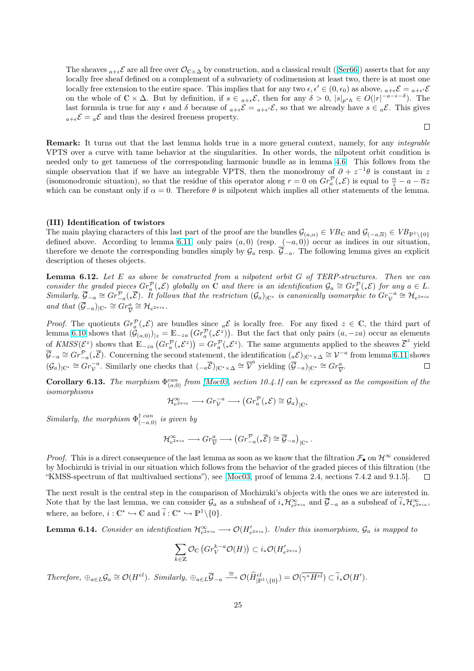<span id="page-24-0"></span>The sheaves  $_{a+\epsilon} \mathcal{E}$  are all free over  $\mathcal{O}_{C\times\Delta}$  by construction, and a classical result ([Ser66]) asserts that for any locally free sheaf defined on a complement of a subvariety of codimension at least two, there is at most one locally free extension to the entire space. This implies that for any two  $\epsilon, \epsilon' \in (0, \epsilon_0)$  as above,  $_{a+\epsilon} \mathcal{E} = {}_{a+\epsilon'} \mathcal{E}$ on the whole of  $\mathbb{C}\times\Delta$ . But by definition, if  $s\in a_+\in\mathcal{E}$ , then for any  $\delta>0$ ,  $|s|_{p^*h}\in O(|r|^{-a-\epsilon-\delta})$ . The last formula is true for any  $\epsilon$  and  $\delta$  because of  $_{a+\epsilon}\mathcal{E}={_{a+\epsilon'}\mathcal{E}}$ , so that we alrea[dy hav](#page-41-0)e  $s\in {}_a\mathcal{E}$ . This gives  $a+\epsilon \mathcal{E} = a\mathcal{E}$  and thus the desired freeness property.

 $\Box$ 

**Remark:** It turns out that the last lemma holds true in a more general context, namely, for any *integrable* VPTS over a curve with tame behavior at the singularities. In other words, the nilpotent orbit condition is needed only to get tameness of the corresponding harmonic bundle as in lemma 4.6. This follows from the simple observation that if we have an integrable VPTS, then the monodromy of  $\partial + z^{-1}\theta$  is constant in z (isomonodromic situation), so that the residue of this operator along  $r = 0$  on  $Gr_{a}^{\mathcal{P}}(*\mathcal{E})$  is equal to  $\frac{\alpha}{z} - a - \overline{\alpha}z$ which can be constant only if  $\alpha = 0$ . Therefore  $\theta$  is nilpotent which implies all other statements of the lemma.

#### (III) Identification of twistors

The main playing characters of this last part of the proof are the bundles  $\mathcal{G}_{(a,\alpha)} \in VB_{\mathbb{C}}$  and  $\mathcal{G}_{(-a,\overline{\alpha})} \in VB_{\mathbb{P}^1 \setminus \{0\}}$ defined above. According to lemma 6.11, only pairs  $(a, 0)$  (resp.  $(-a, 0)$ ) occur as indices in our situation, therefore we denote the corresponding bundles simply by  $\mathcal{G}_a$  resp.  $\overline{\mathcal{G}}_{-a}$ . The following lemma gives an explicit description of theses objects.

**Lemma 6.12.** Let E as above be constructed from a nilpotent orbit G of TERP-structures. Then we can consider the graded pieces  $Gr_a^{\mathcal{P}}({}_*\mathcal{E})$  g[loball](#page-23-0)y on  $\mathbb C$  and there is an identification  $\mathcal{G}_a \cong Gr_a^{\mathcal{P}}({}_*\mathcal{E})$  for any  $a \in L$ .  $Similarly, \overline{\mathcal{G}}_{-a} \cong \widehat{Gr}_{-a}^{\mathcal{P}}(\mathcal{F})$ . It follows that the restriction  $(\mathcal{G}_a)_{|\mathbb{C}^*}$  is canonically isomorphic to  $Gr_{\mathcal{V}}^{-a} \cong \mathcal{H}_{e^{2\pi i a}}$ and that  $(\overline{\mathcal{G}}_{-a})_{|\mathbb{C}^*} \cong Gr_{\overline{\mathcal{V}}}^a \cong \mathcal{H}_{e^{2\pi i a}}$ .

*Proof.* The quotients  $Gr_a^{\mathcal{P}}(*\mathcal{E})$  are bundles since  $_a\mathcal{E}$  is locally free. For any fixed  $z \in \mathbb{C}$ , the third part of *Proof.* The quotients  $Gr_a^{\alpha}({}_*\mathcal{E})$  are bundles since  ${}_a\mathcal{E}$  is locally ree. For any fixed  $z \in \mathbb{C}$ , the third part of lemma 6.10 shows that  $(\mathcal{G}_{(a,0)})_{|z|} = \mathbb{E}_{-za} (Gr_a^{\mathcal{P}}({}_*\mathcal{E}^z))$ . But the fact that of  $KMSS(\mathcal{E}^z)$  shows that  $\mathbb{E}_{z_a}(Gr_a^{\mathcal{P}}(*\mathcal{E}^z)) = Gr_a^{\mathcal{P}}(*\mathcal{E}^z)$ . The same arguments applied to the sheaves  $\overline{\mathcal{E}}^z$  yield  $\overline{\mathcal{G}}_{-a} \cong Gr_{-a}^{\mathcal{P}}(*\overline{\mathcal{E}})$ . Concerning the second statement, the identification  $(a\mathcal{E})_{|\mathbb{C}^*\times\Delta} \cong \mathcal{V}^{-a}$  from lemma 6.11 shows  $(\mathcal{G}_a)_{\vert \mathbb{C}^*} \cong \overline{Gr}_{\mathcal{V}}^{-a}$ . Similarly one checks that  $\left(\begin{smallmatrix} -a \overline{\mathcal{E}} \end{smallmatrix}\right)_{\vert \mathbb{C}^*\times\Delta} \cong \overline{\mathcal{V}}^a$  yielding  $(\overline{\mathcal{G}}_{-a})_{\vert \mathbb{C}^*} \cong Gr_{\overline{\mathcal{V}}}^a$ .  $\Box$ 

**Corollary 6.13.** The morphism  $\Phi_{(a,0)}^{can}$  from [Moc03, section 10.4.1] can be expressed as the composition of the isomorphisms ¢

$$
\mathcal{H}_{e^{2\pi i a}}^{\infty} \longrightarrow Gr_{\mathcal{V}}^{-a} \longrightarrow \left( Gr_a^{\mathcal{P}}({}_{*}\mathcal{E}) \cong \mathcal{G}_a \right)_{|\mathbb{C}^*}
$$

Similarly, the morphism  $\Phi^{\dagger \ can}_{(-a,0)}$  is given by

$$
\mathcal{H}^{\infty}_{e^{2\pi i a}} \longrightarrow Gr_{\overline{\mathcal{V}}}^{a} \longrightarrow \left( Gr_{-a}^{\mathcal{P}}(*\overline{\mathcal{E}}) \cong \overline{\mathcal{G}}_{-a} \right)_{|\mathbb{C}^*}.
$$

*Proof.* This is a direct consequence of the last lemma as soon as we know that the filtration  $\mathcal{F}_\bullet$  on  $\mathcal{H}^\infty$  considered by Mochizuki is trivial in our situation which follows from the behavior of the graded pieces of this filtration (the "KMSS-spectrum of flat multivalued sections"), see [Moc03, proof of lemma 2.4, sections 7.4.2 and 9.1.5].  $\Box$ 

The next result is the central step in the comparison of Mochizuki's objects with the ones we are interested in. Note that by the last lemma, we can consider  $\mathcal{G}_a$  as a subsheaf of  $i_*\mathcal{H}_{e^{2\pi i a}}^{\infty}$  and  $\overline{\mathcal{G}}_{-a}$  as a subsheaf of  $\widetilde{i}_*\mathcal{H}_{e^{2\pi i a}}^{\infty}$ , where, as before,  $i: \mathbb{C}^* \hookrightarrow \mathbb{C}$  and  $\widetilde{i}: \mathbb{C}^* \hookrightarrow \mathbb{P}^1 \setminus \{0\}.$ 

**Lemma 6.14.** Consider an identification  $\mathcal{H}_{e^{2\pi i a}}^{\infty} \longrightarrow \mathcal{O}(H'_{e^{2\pi i a}})$ . Under this isomorphism,  $\mathcal{G}_a$  is mapped to

$$
\sum_{k\in\mathbb{Z}}\mathcal{O}_{\mathbb{C}}\left(Gr_V^{k-a}\mathcal{O}(H)\right)\subset i_*\mathcal{O}(H'_{e^{2\pi i a}})
$$

Therefore,  $\oplus_{a\in L}\mathcal{G}_a \cong \mathcal{O}(H^{el})$ . Similarly,  $\oplus_{a\in L}\overline{\mathcal{G}}_{-a} \stackrel{\cong}{\longrightarrow} \mathcal{O}(\widehat{H}^{el}_{|\mathbb{P}^1\setminus\{0\}}) = \mathcal{O}(\overline{\gamma^*H^{el}}) \subset \widetilde{i}_*\mathcal{O}(H').$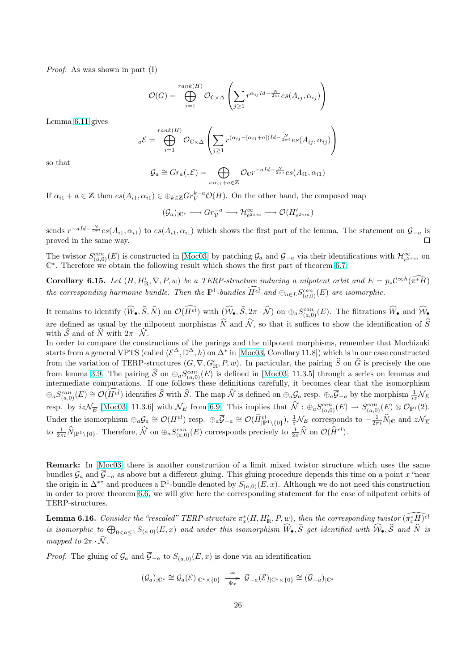Proof. As was shown in part (I)

$$
\mathcal{O}(G) = \bigoplus_{i=1}^{rank(H)} \mathcal{O}_{\mathbb{C}\times\Delta} \left( \sum_{j\geq 1} r^{\alpha_{ij}Id - \frac{N}{2\pi i}} es(A_{ij}, \alpha_{ij}) \right)
$$

Lemma 6.11 gives

$$
{}_{a}\mathcal{E} = \bigoplus_{i=1}^{rank(H)} \mathcal{O}_{\mathbb{C}\times\Delta} \left( \sum_{j\geq 1} r^{(\alpha_{ij} - [\alpha_{i1} + a])Id - \frac{N}{2\pi i}} es(A_{ij}, \alpha_{ij}) \right)
$$

so that

$$
\mathcal{G}_a \cong Gr_a(*\mathcal{E}) = \bigoplus_{i:\alpha_{i1}+a\in\mathbb{Z}} \mathcal{O}_{\mathbb{C}} r^{-aId-\frac{N}{2\pi i}} es(A_{i1},\alpha_{i1})
$$

If  $\alpha_{i1} + a \in \mathbb{Z}$  then  $es(A_{i1}, \alpha_{i1}) \in \bigoplus_{k \in \mathbb{Z}} Gr_V^{k-a} \mathcal{O}(H)$ . On the other hand, the composed map

$$
(\mathcal{G}_a)_{|\mathbb{C}^*} \longrightarrow Gr_{\mathcal{V}}^{-a} \longrightarrow \mathcal{H}_{e^{2\pi i a}}^{\infty} \longrightarrow \mathcal{O}(H'_{e^{2\pi i a}})
$$

sends  $r^{-aId-\frac{N}{2\pi i}}es(A_{i1},\alpha_{i1})$  to  $es(A_{i1},\alpha_{i1})$  which shows the first part of the lemma. The statement on  $\overline{\mathcal{G}}_{-a}$  is proved in the same way.

The twistor  $S_{(a,0)}^{can}(E)$  is constructed in [Moc03] by patching  $\mathcal{G}_a$  and  $\overline{\mathcal{G}}_{-a}$  via their identifications with  $\mathcal{H}_{e^{2\pi i a}}^{\infty}$  on  $\mathbb{C}^*$ . Therefore we obtain the following result which shows the first part of theorem 6.7.

**Corollary 6.15.** Let  $(H, H'_{\mathbb{R}}, \nabla, P, w)$  be a TERP-structure inducing a nilpotent orbit and  $E = p_* C^{\infty h}(\widehat{\pi^*H})$ the corresponding harmonic bundle. Th[en the](#page-41-0)  $\mathbb{P}^1$ -bundles  $\widehat{H^{el}}$  and  $\oplus_{a\in L}S^{can}_{(a,0)}(E)$  are isomorphic.

It remains to identify  $(\widehat{W}_{\bullet}, \widehat{S}, \widehat{N})$  on  $\mathcal{O}(\widehat{H^{el}})$  with  $(\widehat{\mathcal{W}}_{\bullet}, \widehat{S}, 2\pi \cdot \widehat{\mathcal{N}})$  on  $\oplus_a S_{(a,0)}^{can}(E)$ . [The](#page-21-0) filtrations  $\widehat{W}_{\bullet}$  and  $\widehat{\mathcal{W}}_{\bullet}$ are defined as usual by the nilpotent morphisms  $\hat{N}$  and  $\hat{\mathcal{N}}$ , so that it suffices to show the identification of  $\hat{S}$ with S and of N with  $2\pi \cdot \hat{N}$ .

In order to compare the constructions of the parings and the nilpotent morphisms, remember that Mochizuki starts from a general VPTS (called  $({\mathcal{E}}^{\Delta}, \mathbb{D}^{\Delta}, h)$  on  $\Delta^*$  in [Moc03, Corollary 11.8]) which is in our case constructed from the variation of TERP-structures  $(G, \nabla, G'_{\mathbb{R}}, P, w)$ . In particular, the pairing  $\widehat{S}$  on  $\widehat{G}$  is precisely the one from lemma 3.9. The pairing  $\hat{S}$  on  $\oplus_a S_{(a,0)}^{can}(E)$  is defined in [Moc03, 11.3.5] through a series on lemmas and intermediate computations. If one follows these definitions carefully, it becomes clear that the isomorphism  $\oplus_a S_{(a,0)}^{can}(E) \cong \mathcal{O}(\widehat{H^{el}})$  identifies  $\widehat{\mathcal{S}}$  with  $\widehat{S}$ . The map  $\widehat{\mathcal{N}}$  [is define](#page-41-0)d on  $\oplus_a \mathcal{G}_a$  resp.  $\oplus_a \overline{\mathcal{G}}_{-a}$  by the morphism  $\frac{1}{iz} \mathcal{N}_E$ resp. by  $iz\mathcal{N}_{\overline{E}}$  [Moc03, 11.3.6] with  $\mathcal{N}_E$  from 6.9. This impl[ies that](#page-41-0)  $\widehat{\mathcal{N}}$  :  $\oplus_a S_{(a,0)}^{can}(E) \to S_{(a,0)}^{can}(E) \otimes \mathcal{O}_{\mathbb{P}^1}(2)$ . Under the is[omo](#page-9-0)rphism  $\bigoplus_{a} \mathcal{G}_{a} \cong \mathcal{O}(H^{el})$  resp.  $\bigoplus_{a} \overline{\mathcal{G}}_{-a} \cong \mathcal{O}(\widehat{H}^{el}_{|\mathbb{P}^{1}\setminus\{0\}}), \frac{1}{z}\mathcal{N}_{E}$  corresponds to  $-\frac{1}{2\pi i}\widehat{N}_{|\mathbb{C}}$  and  $z\mathcal{N}_{E}$ to  $\frac{1}{2\pi i} \widehat{N}_{|{\mathbb{P}}^1 \setminus \{0\}}$ . Therefore,  $\widehat{\mathcal{N}}$  on  $\oplus_a S_{(a,0)}^{can}(E)$  corresponds precisely to  $\frac{1}{2\pi} \widehat{N}$  on  $\mathcal{O}(\widehat{H}^{el})$ .

Remark: In [Moc03] there is another construction of a limit mixed twistor structure which uses the same bundles  $\mathcal{G}_a$  and  $\overline{\mathcal{G}}_{-a}$  as above but a different gluing. This gluing procedure depends this time on a point x "near the origin in  $\Delta^{*}$ " and produces a  $\mathbb{P}^1$ -bundle denoted by  $S_{(a,0)}(E,x)$ . Although we do not need this construction in order to prove theorem 6.6, we will give here the corresponding statement for the case of nilpotent orbits of TERP-structu[res.](#page-41-0)

**Lemma 6.16.** Consider the "rescaled" TERP-structure  $\pi_x^*(H, H'_{\mathbb{R}}, P, w)$ , then the corresponding twistor  $\widehat{(\pi_x^*H)^{el}}$ is isomorphic to  $\bigoplus_{0 \le a \le 1} S_{(a,0)}(E, x)$  $\bigoplus_{0 \le a \le 1} S_{(a,0)}(E, x)$  $\bigoplus_{0 \le a \le 1} S_{(a,0)}(E, x)$  and under this isomorphism  $\widehat{W}_{\bullet}$ ,  $\widehat{S}$  get identified with  $\widehat{W}_{\bullet}$ ,  $\widehat{S}$  and  $\widehat{N}$  is mapped to  $2\pi \cdot \widehat{N}$ .

*Proof.* The gluing of  $\mathcal{G}_a$  and  $\overline{\mathcal{G}}_{-a}$  to  $S_{(a,0)}(E, x)$  is done via an identification

$$
(\mathcal{G}_a)_{|\mathbb{C}^*} \cong \mathcal{G}_a(\mathcal{E})_{|\mathbb{C}^*\times\{0\}} \xrightarrow[\Phi_x]{} \overline{\mathcal{G}}_{-a}(\overline{\mathcal{E}})_{|\mathbb{C}^*\times\{0\}} \cong (\overline{\mathcal{G}}_{-a})_{|\mathbb{C}^*}
$$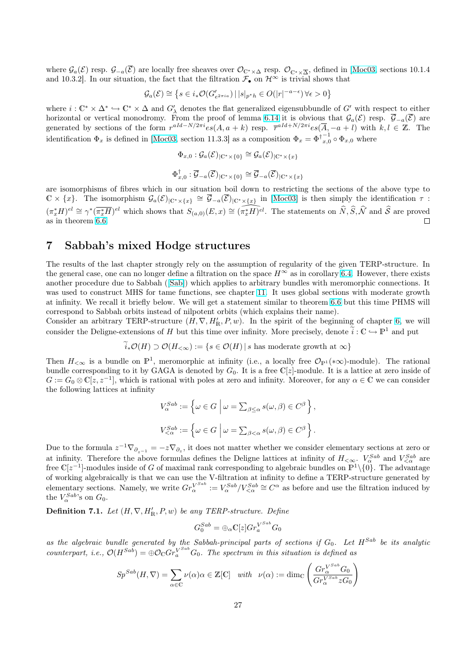<span id="page-26-0"></span>where  $\mathcal{G}_a(\mathcal{E})$  resp.  $\mathcal{G}_{-a}(\overline{\mathcal{E}})$  are locally free sheaves over  $\mathcal{O}_{\mathbb{C}^*\times\Delta}$  resp.  $\mathcal{O}_{\mathbb{C}^*\times\overline{\Delta}}$ , defined in [Moc03, sections 10.1.4 and 10.3.2]. In our situation, the fact that the filtration  $\mathcal{F}_{\bullet}$  on  $\mathcal{H}^{\infty}$  is trivial shows that

$$
\mathcal{G}_a(\mathcal{E}) \cong \left\{ s \in i_*\mathcal{O}(G'_{e^{2\pi i a}}) \, | \, |s|_{p^*h} \in O(|r|^{-a-\epsilon}) \, \forall \epsilon > 0 \right\}
$$

where  $i: \mathbb{C}^* \times \Delta^* \hookrightarrow \mathbb{C}^* \times \Delta$  and  $G'_{\lambda}$  denotes the flat generalized eigensubbundle of  $G'$  [with re](#page-41-0)spect to either horizontal or vertical monodromy. From the proof of lemma 6.14 it is obvious that  $\mathcal{G}_a(\mathcal{E})$  resp.  $\overline{\mathcal{G}}_{-a}(\overline{\mathcal{E}})$  are generated by sections of the form  $r^{aId-N/2\pi i}e s(A, a+k)$  resp.  $\bar{r}^{aId+N/2\pi i}e s(\bar{A}, -a+l)$  with  $k, l \in \mathbb{Z}$ . The identification  $\Phi_x$  is defined in [Moc03, section 11.3.3] as a composition  $\Phi_x = \Phi^{\dagger-1}_{x,0} \circ \Phi_{x,0}$  where

$$
\Phi_{x,0} : \mathcal{G}_a(\mathcal{E})_{|\mathbb{C}^*\times\{0\}} \cong \mathcal{G}_a(\mathcal{E})_{|\mathbb{C}^*\times\{x\}}
$$
  

$$
\Phi_{x,0}^\dagger : \overline{\mathcal{G}}_{-a}(\overline{\mathcal{E}})_{|\mathbb{C}^*\times\{0\}} \cong \overline{\mathcal{G}}_{-a}(\overline{\mathcal{E}})_{|\mathbb{C}^*\times\{x\}}
$$

are isomorphisms of fibres which in our situation boil down to restricting the sections of the above type to  $\mathbb{C} \times \{x\}$ . The isomorphism  $\mathcal{G}_a(\mathcal{E})_{|\mathbb{C}^*\times\{x\}} \cong \overline{\mathcal{G}}_{-a}(\overline{\mathcal{E}})_{|\mathbb{C}^*\times\{x\}}$  in [Moc03] is then simply the identification  $\tau$ :  $(\pi_x^* H)^{el} \cong \gamma^* (\overline{\pi_x^* H})^{el}$  which shows that  $S_{(a,0)}(E,x) \cong \widehat{(\pi_x^* H)^{el}}$ . The statements on  $\widehat{N}, \widehat{S}, \widehat{N}$  and  $\widehat{S}$  are proved as in theorem 6.6.  $\Box$ 

### 7 Sabbah's mixed Hodge structures

The results of [the](#page-20-0) last chapter strongly rely on the assumption of regularity of the given TERP-structure. In the general case, one can no longer define a filtration on the space  $H^{\infty}$  as in corollary 6.4. However, there exists another procedure due to Sabbah ([Sab]) which applies to arbitrary bundles with meromorphic connections. It was used to construct MHS for tame functions, see chapter 11. It uses global sections with moderate growth at infinity. We recall it briefly below. We will get a statement similar to theorem 6.6 but this time PHMS will correspond to Sabbah orbits instead of nilpotent orbits (which explains their name).

Consider an arbitrary TERP-struc[ture](#page-41-0)  $(H, \nabla, H'_{\mathbb{R}}, P, w)$ . In the spirit of the beginning of chapter 6, we will consider the Deligne-extensions of H but this time over infi[nity.](#page-37-0) More precisely, denote  $i: \mathbb{C} \hookrightarrow \mathbb{P}^1$  and put

 $\widetilde{i}_{*}\mathcal{O}(H) \supset \mathcal{O}(H_{<\infty}) := \{s \in \mathcal{O}(H) \mid s \text{ has moderate growth at } \infty\}$  $\widetilde{i}_{*}\mathcal{O}(H) \supset \mathcal{O}(H_{<\infty}) := \{s \in \mathcal{O}(H) \mid s \text{ has moderate growth at } \infty\}$  $\widetilde{i}_{*}\mathcal{O}(H) \supset \mathcal{O}(H_{<\infty}) := \{s \in \mathcal{O}(H) \mid s \text{ has moderate growth at } \infty\}$ 

T[he](#page-18-0)n  $H_{< \infty}$  is a bundle on  $\mathbb{P}^1$ , meromorphic at infinity (i.e., a locally free  $\mathcal{O}_{\mathbb{P}^1}(*\infty)$ -module). The rational bundle corresponding to it by GAGA is denoted by  $G_0$ . It is a free  $\mathbb{C}[z]$ -module. It is a lattice at zero inside of  $G := G_0 \otimes \mathbb{C}[z, z^{-1}]$ , which is rational with poles at zero and infinity. Moreover, for any  $\alpha \in \mathbb{C}$  we can consider the following lattices at infinity

$$
V_{\alpha}^{Sab} := \left\{ \omega \in G \mid \omega = \sum_{\beta \leq \alpha} s(\omega, \beta) \in C^{\beta} \right\},\
$$
  

$$
V_{<\alpha}^{Sab} := \left\{ \omega \in G \mid \omega = \sum_{\beta < \alpha} s(\omega, \beta) \in C^{\beta} \right\}.
$$

Due to the formula  $z^{-1}\nabla_{\partial_{z^{-1}}} = -z\nabla_{\partial_z}$ , it does not matter whether we consider elementary sections at zero or at infinity. Therefore the above formulas defines the Deligne lattices at infinity of  $H_{\leq \infty}$ .  $V_{\alpha}^{Sab}$  and  $V_{\leq \alpha}^{Sab}$  are free  $\mathbb{C}[z^{-1}]$ -modules inside of G of maximal rank corresponding to algebraic bundles on  $\mathbb{P}^1\setminus\{0\}$ . The advantage of working algebraically is that we can use the V-filtration at infinity to define a TERP-structure generated by elementary sections. Namely, we write  $Gr_\alpha^{V^{Sab}} := V_\alpha^{Sab}/V_{<\alpha}^{Sab} \cong C^\alpha$  as before and use the filtration induced by the  $V_{\alpha}^{Sab}$ 's on  $G_0$ .

**Definition 7.1.** Let  $(H, \nabla, H'_{\mathbb{R}}, P, w)$  be any TERP-structure. Define

$$
G_0^{Sab} = \bigoplus_{\alpha} \mathbb{C}[z] Gr_{a}^{V^{Sab}} G_0
$$

as the algebraic bundle generated by the Sabbah-principal parts of sections if  $G_0$ . Let  $H^{Sab}$  be its analytic counterpart, i.e.,  $\mathcal{O}(H^{Sab}) = \bigoplus \mathcal{O}_\mathbb{C} Gr_a^{V^{Sab}} G_0$ . The spectrum in this situation is defined as

$$
Sp^{Sab}(H, \nabla) = \sum_{\alpha \in \mathbb{C}} \nu(\alpha)\alpha \in \mathbb{Z}[\mathbb{C}] \quad with \quad \nu(\alpha) := \dim_{\mathbb{C}} \left( \frac{Gr_{\alpha}^{V^{Sab}} G_0}{Gr_{\alpha}^{V^{Sab}} zG_0} \right)
$$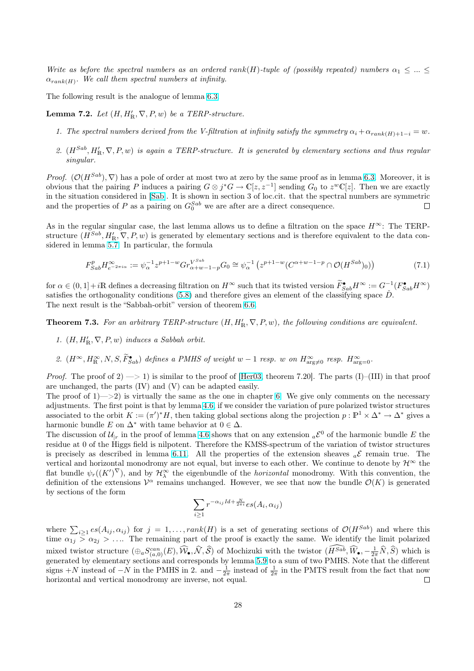<span id="page-27-0"></span>Write as before the spectral numbers as an ordered rank(H)-tuple of (possibly repeated) numbers  $\alpha_1 \leq ... \leq$  $\alpha_{rank(H)}$ . We call them spectral numbers at infinity.

The following result is the analogue of lemma 6.3.

**Lemma 7.2.** Let  $(H, H'_{\mathbb{R}}, \nabla, P, w)$  be a TERP-structure.

- 1. The spectral numbers derived from the V[-filtr](#page-19-0)ation at infinity satisfy the symmetry  $\alpha_i + \alpha_{rank(H)+1-i} = w$ .
- 2.  $(H^{Sab}, H'_{\mathbb{R}}, \nabla, P, w)$  is again a TERP-structure. It is generated by elementary sections and thus regular singular.

*Proof.*  $(\mathcal{O}(H^{Sab}), \nabla)$  has a pole of order at most two at zero by the same proof as in lemma 6.3. Moreover, it is obvious that the pairing P induces a pairing  $G \otimes j^*G \to \mathbb{C}[z, z^{-1}]$  sending  $G_0$  to  $z^w\mathbb{C}[z]$ . Then we are exactly in the situation considered in [Sab]. It is shown in section 3 of loc.cit. that the spectral numbers are symmetric and the properties of P as a pairing on  $G_0^{Sab}$  we are after are a direct consequence.  $\Box$ 

As in the regular singular case, the last lemma allows us to define a filtration on the space  $H^{\infty}$ : The TERPstructure  $(H^{Sab}, H'_{\mathbb{R}}, \nabla, P, w)$  [is ge](#page-41-0)nerated by elementary sections and is therefore equivalent to the data considered in lemma 5.7. In particular, the formula

$$
F_{Sab}^p H_{e^{-2\pi i\alpha}}^{\infty} := \psi_{\alpha}^{-1} z^{p+1-w} Gr_{\alpha+w-1-p}^{V^{Sab}} G_0 \cong \psi_{\alpha}^{-1} \left( z^{p+1-w} (C^{\alpha+w-1-p} \cap \mathcal{O}(H^{Sab})_0) \right)
$$
(7.1)

for  $\alpha \in (0,1]+i\mathbb{R}$  [defi](#page-16-0)nes a decreasing filtration on  $H^{\infty}$  such that its twisted version  $\widetilde{F}_{Sab}^{\bullet} H^{\infty} := G^{-1}(F_{Sab}^{\bullet} H^{\infty})$ satisfies the orthogonality conditions (5.8) and therefore gives an element of the classifying space  $\check{D}$ . The next result is the "Sabbah-orbit" version of theorem 6.6.

**Theorem 7.3.** For an arbitrary TERP-structure  $(H, H'_{R}, \nabla, P, w)$ , the following conditions are equivalent.

- 1.  $(H, H'_{\mathbb{R}}, \nabla, P, w)$  induces a Sabb[ah o](#page-16-0)rbit.
- 2.  $(H^{\infty}, H^{\infty}_{\mathbb{R}}, N, S, \widetilde{F}_{Sab}^{\bullet})$  defines a PMHS of weight  $w-1$  resp. w on  $H^{\infty}_{\text{arg}\neq 0}$  resp.  $H^{\infty}_{\text{arg}=0}$ .

*Proof.* The proof of  $2 \rightarrow 1$  is similar to the proof of [Her03, theorem 7.20]. The parts (I)–(III) in that proof are unchanged, the parts (IV) and (V) can be adapted easily.

The proof of  $1 \rightarrow 2$ ) is virtually the same as the one in chapter 6. We give only comments on the necessary adjustments. The first point is that by lemma 4.6, if we consider the variation of pure polarized twistor structures associated to the orbit  $K := (\pi')^* H$ , then taking global [section](#page-40-0)s along the projection  $p : \mathbb{P}^1 \times \Delta^* \to \Delta^*$  gives a harmonic bundle E on  $\Delta^*$  with tame behavior at  $0 \in \Delta$ .

The discussion of  $\mathcal{U}_{|r}$  in the proof of lemma 4.6 shows that on any [e](#page-18-0)xtension  ${}_{a}\mathcal{E}^{0}$  of the harmonic bundle E the residue at 0 of the Higgs field is nilpotent. T[here](#page-12-0)fore the KMSS-spectrum of the variation of twistor structures is precisely as described in lemma 6.11. All the properties of the extension sheaves  ${}_{a}\mathcal{E}$  remain true. The vertical and horizontal monodromy are not equal, but inverse to each other. We continue to denote by  $\mathcal{H}^{\infty}$  the flat bundle  $\psi_r((K')^{\nabla})$ , and by  $\mathcal{H}^{\infty}_{\lambda}$  the eig[enbu](#page-12-0)ndle of the *horizontal* monodromy. With this convention, the definition of the extensions  $\mathcal{V}^{\alpha}$  remains unchanged. However, we see that now the bundle  $\mathcal{O}(K)$  is generated by sections of the form

$$
\sum_{i\geq 1} r^{-\alpha_{ij}Id + \frac{N}{2\pi i}} es(A_i, \alpha_{ij})
$$

where  $\sum_{i\geq 1} es(A_{ij}, \alpha_{ij})$  for  $j = 1, ..., rank(H)$  is a set of generating sections of  $\mathcal{O}(H^{Sab})$  and where this time  $\alpha_{1j} > \alpha_{2j} > ...$  The remaining part of the proof is exactly the same. We identify the limit polarized mixed twistor structure  $(\bigoplus_a S^{can}_{(a,0)}(E), \widehat{W}_{\bullet}, \widehat{\mathcal{N}}, \widehat{\mathcal{S}})$  of Mochizuki with the twistor  $(\widehat{H^{Sub}}, \widehat{W}_{\bullet}, -\frac{1}{2\pi}\widehat{N}, \widehat{S})$  which is generated by elementary sections and corresponds by lemma 5.9 to a sum of two PMHS. Note that the different signs +N instead of  $-N$  in the PMHS in 2. and  $-\frac{1}{2\pi}$  instead of  $\frac{1}{2\pi}$  in the PMTS result from the fact that now horizontal and vertical monodromy are inverse, not equal.  $\Box$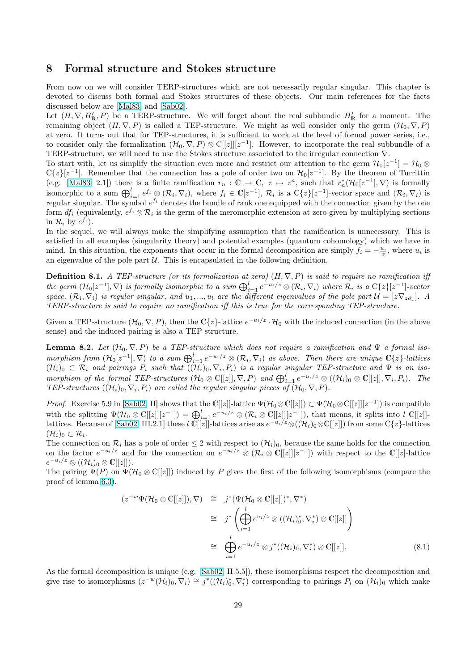### <span id="page-28-0"></span>8 Formal structure and Stokes structure

From now on we will consider TERP-structures which are not necessarily regular singular. This chapter is devoted to discuss both formal and Stokes structures of these objects. Our main references for the facts discussed below are [Mal83] and [Sab02].

Let  $(H, \nabla, H'_{\mathbb{R}}, P)$  be a TERP-structure. We will forget about the real subbundle  $H'_{\mathbb{R}}$  for a moment. The remaining object  $(H, \nabla, P)$  is called a TEP-structure. We might as well consider only the germ  $(\mathcal{H}_0, \nabla, P)$ at zero. It turns out that for TEP-structures, it is sufficient to work at the level of formal power series, i.e., to consider only the [formal](#page-41-0)ization  $(\mathcal{H}_0, \nabla, P) \otimes \mathbb{C}[[z]][z^{-1}]$  $(\mathcal{H}_0, \nabla, P) \otimes \mathbb{C}[[z]][z^{-1}]$  $(\mathcal{H}_0, \nabla, P) \otimes \mathbb{C}[[z]][z^{-1}]$ . However, to incorporate the real subbundle of a TERP-structure, we will need to use the Stokes structure associated to the irregular connection ∇.

To start with, let us simplify the situation even more and restrict our attention to the germ  $\mathcal{H}_0[z^{-1}] = \mathcal{H}_0 \otimes$  $\mathbb{C}\{z\}[z^{-1}]$ . Remember that the connection has a pole of order two on  $\mathcal{H}_0[z^{-1}]$ . By the theorem of Turrittin (e.g. [Mal83, 2.1]) there is a finite ramification  $r_n : \mathbb{C} \to \mathbb{C}$ ,  $z \mapsto z^n$ , such that  $r_n^*(\mathcal{H}_0[z^{-1}], \nabla)$  is formally isomorphic to a sum  $\bigoplus_{i=1}^{l} e^{f_i} \otimes (\mathcal{R}_i, \nabla_i)$ , where  $f_i \in \mathbb{C}[z^{-1}], \mathcal{R}_i$  is a  $\mathbb{C}\{z\}[z^{-1}]$ -vector space and  $(\mathcal{R}_i, \nabla_i)$  is ignorphic to a sum  $\bigoplus_{i=1}^{l} e^{f_i} \otimes (\mathcal{R}_i, \nabla_i)$ , where  $f_i \in \mathbb{C}[$ regular singular. The symbol  $e^{f_i}$  denotes the bundle of rank one equipped with the connection given by the one form  $df_i$  (equivalently,  $e^{f_i} \otimes \mathcal{R}_i$  is the germ of the meromorphic extension at zero given by multiplying sections in  $\mathcal{R}_i$  [by](#page-41-0)  $e^{f_i}$ ).

In the sequel, we will always make the simplifying assumption that the ramification is unnecessary. This is satisfied in all examples (singularity theory) and potential examples (quantum cohomology) which we have in mind. In this situation, the exponents that occur in the formal decomposition are simply  $f_i = -\frac{u_i}{z}$ , where  $u_i$  is an eigenvalue of the pole part  $U$ . This is encapsulated in the following definition.

**Definition 8.1.** A TEP-structure (or its formalization at zero)  $(H, \nabla, P)$  is said to require no ramification iff **Definition 6.1.** The Test acture (or us formalization at zero)  $(H, v, I)$  is said to require no ramification  $df$ <br>the germ  $(H_0[z^{-1}], \nabla)$  is formally isomorphic to a sum  $\bigoplus_{i=1}^{l} e^{-u_i/z} \otimes (R_i, \nabla_i)$  where  $R_i$  is a  $\math$ space,  $(\mathcal{R}_i, \nabla_i)$  is regular singular, and  $u_1, ..., u_l$  are the different eigenvalues of the pole part  $\mathcal{U} = [z \nabla_z \partial_z]$ . A TERP-structure is said to require no ramification iff this is true for the corresponding TEP-structure.

Given a TEP-structure  $(\mathcal{H}_0, \nabla, P)$ , then the  $\mathbb{C}\{z\}$ -lattice  $e^{-u_i/z} \cdot \mathcal{H}_0$  with the induced connection (in the above sense) and the induced pairing is also a TEP structure.

**Lemma 8.2.** Let  $(\mathcal{H}_0, \nabla, P)$  be a TEP-structure which does not require a ramification and  $\Psi$  a formal iso-**Definite 3.2.** Let  $(H_0, v, I)$  be a sum  $\bigoplus_{i=1}^l e^{-u_i/z} \otimes (\mathcal{R}_i, \nabla_i)$  as above. Then there are unique  $\mathbb{C}\{z\}$ -lattices  $(\mathcal{H}_i)_0 \subset \mathcal{R}_i$  and pairings  $P_i$  such that  $((\mathcal{H}_i)_0, \nabla_i, P_i)$  is a regular singular TEP-structure and  $\Psi$  is an iso $morphism$  of the formal TEP-structures  $(\mathcal{H}_0 \otimes \mathbb{C}[[z]], \nabla, P)$  and  $\bigoplus_{i=1}^l e^{-u_i/z} \otimes ((\mathcal{H}_i)_0 \otimes \mathbb{C}[[z]], \nabla_i, P_i)$ . The TEP-structures  $((\mathcal{H}_i)_0, \nabla_i, P_i)$  are called the regular singular pieces of  $(\mathcal{H}_0, \nabla, P)$ .

*Proof.* Exercise 5.9 in [Sab02, II] shows that the C[[z]]-lattice  $\Psi(\mathcal{H}_0 \otimes \mathbb{C}[[z]]) \subset \Psi(\mathcal{H}_0 \otimes \mathbb{C}[[z]][z^{-1}])$  is compatible with the splitting  $\Psi(\mathcal{H}_0 \otimes \mathbb{C}[[z]][z^{-1}]) = \bigoplus_{i=1}^l e^{-u_i/z} \otimes (\mathcal{R}_i \otimes \mathbb{C}[[z]][z^{-1}])$ , that means, it splits into l  $\mathbb{C}[[z]]$ . lattices. Because of [Sab02, III.2.1] these l  $\mathbb{C}[[z]]$ -lattices arise as  $e^{-u_i/z} \otimes ((\mathcal{H}_i)_0 \otimes \mathbb{C}[[z]])$  from some  $\mathbb{C}{z}$ }-lattices  $(\mathcal{H}_i)_0 \subset \mathcal{R}_i.$ 

The connection on  $\mathcal{R}_i$  [has a p](#page-41-0)ole of order  $\leq 2$  with respect to  $(\mathcal{H}_i)_0$ , because the same holds for the connection on the factor  $e^{-u_i/z}$  and for the connection on  $e^{-u_i/z} \otimes (\mathcal{R}_i \otimes \mathbb{C}[[z]][z^{-1}])$  with respect to the  $\mathbb{C}[[z]]$ -lattice  $e^{-u_i/z} \otimes ((\mathcal{H}_i)_0 \otimes \mathbb{C}[[z]]).$  $e^{-u_i/z} \otimes ((\mathcal{H}_i)_0 \otimes \mathbb{C}[[z]]).$  $e^{-u_i/z} \otimes ((\mathcal{H}_i)_0 \otimes \mathbb{C}[[z]]).$ 

The pairing  $\Psi(P)$  on  $\Psi(\mathcal{H}_0 \otimes \mathbb{C}[[z]])$  induced by P gives the first of the following isomorphisms (compare the proof of lemma 6.3).

$$
(z^{-w}\Psi(\mathcal{H}_0 \otimes \mathbb{C}[[z]]), \nabla) \cong j^*(\Psi(\mathcal{H}_0 \otimes \mathbb{C}[[z]])^*, \nabla^*)
$$
  
\n
$$
\cong j^*\left(\bigoplus_{i=1}^l e^{u_i/z} \otimes ((\mathcal{H}_i)_0^*, \nabla_i^*) \otimes \mathbb{C}[[z]]\right)
$$
  
\n
$$
\cong \bigoplus_{i=1}^l e^{-u_i/z} \otimes j^*((\mathcal{H}_i)_0, \nabla_i^*) \otimes \mathbb{C}[[z]].
$$
\n(8.1)

As the formal decomposition is unique (e.g. [Sab02, II.5.5]), these isomorphisms respect the decomposition and give rise to isomorphisms  $(z^{-w}(\mathcal{H}_i)_0, \nabla_i) \cong j^*((\mathcal{H}_i)_0^*, \nabla_i^*)$  corresponding to pairings  $P_i$  on  $(\mathcal{H}_i)_0$  which make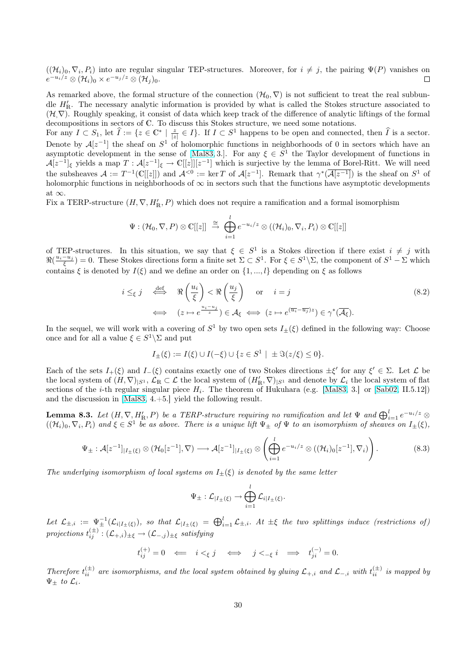<span id="page-29-0"></span> $((\mathcal{H}_i)_0, \nabla_i, P_i)$  into are regular singular TEP-structures. Moreover, for  $i \neq j$ , the pairing  $\Psi(P)$  vanishes on  $e^{-u_i/z} \otimes (\mathcal{H}_i)_0 \times e^{-u_j/z} \otimes (\mathcal{H}_j)_0.$  $\Box$ 

As remarked above, the formal structure of the connection  $(\mathcal{H}_0, \nabla)$  is not sufficient to treat the real subbundle  $H'_{\mathbb{R}}$ . The necessary analytic information is provided by what is called the Stokes structure associated to  $(\mathcal{H}, \nabla)$ . Roughly speaking, it consist of data which keep track of the difference of analytic liftings of the formal decompositions in sectors of C. To discuss this Stokes structure, we need some notations.

For any  $I \subset S_1$ , let  $\hat{I} := \{z \in \mathbb{C}^* \mid \frac{z}{|z|} \in I\}$ . If  $I \subset S^1$  happens to be open and connected, then  $\hat{I}$  is a sector. Denote by  $A[z^{-1}]$  the sheaf on  $S^1$  of holomorphic functions in neighborhoods of 0 in sectors which have an asymptotic development in the sense of [Mal83, 3.]. For any  $\xi \in S^1$  the Taylor development of functions in  $\mathcal{A}[z^{-1}]_\xi$  yields a map  $T: \mathcal{A}[z^{-1}]_\xi \to \mathbb{C}[[z]][z^{-1}]$  which is surjective by the lemma of Borel-Ritt. We will need the subsheaves  $\mathcal{A} := T^{-1}(\mathbb{C}[[z]])$  and  $\mathcal{A}^{<0} := \ker T$  of  $\mathcal{A}[z^{-1}]$ . Remark that  $\gamma^*(\overline{\mathcal{A}[z^{-1}]})$  is the sheaf on  $S^1$  of holomorphic functions in neighborhoods of  $\infty$  in sectors such that the functions have asymptotic developments at  $\infty$ .

Fix a TERP-structure  $(H, \nabla, H'_{\mathbb{R}}, P)$  which does not require a ramification and a formal isomorphism

$$
\Psi: (\mathcal{H}_0, \nabla, P) \otimes \mathbb{C}[[z]] \stackrel{\cong}{\to} \bigoplus_{i=1}^l e^{-u_i/z} \otimes ((\mathcal{H}_i)_0, \nabla_i, P_i) \otimes \mathbb{C}[[z]]
$$

of TEP-structures. In this situation, we say that  $\xi \in S^1$  is a Stokes direction if there exist  $i \neq j$  with  $\Re(\frac{u_i - u_j}{\xi}) = 0$ . These Stokes directions form a finite set  $\Sigma \subset S^1$ . For  $\xi \in S^1 \setminus \Sigma$ , the component of  $S^1 - \Sigma$  which contains  $\xi$  is denoted by  $I(\xi)$  and we define an order on  $\{1, ..., l\}$  depending on  $\xi$  as follows

$$
i \leq_{\xi} j \quad \stackrel{\text{def}}{\iff} \quad \Re\left(\frac{u_i}{\xi}\right) < \Re\left(\frac{u_j}{\xi}\right) \quad \text{or} \quad i = j
$$
\n
$$
\iff \quad (z \mapsto e^{\frac{u_i - u_j}{z}}) \in \mathcal{A}_{\xi} \iff (z \mapsto e^{(\overline{u_i} - \overline{u_j})z}) \in \gamma^*(\overline{\mathcal{A}_{\xi}}).
$$
\n
$$
(8.2)
$$

In the sequel, we will work with a covering of  $S^1$  by two open sets  $I_{\pm}(\xi)$  defined in the following way: Choose once and for all a value  $\xi \in S^1 \backslash \Sigma$  and put

$$
I_{\pm}(\xi) := I(\xi) \cup I(-\xi) \cup \{ z \in S^1 \mid \pm \Im(z/\xi) \le 0 \}.
$$

Each of the sets  $I_+(\xi)$  and  $I_-(\xi)$  contains exactly one of two Stokes directions  $\pm \xi'$  for any  $\xi' \in \Sigma$ . Let  $\mathcal L$  be the local system of  $(H, \nabla)_{|S^1}$ ,  $\mathcal{L}_\mathbb{R} \subset \mathcal{L}$  the local system of  $(H'_\mathbb{R}, \nabla)_{|S^1}$  and denote by  $\mathcal{L}_i$  the local system of flat sections of the *i*-th regular singular piece  $H_i$ . The theorem of Hukuhara (e.g. [Mal83, 3.] or [Sab02, II.5.12]) and the discussion in [Mal83, 4.+5.] yield the following result.

**Lemma 8.3.** Let  $(H, \nabla, H'_{\mathbb{R}}, P)$  be a TERP-structure requiring no ramification and let  $\Psi$  and  $\bigoplus_{i=1}^{l}e^{-u_i/z}\otimes$  $((\mathcal{H}_i)_0, \nabla_i, P_i)$  and  $\xi \in S^1$  be as above. There is a unique lift  $\Psi_{\pm}$  of  $\Psi$  to an iso[morphi](#page-41-0)sm of s[heaves o](#page-41-0)n  $I_{\pm}(\xi)$ ,

$$
\Psi_{\pm}: \mathcal{A}[z^{-1}]_{|I_{\pm}(\xi)} \otimes (\mathcal{H}_0[z^{-1}], \nabla) \longrightarrow \mathcal{A}[z^{-1}]_{|I_{\pm}(\xi)} \otimes \left(\bigoplus_{i=1}^l e^{-u_i/z} \otimes ((\mathcal{H}_i)_0[z^{-1}], \nabla_i)\right).
$$
 (8.3)

The underlying isomorphism of local systems on  $I_{\pm}(\xi)$  is denoted by the same letter

$$
\Psi_{\pm}: \mathcal{L}_{|I_{\pm}(\xi)} \to \bigoplus_{i=1}^l \mathcal{L}_{i|I_{\pm}(\xi)}.
$$

Let  $\mathcal{L}_{\pm,i} := \Psi_{\pm}^{-1}(\mathcal{L}_{i|I_{\pm}(\xi)})$ , so that  $\mathcal{L}_{|I_{\pm}(\xi)} = \bigoplus_{i=1}^{l} \mathcal{L}_{\pm,i}$ . At  $\pm \xi$  the two splittings induce (restrictions of)  $projections \; t_{ij}^{(\pm)}: ({\mathcal L}_{+,i})_{\pm \xi} \rightarrow ({\mathcal L}_{-,j})_{\pm \xi} \; satisfying$ 

$$
t_{ij}^{(+)} = 0 \iff i <_{\xi} j \iff j <_{-\xi} i \iff t_{ji}^{(-)} = 0.
$$

Therefore  $t_{ii}^{(\pm)}$  are isomorphisms, and the local system obtained by gluing  $\mathcal{L}_{+,i}$  and  $\mathcal{L}_{-,i}$  with  $t_{ii}^{(\pm)}$  is mapped by  $\Psi_{\pm}$  to  $\mathcal{L}_i$ .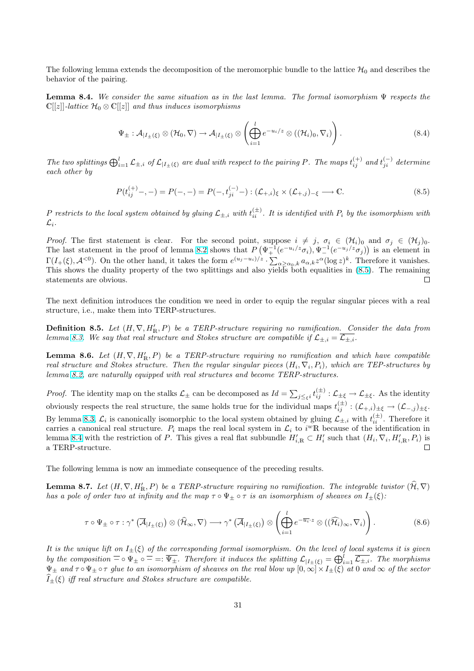<span id="page-30-0"></span>The following lemma extends the decomposition of the meromorphic bundle to the lattice  $\mathcal{H}_0$  and describes the behavior of the pairing.

**Lemma 8.4.** We consider the same situation as in the last lemma. The formal isomorphism  $\Psi$  respects the  $\mathbb{C}[[z]]$ -lattice  $\mathcal{H}_0 \otimes \mathbb{C}[[z]]$  and thus induces isomorphisms

$$
\Psi_{\pm} : \mathcal{A}_{|I_{\pm}(\xi)} \otimes (\mathcal{H}_0, \nabla) \to \mathcal{A}_{|I_{\pm}(\xi)} \otimes \left( \bigoplus_{i=1}^l e^{-u_i/z} \otimes ((\mathcal{H}_i)_0, \nabla_i) \right).
$$
\n(8.4)

The two splittings  $\bigoplus_{i=1}^{l} \mathcal{L}_{\pm,i}$  of  $\mathcal{L}_{|I_{\pm}(\xi)}$  are dual with respect to the pairing P. The maps  $t_{ij}^{(+)}$  and  $t_{ji}^{(-)}$  determine each other by

$$
P(t_{ij}^{(+)}-, -) = P(-, -) = P(-, t_{ji}^{(-)}-) : (\mathcal{L}_{+,i})_{\xi} \times (\mathcal{L}_{+,j})_{-\xi} \longrightarrow \mathbb{C}.
$$
 (8.5)

P restricts to the local system obtained by gluing  $\mathcal{L}_{\pm,i}$  with  $t_{ii}^{(\pm)}$ . It is identified with  $P_i$  by the isomorphism with  $\mathcal{L}_i$ .

*Proof.* The first statement is clear. For the second point, suppose  $i \neq j$ ,  $\sigma_i \in (\mathcal{H}_i)_0$  and  $\sigma_j \in (\mathcal{H}_j)_0$ . The last statement in the proof of lemma 8.2 shows that  $P(\Psi_+^{-1}(e^{-u_i/z}\sigma_i), \Psi_-^{-1}(e^{-u_j/z}\sigma_j))$  is an element in T(I<sub>+</sub>(ξ), A<sup><0</sup>). On the other hand, it takes the form  $e^{(u_j-u_i)/z}$ .  $\sum_{\alpha\geq \alpha_0,k} a_{\alpha,k}z^{\alpha}(\log z)^k$ . Therefore it vanishes. This shows the duality property of the two splittings and also yields both equalities in (8.5). The remaining statements are obvious.  $\Box$ 

The next definition introduces the condition we need in order to equip the regular singular pieces with a real structure, i.e., make them into TERP-structures.

**Definition 8.5.** Let  $(H, \nabla, H'_{\mathbb{R}}, P)$  be a TERP-structure requiring no ramification. Consider the data from lemma 8.3. We say that real structure and Stokes structure are compatible if  $\mathcal{L}_{\pm,i} = \mathcal{L}_{\pm,i}$ .

**Lemma 8.6.** Let  $(H, \nabla, H'_{\mathbb{R}}, P)$  be a TERP-structure requiring no ramification and which have compatible real structure and Stokes structure. Then the regular singular pieces  $(H_i, \nabla_i, P_i)$ , which are TEP-structures by lemma [8.2,](#page-29-0) are naturally equipped with real structures and become TERP-structures.

*Proof.* The identity map on the stalks  $\mathcal{L}_{\pm}$  can be decomposed as  $Id = \sum$  $j_{\leq \xi i} t_{ij}^{(\pm)} : \mathcal{L}_{\pm \xi} \to \mathcal{L}_{\pm \xi}.$  As the identity obviously respects the real structure, the same holds true for the individual maps  $t_{ij}^{(\pm)} : (\mathcal{L}_{+,i})_{\pm \xi} \to (\mathcal{L}_{-,j})_{\pm \xi}$ . By lem[ma](#page-28-0) 8.3,  $\mathcal{L}_i$  is canonically isomorphic to the local system obtained by gluing  $\mathcal{L}_{\pm,i}$  with  $t_{ii}^{(\pm)}$ . Therefore it carries a canonical real structure.  $P_i$  maps the real local system in  $\mathcal{L}_i$  to  $i^w \mathbb{R}$  because of the identification in lemma 8.4 with the restriction of P. This gives a real flat subbundle  $H'_{i,\mathbb{R}} \subset H'_i$  such that  $(H_i, \nabla_i, H'_{i,\mathbb{R}}, P_i)$  is a TERP-structure.  $\Box$ 

The following lemma is now an immediate consequence of the preceding results.

**Lemma 8.7.** Let  $(H, \nabla, H'_{\mathbb{R}}, P)$  be a TERP-structure requiring no ramification. The integrable twistor  $(\widehat{\mathcal{H}}, \nabla)$ has a pole of order two at infinity and the map  $\tau \circ \Psi_{\pm} \circ \tau$  is an isomorphism of sheaves on  $I_{\pm}(\xi)$ :

$$
\tau \circ \Psi_{\pm} \circ \tau : \gamma^* (\overline{\mathcal{A}}_{|I_{\pm}(\xi)}) \otimes (\widehat{\mathcal{H}}_{\infty}, \nabla) \longrightarrow \gamma^* (\overline{\mathcal{A}}_{|I_{\pm}(\xi)}) \otimes \left( \bigoplus_{i=1}^l e^{-\overline{u_i} \cdot z} \otimes ((\widehat{\mathcal{H}}_i)_{\infty}, \nabla_i) \right).
$$
 (8.6)

It is the unique lift on  $I_{\pm}(\xi)$  of the corresponding formal isomorphism. On the level of local systems it is given by the composition  $\overline{\phantom{a}} \circ \overline{\phantom{a}} \circ \overline{\phantom{a}} = \overline{\phantom{a}} \circ \overline{\phantom{a}} \overline{\phantom{a}}$ . Therefore it induces the splitting  $\mathcal{L}_{|I_{\pm}(\xi)} = \bigoplus_{i=1}^{l} \overline{\mathcal{L}_{\pm,i}}$ . The morphisms  $\Psi_{\pm}$  and  $\tau \circ \Psi_{\pm} \circ \tau$  glue to an isomorphism of sheaves on the real blow up  $[0, \infty] \times I_{\pm}(\xi)$  at 0 and  $\infty$  of the sector  $\widehat{I}_{\pm}(\xi)$  iff real structure and Stokes structure are compatible.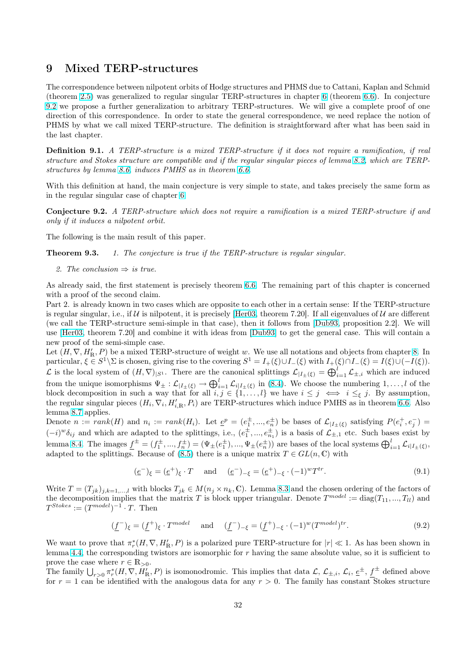# <span id="page-31-0"></span>9 Mixed TERP-structures

The correspondence between nilpotent orbits of Hodge structures and PHMS due to Cattani, Kaplan and Schmid (theorem 2.5) was generalized to regular singular TERP-structures in chapter 6 (theorem 6.6). In conjecture 9.2 we propose a further generalization to arbitrary TERP-structures. We will give a complete proof of one direction of this correspondence. In order to state the general correspondence, we need replace the notion of PHMS by what we call mixed TERP-structure. The definition is straightforward after what has been said in the last c[hapt](#page-5-0)er.

Definition 9.1. A TERP-structure is a mixed TERP-structure if it does not require a ramification, if real structure and Stokes structure are compatible and if the regular singular pieces of lemma 8.2, which are TERPstructures by lemma 8.6, induces PMHS as in theorem 6.6.

With this definition at hand, the main conjecture is very simple to state, and takes precisely the same form as in the regular singular case of chapter 6.

Conjecture 9.2. A [TE](#page-30-0)RP-structure which does notr[equi](#page-20-0)re a ramification is a mixed TERP-structure if and only if it induces a nilpotent orbit.

The following is the main result of thi[s p](#page-18-0)aper.

**Theorem 9.3.** 1. The conjecture is true if the TERP-structure is regular singular.

2. The conclusion  $\Rightarrow$  is true.

As already said, the first statement is precisely theorem 6.6. The remaining part of this chapter is concerned with a proof of the second claim.

Part 2. is already known in two cases which are opposite to each other in a certain sense: If the TERP-structure is regular singular, i.e., if  $U$  is nilpotent, it is precisely [Her03, theorem 7.20]. If all eigenvalues of  $U$  are different (we call the TERP-structure semi-simple in that case),t[hen](#page-20-0) it follows from [Dub93, proposition 2.2]. We will use [Her03, theorem 7.20] and combine it with ideas from [Dub93] to get the general case. This will contain a new proof of the semi-simple case.

Let  $(H, \nabla, H'_{\mathbb{R}}, P)$  be a mixed TERP-structure of weight w[. W](#page-40-0)e use all notations and objects from chapter 8. In particular,  $\xi \in S^1 \backslash \Sigma$  is chosen, giving rise to the covering  $S^1 = I_+(\xi) \cup I_-(\xi)$  w[ith](#page-40-0)  $I_+(\xi) \cap I_-(\xi) = I(\xi) \cup (-I(\xi))$ . Let us [the loc](#page-40-0)al system of  $(H, \nabla)|_{S^1}$ . There are the canonic[al splitt](#page-40-0)ings  $\mathcal{L}|_{I_{\pm}(\xi)} = \bigoplus_{i=1}^{I} \mathcal{L}_{\pm,i}$  which are induced from the unique isomorphisms  $\Psi_{\pm} : \mathcal{L}_{|I_{\pm}(\xi)} \to \bigoplus_{i=1}^{l} \mathcal{L}_{i|I_{\pm}(\xi)}$  in (8.4). We choose the numbering  $1, \ldots, l$  of the block decomposition in such a way that for all  $i, j \in \{1, \ldots, l\}$  we have  $i \leq j \iff i \leq_{\xi} j$ . By assum[pti](#page-28-0)on, the regular singular pieces  $(H_i, \nabla_i, H'_{i,R}, P_i)$  are TERP-structures which induce PMHS as in theorem 6.6. Also lemma 8.7 applies.

De[n](#page-30-0)ote  $n := rank(H)$  and  $n_i := rank(H_i)$ . Let  $\underline{e}^p = (e_1^{\pm}, ..., e_n^{\pm})$  be bases of  $\mathcal{L}_{|I_{\pm}(\xi)}$  satisfying  $P(e_i^+, e_j^-) =$  $(-i)^{w}\delta_{ij}$  and which are adapted to the splittings, i.e.,  $(e_1^{\pm},...,e_{n_1}^{\pm})$  is a basis of  $\mathcal{L}_{\pm,1}$  etc. Such bases exist by lemma 8.4. The images  $\underline{f}^{\pm} = (f_1^{\pm}, ..., f_n^{\pm}) = (\Psi_{\pm}(e_1^{\pm}), ..., \Psi_{\pm}(e_n^{\pm}))$  are bases of the local systems  $\bigoplus_{i=1}^{l} \mathcal{L}_{i|I_{\pm}(\xi)}$  $\bigoplus_{i=1}^{l} \mathcal{L}_{i|I_{\pm}(\xi)}$  $\bigoplus_{i=1}^{l} \mathcal{L}_{i|I_{\pm}(\xi)}$ , adapte[d to](#page-30-0) the splittings. Because of (8.5) there is a unique matrix  $T \in GL(n, \mathbb{C})$  with

$$
(\underline{e}^{-})_{\xi} = (\underline{e}^{+})_{\xi} \cdot T \quad \text{and} \quad (\underline{e}^{-})_{-\xi} = (\underline{e}^{+})_{-\xi} \cdot (-1)^{w} T^{tr}.
$$
\n(9.1)

Write  $T = (T_{jk})_{j,k=1,\dots,l}$  $T = (T_{jk})_{j,k=1,\dots,l}$  $T = (T_{jk})_{j,k=1,\dots,l}$  with blocks  $T_{jk} \in M(n_j \times n_k, \mathbb{C})$ . Lemma 8.3 and the chosen ordering of the factors of the decomposition implies that the m[atrix](#page-30-0) T is block upper triangular. Denote  $T^{model} := diag(T_{11}, ..., T_{ll})$  and  $T^{Stokes} := (T^{model})^{-1} \cdot T.$  Then

$$
(\underline{f}^{-})_{\xi} = (\underline{f}^{+})_{\xi} \cdot T^{model} \quad \text{and} \quad (\underline{f}^{-})_{-\xi} = (\underline{f}^{+})_{-\xi} \cdot (-1)^{w} (T^{model})^{tr}.
$$
\n
$$
(9.2)
$$

We want to prove that  $\pi_r^*(H, \nabla, H'_{\mathbb{R}}, P)$  is a polarized pure TERP-structure for  $|r| \ll 1$ . As has been shown in lemma 4.4, the corresponding twistors are isomorphic for  $r$  having the same absolute value, so it is sufficient to prove the case where  $r \in \mathbb{R}_{>0}$ .

prove the case where  $r \in \mathbb{R}_{>0}$ .<br>The family  $\bigcup_{r>0} \pi_r^*(H, \nabla, H'_{\mathbb{R}}, P)$  is isomonodromic. This implies that data  $\mathcal{L}, \mathcal{L}_{\pm,i}, \mathcal{L}_i, \underline{e}^{\pm}, \underline{f}^{\pm}$  defined above for  $r = 1$  can be identified with the analogous data for any  $r > 0$ . The family has constant Stokes structure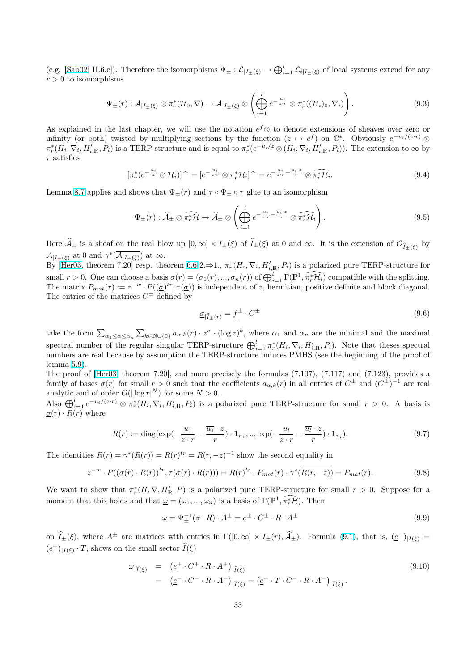<span id="page-32-0"></span>(e.g. [Sab02, II.6.c]). Therefore the isomorphisms  $\Psi_{\pm} : \mathcal{L}_{|I_{\pm}(\xi)} \to \bigoplus_{i=1}^{l} \mathcal{L}_{i|I_{\pm}(\xi)}$  of local systems extend for any  $r > 0$  to isomorphisms

$$
\Psi_{\pm}(r): \mathcal{A}_{|I_{\pm}(\xi)} \otimes \pi_r^*(\mathcal{H}_0, \nabla) \to \mathcal{A}_{|I_{\pm}(\xi)} \otimes \left(\bigoplus_{i=1}^l e^{-\frac{u_i}{z \cdot r}} \otimes \pi_r^*((\mathcal{H}_i)_0, \nabla_i)\right).
$$
\n(9.3)

As explained in the last chapter, we will use the notation  $e^f$ ⊗ to denote extensions of sheaves over zero or infinity (or both) twisted by multiplying sections by the function  $(z \mapsto e^f)$  on  $\mathbb{C}^*$ . Obviously  $e^{-u_i/(z \cdot r)} \otimes$  $\pi_r^*(H_i, \nabla_i, H'_{i,R}, P_i)$  is a TERP-structure and is equal to  $\pi_r^*(e^{-u_i/z} \otimes (H_i, \nabla_i, H'_{i,R}, P_i))$ . The extension to  $\infty$  by  $\tau$  satisfies

$$
[\pi_r^*(e^{-\frac{u_i}{z}} \otimes \mathcal{H}_i)]^{\widehat{\ }}=[e^{-\frac{u_i}{z \cdot r}} \otimes \pi_r^* \mathcal{H}_i]^{\widehat{\ }}=e^{-\frac{u_i}{z \cdot r} - \frac{\overline{u_i} \cdot z}{r}} \otimes \widehat{\pi_r^* \mathcal{H}_i}.
$$

Lemma 8.7 applies and shows that  $\Psi_{\pm}(r)$  and  $\tau \circ \Psi_{\pm} \circ \tau$  glue to an isomorphism

$$
\Psi_{\pm}(r): \widehat{\mathcal{A}}_{\pm} \otimes \widehat{\pi_r^* \mathcal{H}} \mapsto \widehat{\mathcal{A}}_{\pm} \otimes \left( \bigoplus_{i=1}^l e^{-\frac{u_i}{z \cdot r} - \frac{\overline{u_i} \cdot z}{r}} \otimes \widehat{\pi_r^* \mathcal{H}_i} \right).
$$
\n(9.5)

Here  $\widehat{\mathcal{A}}_{\pm}$  is a sheaf on the real blow up  $[0,\infty] \times I_{\pm}(\xi)$  of  $\widehat{I}_{\pm}(\xi)$  at 0 and  $\infty$ . It is the extension of  $\mathcal{O}_{\widehat{I}_{\pm}(\xi)}$  by  $\mathcal{A}_{|I_{\pm}(\xi)}$  at 0 and  $\gamma^*(\overline{\mathcal{A}_{|I_{\pm}(\xi)}})$  at  $\infty$ .

By  $[\text{Her03, theorem 7.20}]$  resp. theorem 6.6 2. $\Rightarrow$ 1.,  $\pi_r^*(H_i, \nabla_i, H'_{i,R}, P_i)$  is a polarized pure TERP-structure for small  $r > 0$ . One can choose a basis  $\underline{\sigma}(r) = (\sigma_1(r), ..., \sigma_n(r))$  of  $\bigoplus_{i=1}^l \Gamma(\mathbb{P}^1, \pi_r^* \mathcal{H}_i)$  compatible with the splitting. The matrix  $P_{mat}(r) := z^{-w} \cdot P((\underline{\sigma})^{tr}, \tau(\underline{\sigma}))$  is independent of z, hermitian, positive definite and block diagonal. The entries of the matrices  $C^{\pm}$  defined by

$$
\underline{\sigma}_{|\hat{I}_{\pm}(r)} = \underline{f}^{\pm} \cdot C^{\pm} \tag{9.6}
$$

take the form  $\sum_{\alpha_1 \leq \alpha \leq \alpha_n}$  $\overline{ }$  $a_{k\in\mathbb{N}\cup\{0\}} a_{\alpha,k}(r) \cdot z^{\alpha} \cdot (\log z)^k$ , where  $\alpha_1$  and  $\alpha_n$  are the minimal and the maximal  $\sum_{\alpha_1 \leq \alpha \leq \alpha_n} \sum_{k \in \mathbb{N} \cup \{0\}} \sum_{\alpha_i, \kappa_i \in \mathcal{N}} \sum_{\alpha_i, \kappa_i \in \mathcal{N}} \sum_{\alpha_i, \kappa_i \in \mathcal{N}} \sum_{\alpha_i, \kappa_i \in \mathcal{N}} \sum_{\alpha_i, \kappa_i \in \mathcal{N}} \sum_{\alpha_i, \kappa_i \in \mathbb{N}} \sum_{\alpha_i, \kappa_i \in \mathbb{N}} \sum_{\alpha_i, \kappa_i \in \mathbb{N}} \sum_{\alpha_i, \kappa_i \in \mathbb{N}} \sum_{\alpha_i, \kappa_i$ numbers are real because by assumption the TERP-structure induces PMHS (see the beginning of the proof of lemma 5.9).

The proof of [Her03, theorem 7.20], and more precisely the formulas (7.107), (7.117) and (7.123), provides a family of bases  $\underline{\sigma}(r)$  for small  $r > 0$  such that the coefficients  $a_{\alpha,k}(r)$  in all entries of  $C^{\pm}$  and  $(C^{\pm})^{-1}$  are real analytic and of order  $O(|\log r|^N)$  for some  $N > 0$ .

Also  $\bigoplus_{i=1}^{l} e^{-u_i/(z \cdot r)} \otimes \pi_r^*(H_i, \nabla_i, H'_{i,R}, P_i)$  $\bigoplus_{i=1}^{l} e^{-u_i/(z \cdot r)} \otimes \pi_r^*(H_i, \nabla_i, H'_{i,R}, P_i)$  $\bigoplus_{i=1}^{l} e^{-u_i/(z \cdot r)} \otimes \pi_r^*(H_i, \nabla_i, H'_{i,R}, P_i)$  is a polarized pure TERP-structure for small  $r > 0$ . A basis is  $\underline{\sigma}(r) \cdot R(r)$  w[here](#page-40-0)

$$
R(r) := \text{diag}(\exp(-\frac{u_1}{z \cdot r} - \frac{\overline{u_1} \cdot z}{r}) \cdot \mathbf{1}_{n_1, \dots, \exp(-\frac{u_l}{z \cdot r} - \frac{\overline{u_l} \cdot z}{r}) \cdot \mathbf{1}_{n_l}).
$$
\n(9.7)

The identities  $R(r) = \gamma^* (\overline{R(r)}) = R(r)^{tr} = R(r, -z)^{-1}$  show the second equality in

$$
z^{-w} \cdot P((\underline{\sigma}(r) \cdot R(r))^{tr}, \tau(\underline{\sigma}(r) \cdot R(r))) = R(r)^{tr} \cdot P_{mat}(r) \cdot \gamma^* (\overline{R(r, -z)}) = P_{mat}(r). \tag{9.8}
$$

We want to show that  $\pi_r^*(H, \nabla, H'_{\mathbb{R}}, P)$  is a polarized pure TERP-structure for small  $r > 0$ . Suppose for a moment that this holds and that  $\omega = (\omega_1, ..., \omega_n)$  is a basis of  $\Gamma(\mathbb{P}^1, \widehat{\pi_r\mathcal{H}})$ . Then

$$
\underline{\omega} = \Psi_{\pm}^{-1}(\underline{\sigma} \cdot R) \cdot A^{\pm} = \underline{e}^{\pm} \cdot C^{\pm} \cdot R \cdot A^{\pm}
$$
\n(9.9)

on  $\hat{I}_{\pm}(\xi)$ , where  $A^{\pm}$  are matrices with entries in  $\Gamma([0,\infty] \times I_{\pm}(r), \hat{\mathcal{A}}_{\pm})$ . Formula (9.1), that is,  $(\underline{e}^{-})_{|I(\xi)} =$  $(\underline{e}^+)_{|I(\xi)} \cdot T$ , shows on the small sector  $\widehat{I}(\xi)$ 

$$
\underline{\omega}_{|\widehat{I}(\xi)} = (\underline{e}^+ \cdot C^+ \cdot R \cdot A^+)_{|\widehat{I}(\xi)}
$$
\n
$$
= (\underline{e}^- \cdot C^- \cdot R \cdot A^-)_{|\widehat{I}(\xi)} = (\underline{e}^+ \cdot T \cdot C^- \cdot R \cdot A^-)_{|\widehat{I}(\xi)}.
$$
\n(9.10)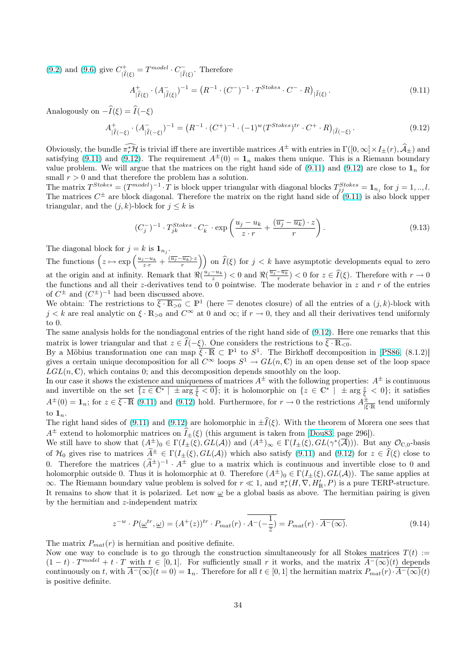(9.2) and (9.6) give  $C^+_{|\hat{I}(\xi)} = T^{model} \cdot C^-_{|\hat{I}(\xi)}$ . Therefore

$$
A_{|\hat{I}(\xi)}^{+} \cdot (A_{|\hat{I}(\xi)}^{-})^{-1} = \left( R^{-1} \cdot (C^{-})^{-1} \cdot T^{Stokes} \cdot C^{-} \cdot R \right)_{|\hat{I}(\xi)}.
$$
\n(9.11)

[Ana](#page-31-0)logous[ly o](#page-32-0)n  $-\widehat{I}(\xi) = \widehat{I}(-\xi)$ 

$$
A_{|\hat{I}(-\xi)}^{+} \cdot (A_{|\hat{I}(-\xi)}^{-})^{-1} = \left(R^{-1} \cdot (C^{+})^{-1} \cdot (-1)^{w} (T^{Stokes})^{tr} \cdot C^{+} \cdot R\right)_{|\hat{I}(-\xi)}.
$$
\n(9.12)

Obviously, the bundle  $\widehat{\pi_r^*\mathcal{H}}$  is trivial iff there are invertible matrices  $A^{\pm}$  with entries in  $\Gamma([0,\infty]\times I_{\pm}(r),\widehat{\mathcal{A}}_{\pm})$  and satisfying (9.11) and (9.12). The requirement  $A^{\pm}(0) = \mathbf{1}_n$  makes them unique. This is a Riemann boundary value problem. We will argue that the matrices on the right hand side of  $(9.11)$  and  $(9.12)$  are close to  $\mathbf{1}_n$  for small  $r > 0$  and that therefore the problem has a solution.

The matrix  $T^{Stokes} = (T^{model})^{-1} \cdot T$  is block upper triangular with diagonal blocks  $T_{jj}^{Stokes} = \mathbf{1}_{n_j}$  for  $j = 1, ..., l$ . The matrices  $C^{\pm}$  are block diagonal. Therefore the matrix on the right hand side of (9.11) is also block upper triangular, and the  $(j, k)$ -block for  $j \leq k$  is

$$
(C_j^-)^{-1} \cdot T_{jk}^{Stokes} \cdot C_k^- \cdot \exp\left(\frac{u_j - u_k}{z \cdot r} + \frac{(\overline{u_j} - \overline{u_k}) \cdot z}{r}\right). \tag{9.13}
$$

The diagonal block for  $j = k$  is  $\mathbf{1}_{n_j}$ .

 $\overline{C}$ 

The functions  $\left(z \mapsto \exp\left(\frac{u_j - u_k}{z \cdot r} + \frac{(\overline{u_j} - \overline{u_k}) \cdot z}{r}\right)\right)$  $\ddot{\mathbf{r}}$ on  $\widehat{I}(\xi)$  for  $j < k$  have asymptotic developments equal to zero at the origin and at infinity. Remark that  $\Re(\frac{u_j-u_k}{z}) < 0$  and  $\Re(\frac{\overline{u_j}-\overline{u_k}}{r}) < 0$  for  $z \in \widehat{I}(\xi)$ . Therefore with  $r \to 0$ the functions and all their z-derivatives tend to 0 pointwise. The moderate behavior in z and r of the entries of  $C^{\pm}$  and  $(C^{\pm})^{-1}$  had been discussed above.

We obtain: The restrictions to  $\overline{\xi \cdot \mathbb{R}_{>0}} \subset \mathbb{P}^1$  (here  $\overline{-}$  denotes closure) of all the entries of a  $(j, k)$ -block with  $j < k$  are real analytic on  $\xi \cdot \mathbb{R}_{>0}$  and  $C^{\infty}$  at 0 and  $\infty$ ; if  $r \to 0$ , they and all their derivatives tend uniformly to 0.

The same analysis holds for the nondiagonal entries of the right hand side of (9.12). Here one remarks that this matrix is lower triangular and that  $z \in \widehat{I}(-\xi)$ . One considers the restrictions to  $\overline{\xi \cdot \mathbb{R}_{\leq 0}}$ .

By a Möbius transformation one can map  $\overline{\xi \cdot \mathbb{R}} \subset \mathbb{P}^1$  to  $S^1$ . The Birkhoff decomposition in [PS86, (8.1.2)] gives a certain unique decomposition for all  $C^{\infty}$  loops  $S^1 \to GL(n, \mathbb{C})$  in an open dense set of the loop space  $LGL(n,\mathbb{C})$ , which contains 0; and this decomposition depends smoothly on the loop.

In our case it shows the existence and uniqueness of matrices  $A^{\pm}$  with the following properties:  $A^{\pm}$  is continuous and invertible on the set  $\overline{z \in \mathbb{C}^* | \pm \arg \frac{z}{\xi} < 0}$ [; it](#page-41-0) is holomorphic on  $\{z \in \mathbb{C}^* | \pm \arg \frac{z}{\xi} < 0\}$ ; it satisfies  $A^{\pm}(0) = \mathbf{1}_n$ ; for  $z \in \overline{\xi \cdot \mathbb{R}}$  (9.11) and (9.12) hold. Furthermore, for  $r \to 0$  the restrictions  $A^{\pm}_{\overline{\xi}}$  $\frac{\pm}{|\xi \cdot \mathbb{R}|}$  tend uniformly to  $\mathbf{1}_n$ .

The right hand sides of (9.11) and (9.12) are holomorphic in  $\pm \hat{I}(\xi)$ . With the theorem of Morera one sees that  $A^{\pm}$  extend to holomorphic matrices on  $\tilde{I}_{\pm}(\xi)$  (this argument is taken from [Dou83, page 296]).

We still have to show that  $(A^{\pm})_0 \in \Gamma(I_{\pm}(\xi), GL(\mathcal{A}))$  and  $(A^{\pm})_{\infty} \in \Gamma(I_{\pm}(\xi), GL(\gamma^*(\overline{\mathcal{A}})))$ . But any  $\mathcal{O}_{\mathbb{C},0}$ -basis of  $\mathcal{H}_0$  gives rise to matrices  $\tilde{A}^{\pm} \in \Gamma(I_{\pm}(\xi), GL(\mathcal{A}))$  which also satisfy (9.11) and (9.12) for  $z \in \hat{I}(\xi)$  close to 0. Therefore the matrices  $(\widetilde{A}^{\pm})^{-1} \cdot A^{\pm}$  glue to a matrix which is continuous and invertible close to 0 and holomorphic outside 0. Thus it is holomorphic at 0. Therefore  $(A^{\pm})_0 \in \Gamma(I_{\pm}(\xi), GL(\mathcal{A}))$  $(A^{\pm})_0 \in \Gamma(I_{\pm}(\xi), GL(\mathcal{A}))$  $(A^{\pm})_0 \in \Gamma(I_{\pm}(\xi), GL(\mathcal{A}))$ . The same applies at  $\infty$ . The Riemann boundary value problem is solved for  $r \ll 1$ , and  $\pi_r^*(H, \nabla, H'_{\mathbb{R}}, P)$  is a pure TERP-structure. It remains to show that it is polarized. Let now  $\omega$  be a global basis as above. The hermitian pairing is given by the hermitian and z-independent matrix

$$
z^{-w} \cdot P(\underline{\omega}^{tr}, \underline{\omega}) = (A^+(z))^{tr} \cdot P_{mat}(r) \cdot \overline{A^-(-\frac{1}{\overline{z}})} = P_{mat}(r) \cdot \overline{A^-(\infty)}.
$$
\n(9.14)

The matrix  $P_{mat}(r)$  is hermitian and positive definite.

Now one way to conclude is to go through the construction simultaneously for all Stokes matrices  $T(t)$  :=  $(1-t) \cdot T^{model} + t \cdot T$  with  $t \in [0,1]$ . For sufficiently small r it works, and the matrix  $\overline{A^{-}(\infty)}(t)$  depends continuously on t, with  $\overline{A^{-}(\infty)}(t=0) = \mathbf{1}_n$ . Therefore for all  $t \in [0,1]$  the hermitian matrix  $P_{mat}(r) \cdot A^{-}(\infty)(t)$ is positive definite.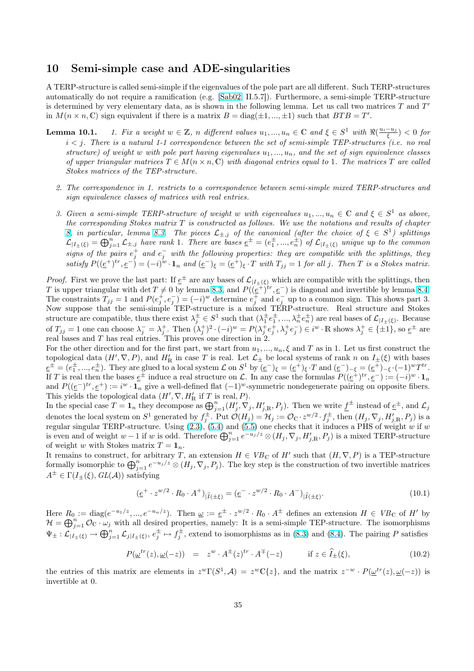## <span id="page-34-0"></span>10 Semi-simple case and ADE-singularities

A TERP-structure is called semi-simple if the eigenvalues of the pole part are all different. Such TERP-structures automatically do not require a ramification (e.g. [Sab02, II.5.7]). Furthermore, a semi-simple TERP-structure is determined by very elementary data, as is shown in the following lemma. Let us call two matrices  $T$  and  $T'$ in  $M(n \times n, \mathbb{C})$  sign equivalent if there is a matrix  $B = \text{diag}(\pm 1, ..., \pm 1)$  such that  $BTB = T'$ .

- **Lemma 10.1.** 1. Fix a weight  $w \in \mathbb{Z}$ , n diffe[rent va](#page-41-0)lues  $u_1, ..., u_n \in \mathbb{C}$  and  $\xi \in S^1$  with  $\Re(\frac{u_i u_j}{\xi}) < 0$  for  $i < j$ . There is a natural 1-1 correspondence between the set of semi-simple TEP-structures (i.e. no real structure) of weight w with pole part having eigenvalues  $u_1, ..., u_n$ , and the set of sign equivalence classes of upper triangular matrices  $T \in M(n \times n, \mathbb{C})$  with diagonal entries equal to 1. The matrices T are called Stokes matrices of the TEP-structure.
	- 2. The correspondence in 1. restricts to a correspondence between semi-simple mixed TERP-structures and sign equivalence classes of matrices with real entries.
	- 3. Given a semi-simple TERP-structure of weight w with eigenvalues  $u_1, ..., u_n \in \mathbb{C}$  and  $\xi \in S^1$  as above, the corresponding Stokes matrix  $T$  is constructed as follows. We use the notations and results of chapter 8, in particular, lemma 8.3. The pieces  $\mathcal{L}_{\pm,j}$  of the canonical (after the choice of  $\xi \in S^1$ ) splittings  $\mathcal{L}_{|I_{\pm}(\xi)} = \bigoplus_{j=1}^{n} \mathcal{L}_{\pm,j}$  have rank 1. There are bases  $\underline{e}^{\pm} = (e_1^{\pm},...,e_n^{\pm})$  of  $\mathcal{L}_{|I_{\pm}(\xi)}$  unique up to the common signs of the pairs  $e_j^+$  and  $e_j^-$  with the following properties: they are compatible with the splittings, they satisfy  $P((\underline{e}^+)^{tr}, \underline{e}^-) = (-i)^w \cdot \mathbf{1}_n$  and  $(\underline{e}^-)_{\xi} = (\underline{e}^+)_{\xi} \cdot T$  with  $T_{jj} = 1$  for all j. Then T is a Stokes matrix.

*Proof.* First we prove the last part: If  $\underline{e}^{\pm}$  are any bases of  $\mathcal{L}_{|I_{\pm}(\xi)}$  which are compatible with the splittings, then T is upper triangular with det  $T \neq 0$  by lemma 8.3, and  $P((e^{\pm})^{tr}, e^-)$  is diagonal and invertible by lemma 8.4. The constraints  $T_{jj} = 1$  and  $P(e_j^+, e_j^-) = (-i)^w$  determine  $e_j^+$  and  $e_j^-$  up to a common sign. This shows part 3. Now suppose that the semi-simple TEP-structure is a mixed TERP-structure. Real structure and Stokes structure are compatible, thus there exist  $\lambda_j^{\pm} \in S^1$  such that  $(\lambda_1^{\pm} e_1^{\pm}, ..., \lambda_n^{\pm} e_n^{\pm})$  are real bases of  $\mathcal{L}_{|I_{\pm}(\xi)}$ . Because of  $T_{jj} = 1$  one can choose  $\lambda_j^- = \lambda_j^+$ . Then  $(\lambda_j^+)^2 \cdot (-i)^w = P(\lambda_j^+ e_j^+, \lambda_j^+ e_j^-) \in i^w \cdot \mathbb{R}$  $(\lambda_j^+)^2 \cdot (-i)^w = P(\lambda_j^+ e_j^+, \lambda_j^+ e_j^-) \in i^w \cdot \mathbb{R}$  shows  $\lambda_j^+ \in \{\pm 1\}$ , so  $\underline{e}^{\pm}$  [are](#page-30-0) real bases and T has real entries. This proves one direction in 2.

For the other direction and for the first part, we start from  $u_1, ..., u_n, \xi$  and T as in 1. Let us first construct the topological data  $(H', \nabla, P)$ , and  $H'_{\mathbb{R}}$  in case T is real. Let  $\mathcal{L}_{\pm}$  be local systems of rank n on  $I_{\pm}(\xi)$  with bases  $\underline{e}^{\pm} = (e_1^{\pm}, ..., e_n^{\pm}).$  They are glued to a local system  $\mathcal L$  on  $S^1$  by  $(\underline{e}^-)_\xi = (\underline{e}^+)_{\xi} \cdot T$  and  $(\underline{e}^-)_{-\xi} = (\underline{e}^+)_{-\xi} \cdot (-1)^w T^{tr}$ . If T is real then the bases  $\underline{e}^{\pm}$  induce a real structure on L. In any case the formulas  $P((\underline{e}^{\dagger})^{tr}, \underline{e}^{-}) := (-i)^{w} \cdot \mathbf{1}_{n}$ and  $P((\underline{e}^{-})^{tr}, \underline{e}^{+}) := i^{w} \cdot \mathbf{1}_{n}$  give a well-defined flat  $(-1)^{w}$ -symmetric nondegenerate pairing on opposite fibers. This yields the topological data  $(H', \nabla, H'_{\mathbb{R}}$  if T is real, P).

In the special case  $T = 1_n$  they decompose as  $\bigoplus_{j=1}^n (H'_j, \nabla_j, H'_{j,R}, P_j)$ . Then we write  $\underline{f}^{\pm}$  instead of  $\underline{e}^{\pm}$ , and  $\mathcal{L}_j$ denotes the local system on  $S^1$  generated by  $f_j^{\pm}$ . Put  $\mathcal{O}(H_j) = \mathcal{H}_j := \mathcal{O}_{\mathbb{C}} \cdot z^{w/2} \cdot f_j^{\pm}$ , then  $(H_j, \nabla_j, H'_{j, \mathbb{R}}, P_j)$  is a regular singular TERP-structure. Using  $(2.3)$ ,  $(5.4)$  and  $(5.5)$  one checks that it induces a PHS of weight w if w regular singular TERF-structure. Using (2.3), (3.4) and (3.3) one checks that it induces a FRS of weight w if w<br>is even and of weight  $w - 1$  if w is odd. Therefore  $\bigoplus_{j=1}^{n} e^{-u_j/z} \otimes (H_j, \nabla_j, H_{j,\mathbb{R}}', P_j)$  is a mixed of weight w with Stokes matrix  $T = \mathbf{1}_n$ .

It remains to construct, for arbitrary T, an extension  $H \in VB_{\mathbb{C}}$  of  $H'$  such that  $(H, \nabla, P)$  is a TEP-structure To remains to construct, for arbitrary T, an extension  $H \in Vb_{\mathbb{C}}$  or H such that  $(H, V, F)$  is a TEF-structure formally isomorphic to  $\bigoplus_{j=1}^{n} e^{-u_j/z} \otimes (H_j, \nabla_j, P_j)$  $\bigoplus_{j=1}^{n} e^{-u_j/z} \otimes (H_j, \nabla_j, P_j)$  $\bigoplus_{j=1}^{n} e^{-u_j/z} \otimes (H_j, \nabla_j, P_j)$ . The [key](#page-14-0) step is the construction of two inverti  $A^{\pm} \in \Gamma(I_{+}(\xi), GL(\mathcal{A}))$  satisfying

$$
(\underline{e}^+ \cdot z^{w/2} \cdot R_0 \cdot A^+)_{|\hat{I}(\pm \xi)} = (\underline{e}^- \cdot z^{w/2} \cdot R_0 \cdot A^-)_{|\hat{I}(\pm \xi)}.
$$
\n(10.1)

Here  $R_0 := \text{diag}(e^{-u_1/z}, ..., e^{-u_n/z})$ . Then  $\underline{\omega} := \underline{e}^{\pm} \cdot z^{w/2} \cdot R_0 \cdot A^{\pm}$  defines an extension  $H \in VB_{\mathbb{C}}$  of  $H'$  by  $\mathcal{H} = \bigoplus_{j=1}^n \mathcal{O}_{\mathbb{C}} \cdot \omega_j$  with all desired properties, namely: It is a semi-simple TEP-structure. The isomorphisms  $\Psi_{\pm}: \mathcal{L}_{|I_{\pm}(\xi)} \to \bigoplus_{j=1}^n \mathcal{L}_j|_{I_{\pm}(\xi)}, e_j^{\pm} \mapsto f_j^{\pm}$ , extend to isomorphisms as in (8.3) and (8.4). The pairing P satisfies

$$
P(\underline{\omega}^{tr}(z), \underline{\omega}(-z)) = z^w \cdot A^{\pm}(z)^{tr} \cdot A^{\mp}(-z) \qquad \text{if } z \in \widehat{I}_{\pm}(\xi), \tag{10.2}
$$

the entries of this mat[rix](#page-30-0) are elements in  $z^w \Gamma(S^1, \mathcal{A}) = z^w \mathbb{C}\{z\}$ , an[d th](#page-29-0)e matrix  $z^{-w} \cdot P(\underline{\omega}^{tr}(z), \underline{\omega}(-z))$  is invertible at 0.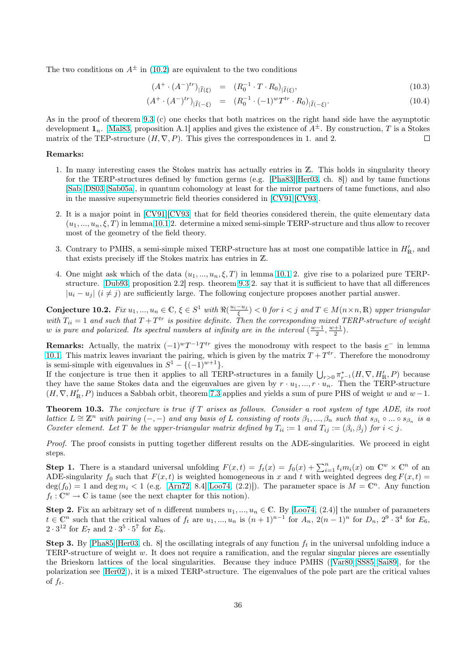<span id="page-35-0"></span>The two conditions on  $A^{\pm}$  in (10.2) are equivalent to the two conditions

$$
(A^+ \cdot (A^-)^{tr})_{|\hat{I}(\xi)} = (R_0^{-1} \cdot T \cdot R_0)_{|\hat{I}(\xi)}, \tag{10.3}
$$

$$
(A^+ \cdot (A^-)^{tr})_{|\widehat{I}(-\xi)} = (R_0^{-1} \cdot (-1)^w T^{tr} \cdot R_0)_{|\widehat{I}(-\xi)}.
$$
\n(10.4)

As in the proof of theorem 9.3 (c) one checks that both matrices on the right hand side have the asymptotic development  $\mathbf{1}_n$ . [Mal83, proposition A.1] applies and gives the existence of  $A^{\pm}$ . By construction, T is a Stokes matrix of the TEP-structure  $(H, \nabla, P)$ . This gives the correspondences in 1. and 2.  $\Box$ 

#### Remarks:

- 1. In many in[terestin](#page-41-0)g cases the Stokes matrix has actually entries in Z. This holds in singularity theory for the TERP-structures defined by function germs (e.g. [Pha83][Her03, ch. 8]) and by tame functions [Sab][DS03][Sab05a], in quantum cohomology at least for the mirror partners of tame functions, and also in the massive supersymmetric field theories considered in [CV91][CV93].
- 2. It is a major point in [CV91][CV93] that for field theories [conside](#page-41-0)[red the](#page-40-0)rein, the quite elementary data  $(u_1, ..., u_n, \xi, T)$  in lemma 10.1 2. determine a mixed semi-simple TERP-structure and thus allow to recover [most](#page-41-0) [of the](#page-40-0) [geometr](#page-41-0)y of the field theory.
- 3. Contrary to PMHS, a semi-simple mixed TERP-structure has at most one compatible lattice in  $H'_{\rm R}$ , and that exists precisely iff [the S](#page-40-0)[t](#page-34-0)[okes m](#page-40-0)atrix has entries in Z.
- 4. One might ask which of the data  $(u_1, ..., u_n, \xi, T)$  in lemma 10.1 2. give rise to a polarized pure TERPstructure. [Dub93, proposition 2.2] resp. theorem 9.3 2. say that it is sufficient to have that all differences  $|u_i - u_j|$  ( $i \neq j$ ) are sufficiently large. The following conjecture proposes another partial answer.

Conjecture 10.2. Fix  $u_1, ..., u_n \in \mathbb{C}, \xi \in S^1$  with  $\Re(\frac{u_i - u_j}{\xi}) < 0$  for  $i < j$  $i < j$  and  $T \in M(n \times n, \mathbb{R})$  upper triangular with  $T_{ii} = 1$  and [such th](#page-40-0)at  $T + T^{tr}$  is positive definite. [Then](#page-31-0) the corresponding mixed TERP-structure of weight w is pure and polarized. Its spectral numbers at infinity are in the interval  $(\frac{w-1}{2}, \frac{w+1}{2})$ .

**Remarks:** Actually, the matrix  $(-1)^wT^{-1}T^{tr}$  gives the monodromy with respect to the basis  $e^-$  in lemma 10.1. This matrix leaves invariant the pairing, which is given by the matrix  $T + T^{tr}$ . Therefore the monodromy is semi-simple with eigenvalues in  $S^1 - \{(-1)^{w+1}\}.$ 

If the conjecture is true then it applies to all TERP-structures in a family  $\bigcup_{r>0} \pi^*_{r-1}(H, \nabla, H'_{\mathbb{R}}, P)$  because they have the same Stokes data and the eigenvalues are given by  $r \cdot u_1, ..., r \cdot u_n$ . Then the TERP-structure  $(H, \nabla, H'_{\mathbb{R}}, P)$  $(H, \nabla, H'_{\mathbb{R}}, P)$  $(H, \nabla, H'_{\mathbb{R}}, P)$  induces a Sabbah orbit, theorem 7.3 applies and yields a sum of pure PHS of weight w and  $w - 1$ .

**Theorem 10.3.** The conjecture is true if  $T$  arises as follows. Consider a root system of type ADE, its root lattice  $L \cong \mathbb{Z}^n$  with pairing  $(-,-)$  and any basis of L consisting of roots  $\beta_1, ..., \beta_n$  such that  $s_{\beta_1} \circ ... \circ s_{\beta_n}$  is a Coxeter element. Let T be the upper-triangular [ma](#page-27-0)trix defined by  $T_{ii} := 1$  and  $T_{ij} := (\beta_i, \beta_j)$  for  $i < j$ .

Proof. The proof consists in putting together different results on the ADE-singularities. We proceed in eight steps.

**Step 1.** There is a standard universal unfolding  $F(x,t) = f_t(x) = f_0(x) + \sum_{i=1}^n t_i m_i(x)$  on  $\mathbb{C}^w \times \mathbb{C}^n$  of an ADE-singularity  $f_0$  such that  $F(x, t)$  is weighted homogeneous in x and t with weighted degrees deg  $F(x, t)$  =  $deg(f_0) = 1$  and  $deg m_i < 1$  (e.g. [Arn72, 8.4][Loo74, (2.2)]). The parameter space is  $M = \mathbb{C}^n$ . Any function  $f_t: \mathbb{C}^w \to \mathbb{C}$  is tame (see the next chapter for this notion).

Step 2. Fix an arbitrary set of n different numbers  $u_1, ..., u_n \in \mathbb{C}$ . By [Loo74, (2.4)] the number of parameters  $t \in \mathbb{C}^n$  such that the critical value[s of](#page-40-0)  $f_t$  are  $u_1, ..., u_n$  $u_1, ..., u_n$  $u_1, ..., u_n$  is  $(n+1)^{n-1}$  for  $A_n$ ,  $2(n-1)^n$  for  $D_n$ ,  $2^9 \cdot 3^4$  for  $E_6$ ,  $2 \cdot 3^{12}$  for  $E_7$  and  $2 \cdot 3^5 \cdot 5^7$  for  $E_8$ .

**Step 3.** By [Pha85][Her03, ch. 8] the oscillating integrals of any function  $f_t$  in the universal unfolding induce a TERP-structure of weight w. It does not require a ramification, and t[he regu](#page-41-0)lar singular pieces are essentially the Brieskorn lattices of the local singularities. Because they induce PMHS ([Var80][SS85][Sai89], for the polarization see [Her02]), it is a mixed TERP-structure. The eigenvalues of the pole part are the critical values of  $f_t$ .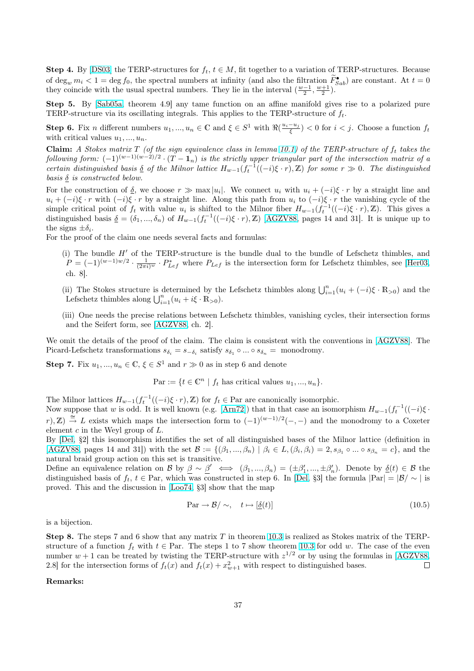Step 4. By [DS03] the TERP-structures for  $f_t$ ,  $t \in M$ , fit together to a variation of TERP-structures. Because of  $\deg_w m_i < 1 = \deg f_0$ , the spectral numbers at infinity (and also the filtration  $\widetilde{F}_{Sab}^{\bullet}$ ) are constant. At  $t = 0$ they coincide with the usual spectral numbers. They lie in the interval  $(\frac{w-1}{2}, \frac{w+1}{2})$ .

Step 5. By [Sab05a, theorem 4.9] any tame function on an affine manifold gives rise to a polarized pure TERP-struc[ture vi](#page-40-0)a its oscillating integrals. This applies to the TERP-structure of  $f_t$ .

**Step 6.** Fix n different numbers  $u_1, ..., u_n \in \mathbb{C}$  and  $\xi \in S^1$  with  $\Re(\frac{u_i - u_j}{\xi}) < 0$  for  $i < j$ . Choose a function  $f_t$ with critical values  $u_1, \ldots, u_n$ .

**Claim:** A Sto[kes matr](#page-41-0)ix T (of the sign equivalence class in lemma 10.1) of the TERP-structure of  $f_t$  takes the following form:  $(-1)^{(w-1)(w-2)/2} \cdot (T-1_n)$  is the strictly upper triangular part of the intersection matrix of a certain distinguished basis  $\delta$  of the Milnor lattice  $H_{w-1}(f_t^{-1}((-i)\xi \cdot r), \mathbb{Z})$  for some  $r \gg 0$ . The distinguished basis  $\delta$  is constructed below.

For the construction of  $\underline{\delta}$ , we choose  $r \gg \max |u_i|$ . We connect  $u_i$  [wit](#page-34-0)h  $u_i + (-i)\xi \cdot r$  by a straight line and  $u_i + (-i)\xi \cdot r$  with  $(-i)\xi \cdot r$  by a straight line. Along this path from  $u_i$  to  $(-i)\xi \cdot r$  the vanishing cycle of the simple critical point of  $f_t$  with value  $u_i$  is shifted to the Milnor fiber  $H_{w-1}(f_t^{-1}((-i)\xi \cdot r), \mathbb{Z})$ . This gives a distinguished basis  $\underline{\delta} = (\delta_1, ..., \delta_n)$  of  $H_{w-1}(f_t^{-1}((-i)\xi \cdot r), \mathbb{Z})$  [AGZV88, pages 14 and 31]. It is unique up to the signs  $\pm \delta_i$ .

For the proof of the claim one needs several facts and formulas:

(i) The bundle  $H'$  of the TERP-structure is the bundle [dual to t](#page-40-0)he bundle of Lefschetz thimbles, and  $P = (-1)^{(w-1)w/2} \cdot \frac{1}{(2\pi i)^w} \cdot P_{Lef}^*$  where  $P_{Lef}$  is the intersection form for Lefschetz thimbles, see [Her03, ch. 8].

(ii) The Stokes structure is determined by the Lefschetz thimbles along  $\bigcup_{i=1}^{n} (u_i + (-i)\xi \cdot \mathbb{R}_{>0})$  and the Lefschetz thimbles along  $\bigcup_{i=1}^n (u_i + i\xi \cdot \mathbb{R}_{>0}).$ 

(iii) One needs the precise relations between Lefschetz thimbles, vanishing cycles, their intersection forms and the Seifert form, see [AGZV88, ch. 2].

We omit the details of the proof of the claim. The claim is consistent with the conventions in [AGZV88]. The Picard-Lefschetz transformations  $s_{\delta_i} = s_{-\delta_i}$  satisfy  $s_{\delta_1} \circ ... \circ s_{\delta_n} =$  monodromy.

**Step 7.** Fix  $u_1, ..., u_n \in \mathbb{C}, \xi \in S^1$  [and](#page-40-0)  $r \gg 0$  as in step 6 and denote

 $\text{Par} := \{t \in \mathbb{C}^n \mid f_t \text{ has critical values } u_1, ..., u_n\}.$ 

The Milnor lattices  $H_{w-1}(f_t^{-1}((-i)\xi \cdot r), \mathbb{Z})$  for  $f_t \in \text{Par}$  are canonically isomorphic.

Now suppose that w is odd. It is well known (e.g. [Arn72]) that in that case an isomorphism  $H_{w-1}(f_t^{-1}((-i)\xi \cdot$  $r, Z$ )  $\stackrel{\cong}{\to}$  L exists which maps the intersection form to  $(-1)^{(w-1)/2}(-,-)$  and the monodromy to a Coxeter element  $c$  in the Weyl group of  $L$ .

By [Del, §2] this isomorphism identifies the set of all distinguished bases of the Milnor lattice (definition in [AGZV88, pages 14 and 31]) with the set  $\mathcal{B} := \{(\beta_1, ..., \beta_n) \mid \beta_i \in L, (\beta_i, \beta_i) = 2, s_{\beta_1} \circ ... \circ s_{\beta_n} = c\}$ , and the natural braid group action on this set is transitive.

Define an equivalence relation on B by  $\beta \sim \beta' \iff (\beta_1, ..., \beta_n) = (\pm \beta'_1, ..., \pm \beta'_n)$ . Denote by  $\underline{\delta}(t) \in \mathcal{B}$  the dist[ingui](#page-40-0)shed basis of  $f_t$ ,  $t \in \text{Par}$ , which was constructed in step 6. In [Del, §3] the formula  $|\text{Par}| = |\mathcal{B}| \sim |\text{ is}$ [proved. T](#page-40-0)his and the discussion in [Loo74, §3] show that the map

$$
\text{Par} \to \mathcal{B} / \sim, \quad t \mapsto [\underline{\delta}(t)] \tag{10.5}
$$

is a bijection.

Step 8. The steps 7 and 6 show that any matrix T in theorem 10.3 is realized as Stokes matrix of the TERPstructure of a function  $f_t$  with  $t \in \text{Par}$ . The steps 1 to 7 show theorem 10.3 for odd w. The case of the even number  $w + 1$  can be treated by twisting the TERP-structure with  $z^{1/2}$  or by using the formulas in [AGZV88, 2.8] for the intersection forms of  $f_t(x)$  and  $f_t(x) + x_{w+1}^2$  with respect to distinguished bases.  $\Box$ 

#### Remarks: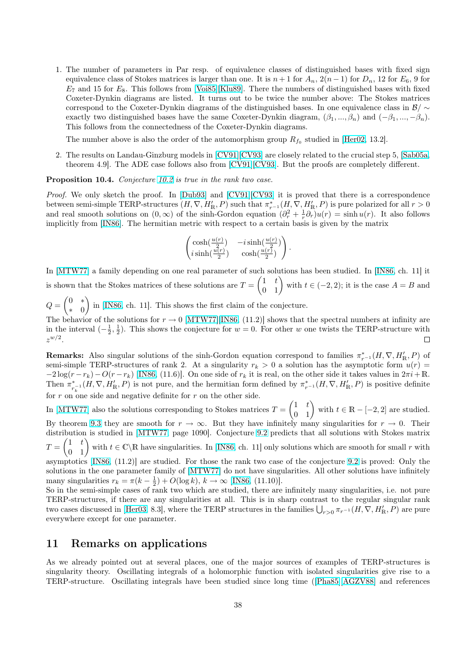<span id="page-37-0"></span>1. The number of parameters in Par resp. of equivalence classes of distinguished bases with fixed sign equivalence class of Stokes matrices is larger than one. It is  $n + 1$  for  $A_n$ ,  $2(n - 1)$  for  $D_n$ , 12 for  $E_6$ , 9 for  $E_7$  and 15 for  $E_8$ . This follows from [Voi85][Klu89]. There the numbers of distinguished bases with fixed Coxeter-Dynkin diagrams are listed. It turns out to be twice the number above: The Stokes matrices correspond to the Coxeter-Dynkin diagrams of the distinguished bases. In one equivalence class in  $\mathcal{B}/\sim$ exactly two distinguished bases have the same Coxeter-Dynkin diagram,  $(\beta_1, ..., \beta_n)$  and  $(-\beta_1, ..., -\beta_n)$ . This follows from the connectedness [of the](#page-42-0) [Coxeter](#page-41-0)-Dynkin diagrams.

The number above is also the order of the automorphism group  $R_{f_0}$  studied in [Her02, 13.2].

2. The results on Landau-Ginzburg models in [CV91][CV93] are closely related to the crucial step 5, [Sab05a, theorem 4.9]. The ADE case follows also from [CV91][CV93]. But the proofs are completely different.

Proposition 10.4. Conjecture 10.2 is true in the rank two case.

Proof. We only sketch the proof. In [Dub93] a[nd \[CV91\]\[CV](#page-40-0)93] it is proved that there is a corresp[ondence](#page-41-0) between semi-simple TERP-structures  $(H, \nabla, H'_{\mathbb{R}}, P)$  [such that](#page-40-0)  $\pi^*_{r-1}(H, \nabla, H'_{\mathbb{R}}, P)$  is pure polarized for all  $r > 0$ and real smooth solutions on  $(0, \infty)$  of the sinh-Gordon equation  $(\partial_r^2 + \frac{1}{r} \partial_r)u(r) = \sinh u(r)$ . It also follows implicitly from [IN86]. The her[mitian](#page-35-0) metric with respect to a certain basis is given by the matrix

$$
\begin{pmatrix}\cosh(\frac{u(r)}{2}) & -i\sinh(\frac{u(r)}{2}) \\ i\sinh(\frac{u(r)}{2}) & \cosh(\frac{u(r)}{2})\end{pmatrix}.
$$

In [MTW77] a family depending on one real parameter of such solutions has been studied. In [IN86, ch. 11] it In [MIWIVI] a ramify depending on one real parameter of such solutions has been studied. In [IN86, ch. 11] it is shown that the Stokes matrices of these solutions are  $T = \begin{pmatrix} 1 & t \\ 0 & 1 \end{pmatrix}$  with  $t \in (-2, 2)$ ; it is the  $\frac{1}{2}$ 

 $Q=\begin{pmatrix} 0 & * \ & 0 & \end{pmatrix}$  $\begin{pmatrix} 0 & x \\ y & 0 \end{pmatrix}$  in [IN86, ch. 11]. This shows the first claim of the conjecture.

The behavior of the solutions for  $r \to 0$  [MTW77][IN86, (11.2)] shows that the spectral numbers at infinity are in the interval  $\left(-\frac{1}{2},\frac{1}{2}\right)$ . This shows the conjecture for  $w=0$ . For other w one twists the TERP-structure with  $z^{w/2}.$  $\Box$ 

**Remarks:** Also singular solutions of t[he sinh-Gordon](#page-41-0) equation correspond to families  $\pi_{r-1}^*(H, \nabla, H'_{\mathbb{R}}, P)$  of semi-simple TERP-structures of rank 2. At a singularity  $r_k > 0$  a solution has the asymptotic form  $u(r)$  $-2\log(r - r_k) - O(r - r_k)$  [IN86, (11.6)]. On one side of  $r_k$  it is real, on the other side it takes values in  $2\pi i + \mathbb{R}$ . Then  $\pi^*$  $_{r_{n}^{-1}}(H,\nabla,H'_{\mathbb{R}},P)$  is not pure, and the hermitian form defined by  $\pi_{r^{-1}}^{*}(H,\nabla,H'_{\mathbb{R}},P)$  is positive definite for r on one side and negative definite for r on the other side.

In [MTW77] also the solu[tions c](#page-41-0)orresponding to Stokes matrices  $T =$  $\begin{pmatrix} 1 & t \\ 0 & 1 \end{pmatrix}$  with  $t \in \mathbb{R} - [-2, 2]$  are studied. By theorem 9.3 they are smooth for  $r \to \infty$ . But they have infinitely many singularities for  $r \to 0$ . Their distribution is studied in [MTW77, page 1090]. Conjecture 9.2 predicts that all solutions with Stokes matrix distribution is studied in [MTW77, page 1090]. Conjecture 9.2 predicts that all solutions with Stokes matrix  $T = \begin{pmatrix} 1 & t \\ 0 & 1 \end{pmatrix}$  with  $t \in \mathbb{C} \backslash \mathbb{R}$  have singularities. In [IN86, ch. 11] only solutions which asymptotics [\[IN8](#page-31-0)6, (11.2)] are studied. For those the rank two case of the conjecture 9.2 is proved: Only the

solutions in the one para[meter fami](#page-41-0)ly of [MTW77] do not h[ave s](#page-31-0)ingularities. All other solutions have infinitely many singularities  $r_k = \pi(k - \frac{1}{2}) + O(\log k)$ ,  $k \to \infty$  [IN86, (11.10)].

So in the semi-simple cases of rank two which ar[e stud](#page-41-0)ied, there are infinitely many singularities, i.e. not pure TERP-struct[ures,](#page-41-0) if there are any singularities at all. This is in sharp contrast to t[he re](#page-31-0)gular singular rank TERF-structures, if there are any singularities at all. This is in sharp contrast to the regular singular rank<br>two cases discussed in [Her03, 8.3], where [the TER](#page-41-0)P structures in the families  $\bigcup_{r>0} \pi_{r^{-1}}(H, \nabla, H'_{\mathbb{$ everywhere except for one parameter.

## 11 Remarks [on a](#page-40-0)pplications

As we already pointed out at several places, one of the major sources of examples of TERP-structures is singularity theory. Oscillating integrals of a holomorphic function with isolated singularities give rise to a TERP-structure. Oscillating integrals have been studied since long time ([Pha85][AGZV88] and references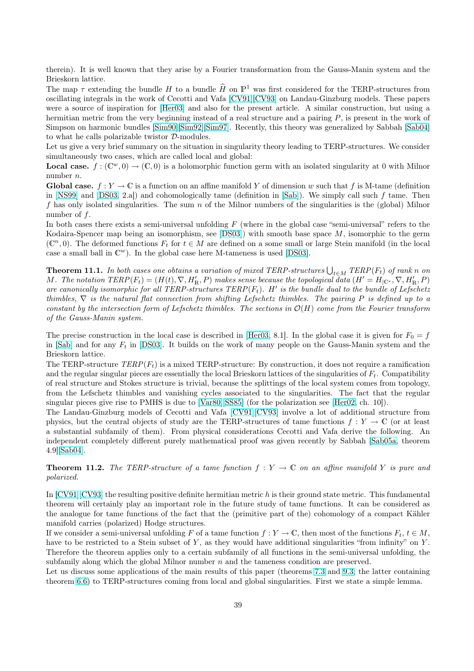<span id="page-38-0"></span>therein). It is well known that they arise by a Fourier transformation from the Gauss-Manin system and the Brieskorn lattice.

The map  $\tau$  extending the bundle H to a bundle  $\widehat{H}$  on  $\mathbb{P}^1$  was first considered for the TERP-structures from oscillating integrals in the work of Cecotti and Vafa [CV91][CV93] on Landau-Ginzburg models. These papers were a source of inspiration for [Her03] and also for the present article. A similar construction, but using a hermitian metric from the very beginning instead of a real structure and a pairing P, is present in the work of Simpson on harmonic bundles [Sim90][Sim92][Sim97]. Recently, this theory was generalized by Sabbah [Sab04] to what he calls polarizable twistor D-modules.

Let us give a very brief summary [on the s](#page-40-0)ituation in singularity theory leading to TERP-structures. We consider simultaneously two cases, which are called local and global:

**Local case.**  $f: (\mathbb{C}^w, 0) \to (\mathbb{C}, 0)$  [is a holomorphic fu](#page-42-0)nction germ with an isolated singularity at 0 with [Milnor](#page-41-0) number n.

**Global case.**  $f: Y \to \mathbb{C}$  is a function on an affine manifold Y of dimension w such that f is M-tame (definition in [NS99] and [DS03, 2.a]) and cohomologically tame (definition in [Sab]). We simply call such f tame. Then f has only isolated singularities. The sum  $n$  of the Milnor numbers of the singularities is the (global) Milnor number of  $f$ .

In both cases there exists a semi-universal unfolding  $F$  (where in the global case "semi-universal" refers to the Ko[daira-S](#page-41-0)penc[er map](#page-40-0) being an isomorphism, see [DS03]) with smo[oth b](#page-41-0)ase space M, isomorphic to the germ  $(\mathbb{C}^n, 0)$ . The deformed functions  $F_t$  for  $t \in M$  are defined on a some small or large Stein manifold (in the local case a small ball in  $\mathbb{C}^w$ ). In the global case here M-tameness is used [DS03].

**Theorem 11.1.** In both cases one obtains a varia[tion of](#page-40-0) mixed TERP-structures  $\bigcup_{t\in M} \text{TERP}(F_t)$  of rank n on M. The notation  $TERP(F_t) = (H(t), \nabla, H'_{\mathbb{R}}, P)$  makes sense because the topological data  $(H' = H_{\mathcal{C}}^*, \nabla, H'_{\mathbb{R}}, P)$ are canonically isomorphic for all TERP-structures  $TERP(F_t)$ . H' is [the bu](#page-40-0)ndle dual to the bundle of Lefschetz thimbles,  $\nabla$  is the natural flat connection from shifting Lefschetz thimbles. The pairing P is defined up to a constant by the intersection form of Lefschetz thimbles. The sections in  $\mathcal{O}(H)$  come from the Fourier transform of the Gauss-Manin system.

The precise construction in the local case is described in [Her03, 8.1]. In the global case it is given for  $F_0 = f$ in [Sab] and for any  $F_t$  in [DS03]. It builds on the work of many people on the Gauss-Manin system and the Brieskorn lattice.

The TERP-structure  $TERP(F_t)$  is a mixed TERP-structure: By construction, it does not require a ramification and the regular singular pieces are essentially the local Bri[eskorn l](#page-40-0)attices of the singularities of  $F_t$ . Compatibility of [real s](#page-41-0)tructure and Stoke[s struc](#page-40-0)ture is trivial, because the splittings of the local system comes from topology, from the Lefschetz thimbles and vanishing cycles associated to the singularities. The fact that the regular singular pieces give rise to PMHS is due to [Var80][SS85] (for the polarization see [Her02, ch. 10]).

The Landau-Ginzburg models of Cecotti and Vafa [CV91][CV93] involve a lot of additional structure from physics, but the central objects of study are the TERP-structures of tame functions  $f: Y \to \mathbb{C}$  (or at least a substantial subfamily of them). From physical considerations Cecotti and Vafa derive the following. An independent completely different purely m[athematical p](#page-42-0)roof was given recently b[y Sabb](#page-40-0)ah [Sab05a, theorem 4.9][Sab04].

**Theorem 11.2.** The TERP-structure of a tame function  $f: Y \to \mathbb{C}$  on an affine manifold Y is pure and polarized.

In  $[CV91][CV93]$  $[CV91][CV93]$  $[CV91][CV93]$  the resulting positive definite hermitian metric  $h$  is their ground state metric. This fundamental theorem will certainly play an important role in the future study of tame functions. It can be considered as the analogue for tame functions of the fact that the (primitive part of the) cohomology of a compact Kähler manifold carries (polarized) Hodge structures.

If [we consider a s](#page-40-0)emi-universal unfolding F of a tame function  $f: Y \to \mathbb{C}$ , then most of the functions  $F_t, t \in M$ , have to be restricted to a Stein subset of  $Y$ , as they would have additional singularities "from infinity" on  $Y$ . Therefore the theorem applies only to a certain subfamily of all functions in the semi-universal unfolding, the subfamily along which the global Milnor number  $n$  and the tameness condition are preserved.

Let us discuss some applications of the main results of this paper (theorems 7.3 and 9.3, the latter containing theorem 6.6) to TERP-structures coming from local and global singularities. First we state a simple lemma.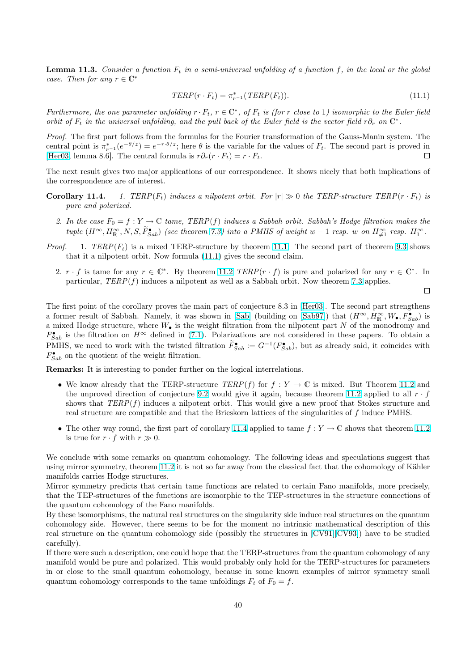**Lemma 11.3.** Consider a function  $F_t$  in a semi-universal unfolding of a function f, in the local or the global case. Then for any  $r \in \mathbb{C}^*$ 

$$
TERP(r \cdot F_t) = \pi_{r-1}^*(TERP(F_t)).
$$
\n
$$
(11.1)
$$

Furthermore, the one parameter unfolding  $r \cdot F_t$ ,  $r \in \mathbb{C}^*$ , of  $F_t$  is (for r close to 1) isomorphic to the Euler field orbit of  $F_t$  in the universal unfolding, and the pull back of the Euler field is the vector field r $\partial_r$  on  $\mathbb{C}^*$ .

Proof. The first part follows from the formulas for the Fourier transformation of the Gauss-Manin system. The central point is  $\pi_{r-1}^*(e^{-\theta/z}) = e^{-r\cdot\theta/z}$ ; here  $\theta$  is the variable for the values of  $F_t$ . The second part is proved in [Her03, lemma 8.6]. The central formula is  $r\partial_r(r \cdot F_t) = r \cdot F_t$ .  $\Box$ 

The next result gives two major applications of our correspondence. It shows nicely that both implications of the correspondence are of interest.

- **[Coroll](#page-40-0)ary 11.4.** 1. TERP( $F_t$ ) induces a nilpotent orbit. For  $|r| \gg 0$  the TERP-structure TERP( $r \cdot F_t$ ) is pure and polarized.
	- 2. In the case  $F_0 = f : Y \to \mathbb{C}$  tame, TERP(f) induces a Sabbah orbit. Sabbah's Hodge filtration makes the tuple  $(H^{\infty}, H^{\infty}_{\mathbb{R}}, N, S, \tilde{F}^{\bullet}_{Sab})$  (see theorem 7.3) into a PMHS of weight w – 1 resp. w on  $H^{\infty}_{\neq 1}$  resp.  $H^{\infty}_{1}$ .
- *Proof.* 1.  $TERP(F_t)$  is a mixed TERP-structure by theorem 11.1. The second part of theorem 9.3 shows that it a nilpotent orbit. Now formula (11.1) gives the second claim.
	- 2.  $r \cdot f$  is ta[m](#page-27-0)e for any  $r \in \mathbb{C}^*$ . By theorem 11.2 TERP( $r \cdot f$ ) is pure and polarized for any  $r \in \mathbb{C}^*$ . In particular,  $TERP(f)$  induces a nilpotent as well as a Sabb[ah orb](#page-38-0)it. Now theorem 7.3 applies.

 $\Box$ 

The first point of the corollary proves the main part of conjecture 8.3 in [Her03]. The second part strengthens a former result of Sabbah. Namely, it was show[n in](#page-38-0) [Sab] (building on [Sab97]) that  $(H^{\infty}, H^{\infty}_{\mathbb{R}}, W_{\bullet}, F^{\bullet}_{Sab})$  is a mixed Hodge structure, where  $W_{\bullet}$  is the weight filtration from the nilpotent part N [of th](#page-27-0)e monodromy and  $F_{Sab}^{\bullet}$  is the filtration on  $H^{\infty}$  defined in (7.1). Polarizations are not considered in these papers. To obtain a PMHS, we need to work with the twisted filtration  $\widetilde{F}_{Sab}^{\bullet} := G^{-1}(F_{Sab}^{\bullet})$ , [but as](#page-40-0) already said, it coincides with  $F_{Sab}^{\bullet}$  on the quotient of the weight filtration.

Remarks: It is interesting to ponder fur[ther](#page-27-0) on the logical interrelations.

- We know already that the TERP-structure  $TERP(f)$  for  $f: Y \to \mathbb{C}$  is mixed. But Theorem 11.2 and the unproved direction of conjecture 9.2 would give it again, because theorem 11.2 applied to all  $r \cdot f$ shows that  $TERP(f)$  induces a nilpotent orbit. This would give a new proof that Stokes structure and real structure are compatible and that the Brieskorn lattices of the singularities of f induce PMHS.
- The other way round, the first part o[f cor](#page-31-0)ollary 11.4 applied to tame  $f: Y \to \mathbb{C}$  [show](#page-38-0)s that the[orem](#page-38-0) 11.2 is true for  $r \cdot f$  with  $r \gg 0$ .

We conclude with some remarks on quantum cohomology. The following ideas and speculations suggest that using mirror symmetry, theorem 11.2 it is not so far away from the classical fact that the cohomology of K[ähler](#page-38-0) manifolds carries Hodge structures.

Mirror symmetry predicts that certain tame functions are related to certain Fano manifolds, more precisely, that the TEP-structures of the functions are isomorphic to the TEP-structures in the structure connections of the quantum cohomology of the [Fano](#page-38-0) manifolds.

By these isomorphisms, the natural real structures on the singularity side induce real structures on the quantum cohomology side. However, there seems to be for the moment no intrinsic mathematical description of this real structure on the quantum cohomology side (possibly the structures in [CV91][CV93]) have to be studied carefully).

If there were such a description, one could hope that the TERP-structures from the quantum cohomology of any manifold would be pure and polarized. This would probably only hold for the TERP-structures for parameters in or close to the small quantum cohomology, because in some known ex[amples of mir](#page-40-0)ror symmetry small quantum cohomology corresponds to the tame unfoldings  $F_t$  of  $F_0 = f$ .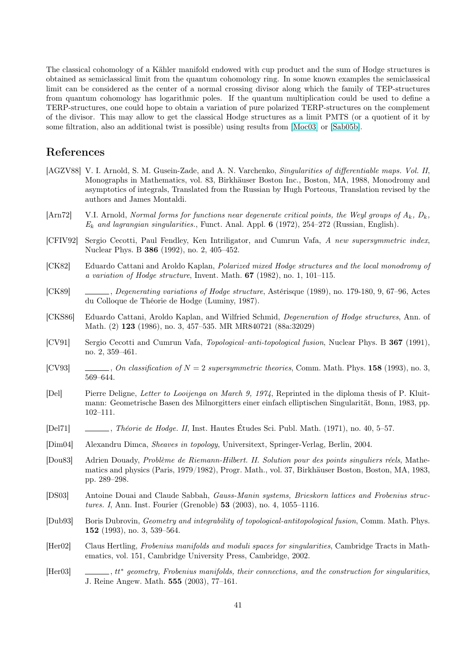<span id="page-40-0"></span>The classical cohomology of a Kähler manifold endowed with cup product and the sum of Hodge structures is obtained as semiclassical limit from the quantum cohomology ring. In some known examples the semiclassical limit can be considered as the center of a normal crossing divisor along which the family of TEP-structures from quantum cohomology has logarithmic poles. If the quantum multiplication could be used to define a TERP-structures, one could hope to obtain a variation of pure polarized TERP-structures on the complement of the divisor. This may allow to get the classical Hodge structures as a limit PMTS (or a quotient of it by some filtration, also an additional twist is possible) using results from [Moc03] or [Sab05b].

# References

- [AGZV88] V. I. Arnold, S. M. Gusein-Zade, and A. N. Varchenko, Sin[gularitie](#page-41-0)s of [differen](#page-41-0)tiable maps. Vol. II, Monographs in Mathematics, vol. 83, Birkhäuser Boston Inc., Boston, MA, 1988, Monodromy and asymptotics of integrals, Translated from the Russian by Hugh Porteous, Translation revised by the authors and James Montaldi.
- [Arn72] V.I. Arnold, Normal forms for functions near degenerate critical points, the Weyl groups of  $A_k$ ,  $D_k$ ,  $E_k$  and lagrangian singularities., Funct. Anal. Appl. 6 (1972), 254–272 (Russian, English).
- [CFIV92] Sergio Cecotti, Paul Fendley, Ken Intriligator, and Cumrun Vafa, A new supersymmetric index, Nuclear Phys. B 386 (1992), no. 2, 405–452.
- [CK82] Eduardo Cattani and Aroldo Kaplan, Polarized mixed Hodge structures and the local monodromy of a variation of Hodge structure, Invent. Math. 67 (1982), no. 1, 101–115.
- [CK89] , Degenerating variations of Hodge structure, Astérisque (1989), no. 179-180, 9, 67–96, Actes du Colloque de Théorie de Hodge (Luminy, 1987).
- [CKS86] Eduardo Cattani, Aroldo Kaplan, and Wilfried Schmid, Degeneration of Hodge structures, Ann. of Math. (2) 123 (1986), no. 3, 457–535. MR MR840721 (88a:32029)
- [CV91] Sergio Cecotti and Cumrun Vafa, Topological–anti-topological fusion, Nuclear Phys. B 367 (1991), no. 2, 359–461.
- [CV93] , On classification of  $N = 2$  supersymmetric theories, Comm. Math. Phys. 158 (1993), no. 3, 569–644.
- [Del] Pierre Deligne, Letter to Looijenga on March 9, 1974, Reprinted in the diploma thesis of P. Kluitmann: Geometrische Basen des Milnorgitters einer einfach elliptischen Singularität, Bonn, 1983, pp. 102–111.
- [Del71] , Théorie de Hodge. II, Inst. Hautes Études Sci. Publ. Math. (1971), no. 40, 5–57.
- [Dim04] Alexandru Dimca, Sheaves in topology, Universitext, Springer-Verlag, Berlin, 2004.
- [Dou83] Adrien Douady, Problème de Riemann-Hilbert. II. Solution pour des points singuliers réels, Mathematics and physics (Paris, 1979/1982), Progr. Math., vol. 37, Birkhäuser Boston, Boston, MA, 1983, pp. 289–298.
- [DS03] Antoine Douai and Claude Sabbah, Gauss-Manin systems, Brieskorn lattices and Frobenius structures. I, Ann. Inst. Fourier (Grenoble) 53 (2003), no. 4, 1055–1116.
- [Dub93] Boris Dubrovin, Geometry and integrability of topological-antitopological fusion, Comm. Math. Phys. 152 (1993), no. 3, 539–564.
- [Her02] Claus Hertling, Frobenius manifolds and moduli spaces for singularities, Cambridge Tracts in Mathematics, vol. 151, Cambridge University Press, Cambridge, 2002.
- $[Her03]$  $\mu$ , tt\* geometry, Frobenius manifolds, their connections, and the construction for singularities, J. Reine Angew. Math. 555 (2003), 77–161.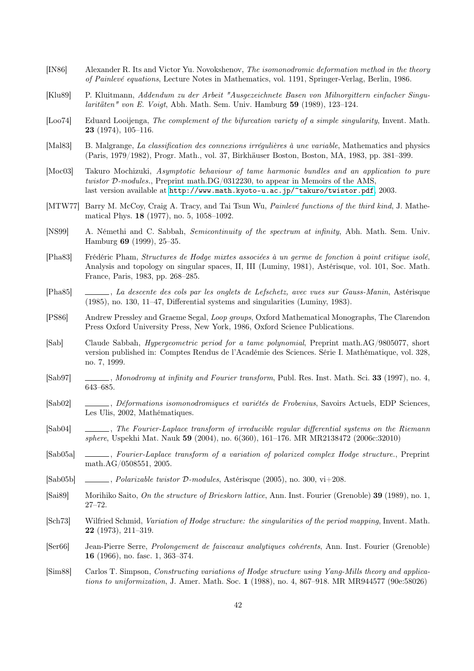- <span id="page-41-0"></span>[IN86] Alexander R. Its and Victor Yu. Novokshenov, The isomonodromic deformation method in the theory of Painlevé equations, Lecture Notes in Mathematics, vol. 1191, Springer-Verlag, Berlin, 1986.
- [Klu89] P. Kluitmann, Addendum zu der Arbeit "Ausgezeichnete Basen von Milnorgittern einfacher Singu $lartäten" von E. Voigt, Abh. Math. Sem. Univ. Hamburg 59 (1989), 123–124.$
- [Loo74] Eduard Looijenga, The complement of the bifurcation variety of a simple singularity, Invent. Math. 23 (1974), 105–116.
- [Mal83] B. Malgrange, La classification des connexions irrégulières à une variable, Mathematics and physics (Paris, 1979/1982), Progr. Math., vol. 37, Birkhäuser Boston, Boston, MA, 1983, pp. 381–399.
- [Moc03] Takuro Mochizuki, Asymptotic behaviour of tame harmonic bundles and an application to pure twistor D-modules., Preprint math.DG/0312230, to appear in Memoirs of the AMS, last version available at http://www.math.kyoto-u.ac.jp/~takuro/twistor.pdf, 2003.
- [MTW77] Barry M. McCoy, Craig A. Tracy, and Tai Tsun Wu, Painlevé functions of the third kind, J. Mathematical Phys. 18 (1977), no. 5, 1058–1092.
- [NS99] A. Némethi and C. Sabbah, [Semicontinuity of the spectrum at infinity](http://www.math.kyoto-u.ac.jp/~takuro/twistor.pdf), Abh. Math. Sem. Univ. Hamburg 69 (1999), 25–35.
- [Pha83] Frédéric Pham, Structures de Hodge mixtes associées à un germe de fonction à point critique isolé, Analysis and topology on singular spaces, II, III (Luminy, 1981), Astérisque, vol. 101, Soc. Math. France, Paris, 1983, pp. 268–285.
- [Pha85] , La descente des cols par les onglets de Lefschetz, avec vues sur Gauss-Manin, Astérisque (1985), no. 130, 11–47, Differential systems and singularities (Luminy, 1983).
- [PS86] Andrew Pressley and Graeme Segal, Loop groups, Oxford Mathematical Monographs, The Clarendon Press Oxford University Press, New York, 1986, Oxford Science Publications.
- [Sab] Claude Sabbah, Hypergeometric period for a tame polynomial, Preprint math.AG/9805077, short version published in: Comptes Rendus de l'Académie des Sciences. Série I. Mathématique, vol. 328, no. 7, 1999.
- [Sab97] , Monodromy at infinity and Fourier transform, Publ. Res. Inst. Math. Sci. 33 (1997), no. 4, 643–685.
- [Sab02] , Déformations isomonodromiques et variétés de Frobenius, Savoirs Actuels, EDP Sciences, Les Ulis, 2002, Mathématiques.
- [Sab04] , The Fourier-Laplace transform of irreducible regular differential systems on the Riemann sphere, Uspekhi Mat. Nauk 59 (2004), no. 6(360), 161–176. MR MR2138472 (2006c:32010)
- [Sab05a] , Fourier-Laplace transform of a variation of polarized complex Hodge structure., Preprint math.AG/0508551, 2005.
- [Sab05b] ,  $\Box$ , *Polarizable twistor D-modules*, Astérisque (2005), no. 300, vi $+208$ .
- [Sai89] Morihiko Saito, On the structure of Brieskorn lattice, Ann. Inst. Fourier (Grenoble) 39 (1989), no. 1, 27–72.
- [Sch73] Wilfried Schmid, Variation of Hodge structure: the singularities of the period mapping, Invent. Math. 22 (1973), 211–319.
- [Ser66] Jean-Pierre Serre, Prolongement de faisceaux analytiques cohérents, Ann. Inst. Fourier (Grenoble) 16 (1966), no. fasc. 1, 363–374.
- [Sim88] Carlos T. Simpson, Constructing variations of Hodge structure using Yang-Mills theory and applications to uniformization, J. Amer. Math. Soc. 1 (1988), no. 4, 867–918. MR MR944577 (90e:58026)